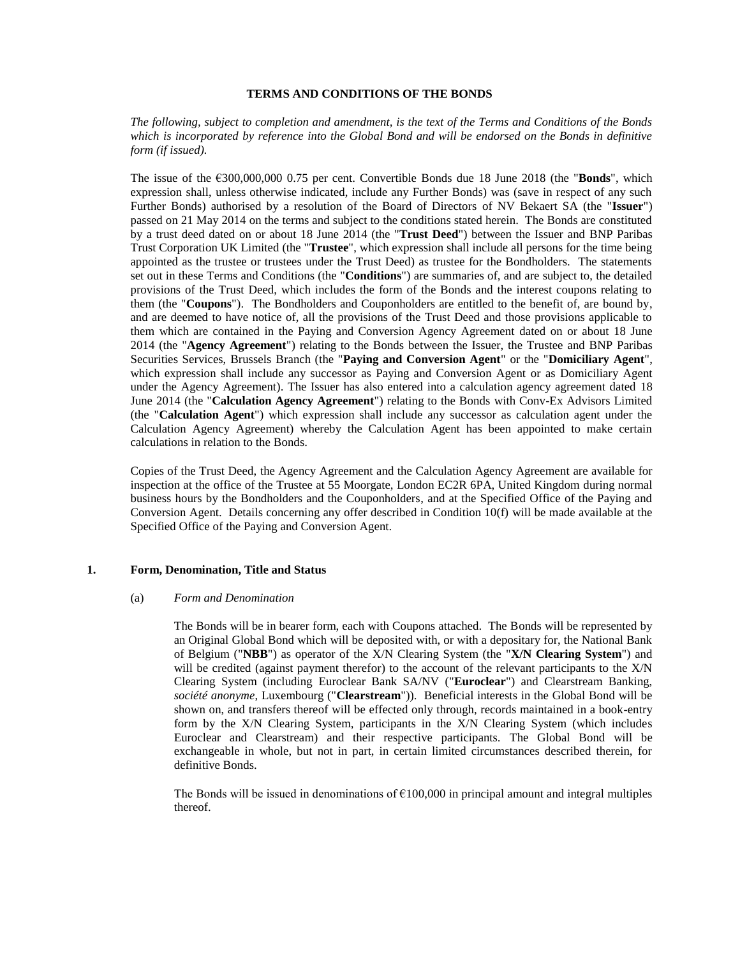## **TERMS AND CONDITIONS OF THE BONDS**

*The following, subject to completion and amendment, is the text of the Terms and Conditions of the Bonds which is incorporated by reference into the Global Bond and will be endorsed on the Bonds in definitive form (if issued).*

The issue of the €300,000,000 0.75 per cent. Convertible Bonds due 18 June 2018 (the "**Bonds**", which expression shall, unless otherwise indicated, include any Further Bonds) was (save in respect of any such Further Bonds) authorised by a resolution of the Board of Directors of NV Bekaert SA (the "**Issuer**") passed on 21 May 2014 on the terms and subject to the conditions stated herein. The Bonds are constituted by a trust deed dated on or about 18 June 2014 (the "**Trust Deed**") between the Issuer and BNP Paribas Trust Corporation UK Limited (the "**Trustee**", which expression shall include all persons for the time being appointed as the trustee or trustees under the Trust Deed) as trustee for the Bondholders. The statements set out in these Terms and Conditions (the "**Conditions**") are summaries of, and are subject to, the detailed provisions of the Trust Deed, which includes the form of the Bonds and the interest coupons relating to them (the "**Coupons**"). The Bondholders and Couponholders are entitled to the benefit of, are bound by, and are deemed to have notice of, all the provisions of the Trust Deed and those provisions applicable to them which are contained in the Paying and Conversion Agency Agreement dated on or about 18 June 2014 (the "**Agency Agreement**") relating to the Bonds between the Issuer, the Trustee and BNP Paribas Securities Services, Brussels Branch (the "**Paying and Conversion Agent**" or the "**Domiciliary Agent**", which expression shall include any successor as Paying and Conversion Agent or as Domiciliary Agent under the Agency Agreement). The Issuer has also entered into a calculation agency agreement dated 18 June 2014 (the "**Calculation Agency Agreement**") relating to the Bonds with Conv-Ex Advisors Limited (the "**Calculation Agent**") which expression shall include any successor as calculation agent under the Calculation Agency Agreement) whereby the Calculation Agent has been appointed to make certain calculations in relation to the Bonds.

Copies of the Trust Deed, the Agency Agreement and the Calculation Agency Agreement are available for inspection at the office of the Trustee at 55 Moorgate, London EC2R 6PA, United Kingdom during normal business hours by the Bondholders and the Couponholders, and at the Specified Office of the Paying and Conversion Agent. Details concerning any offer described in Condition 10(f) will be made available at the Specified Office of the Paying and Conversion Agent.

## <span id="page-0-0"></span>**1. Form, Denomination, Title and Status**

#### (a) *Form and Denomination*

The Bonds will be in bearer form, each with Coupons attached. The Bonds will be represented by an Original Global Bond which will be deposited with, or with a depositary for, the National Bank of Belgium ("**NBB**") as operator of the X/N Clearing System (the "**X/N Clearing System**") and will be credited (against payment therefor) to the account of the relevant participants to the X/N Clearing System (including Euroclear Bank SA/NV ("**Euroclear**") and Clearstream Banking, *société anonyme*, Luxembourg ("**Clearstream**")). Beneficial interests in the Global Bond will be shown on, and transfers thereof will be effected only through, records maintained in a book-entry form by the X/N Clearing System, participants in the X/N Clearing System (which includes Euroclear and Clearstream) and their respective participants. The Global Bond will be exchangeable in whole, but not in part, in certain limited circumstances described therein, for definitive Bonds.

The Bonds will be issued in denominations of  $\epsilon$ 100,000 in principal amount and integral multiples thereof.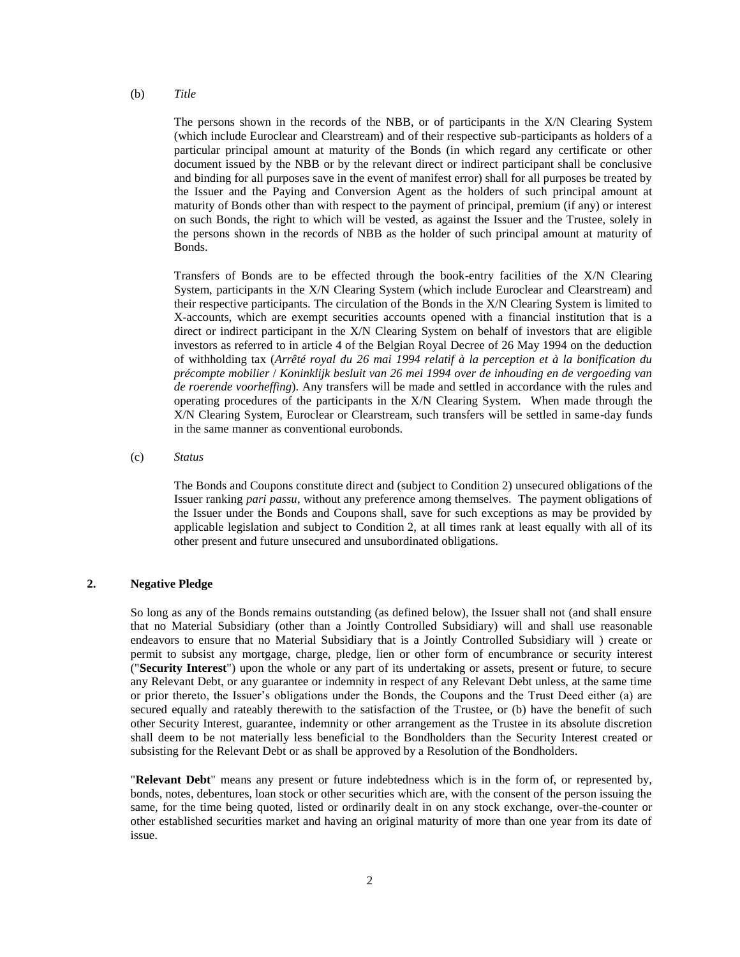(b) *Title*

The persons shown in the records of the NBB, or of participants in the X/N Clearing System (which include Euroclear and Clearstream) and of their respective sub-participants as holders of a particular principal amount at maturity of the Bonds (in which regard any certificate or other document issued by the NBB or by the relevant direct or indirect participant shall be conclusive and binding for all purposes save in the event of manifest error) shall for all purposes be treated by the Issuer and the Paying and Conversion Agent as the holders of such principal amount at maturity of Bonds other than with respect to the payment of principal, premium (if any) or interest on such Bonds, the right to which will be vested, as against the Issuer and the Trustee, solely in the persons shown in the records of NBB as the holder of such principal amount at maturity of Bonds.

Transfers of Bonds are to be effected through the book-entry facilities of the X/N Clearing System, participants in the X/N Clearing System (which include Euroclear and Clearstream) and their respective participants. The circulation of the Bonds in the X/N Clearing System is limited to X-accounts, which are exempt securities accounts opened with a financial institution that is a direct or indirect participant in the X/N Clearing System on behalf of investors that are eligible investors as referred to in article 4 of the Belgian Royal Decree of 26 May 1994 on the deduction of withholding tax (*Arrêté royal du 26 mai 1994 relatif à la perception et à la bonification du précompte mobilier* / *Koninklijk besluit van 26 mei 1994 over de inhouding en de vergoeding van de roerende voorheffing*). Any transfers will be made and settled in accordance with the rules and operating procedures of the participants in the X/N Clearing System. When made through the X/N Clearing System, Euroclear or Clearstream, such transfers will be settled in same-day funds in the same manner as conventional eurobonds.

(c) *Status*

The Bonds and Coupons constitute direct and (subject to Condition 2) unsecured obligations of the Issuer ranking *pari passu*, without any preference among themselves. The payment obligations of the Issuer under the Bonds and Coupons shall, save for such exceptions as may be provided by applicable legislation and subject to Condition 2, at all times rank at least equally with all of its other present and future unsecured and unsubordinated obligations.

## <span id="page-1-0"></span>**2. Negative Pledge**

So long as any of the Bonds remains outstanding (as defined below), the Issuer shall not (and shall ensure that no Material Subsidiary (other than a Jointly Controlled Subsidiary) will and shall use reasonable endeavors to ensure that no Material Subsidiary that is a Jointly Controlled Subsidiary will ) create or permit to subsist any mortgage, charge, pledge, lien or other form of encumbrance or security interest ("**Security Interest**") upon the whole or any part of its undertaking or assets, present or future, to secure any Relevant Debt, or any guarantee or indemnity in respect of any Relevant Debt unless, at the same time or prior thereto, the Issuer's obligations under the Bonds, the Coupons and the Trust Deed either (a) are secured equally and rateably therewith to the satisfaction of the Trustee, or (b) have the benefit of such other Security Interest, guarantee, indemnity or other arrangement as the Trustee in its absolute discretion shall deem to be not materially less beneficial to the Bondholders than the Security Interest created or subsisting for the Relevant Debt or as shall be approved by a Resolution of the Bondholders.

"**Relevant Debt**" means any present or future indebtedness which is in the form of, or represented by, bonds, notes, debentures, loan stock or other securities which are, with the consent of the person issuing the same, for the time being quoted, listed or ordinarily dealt in on any stock exchange, over-the-counter or other established securities market and having an original maturity of more than one year from its date of issue.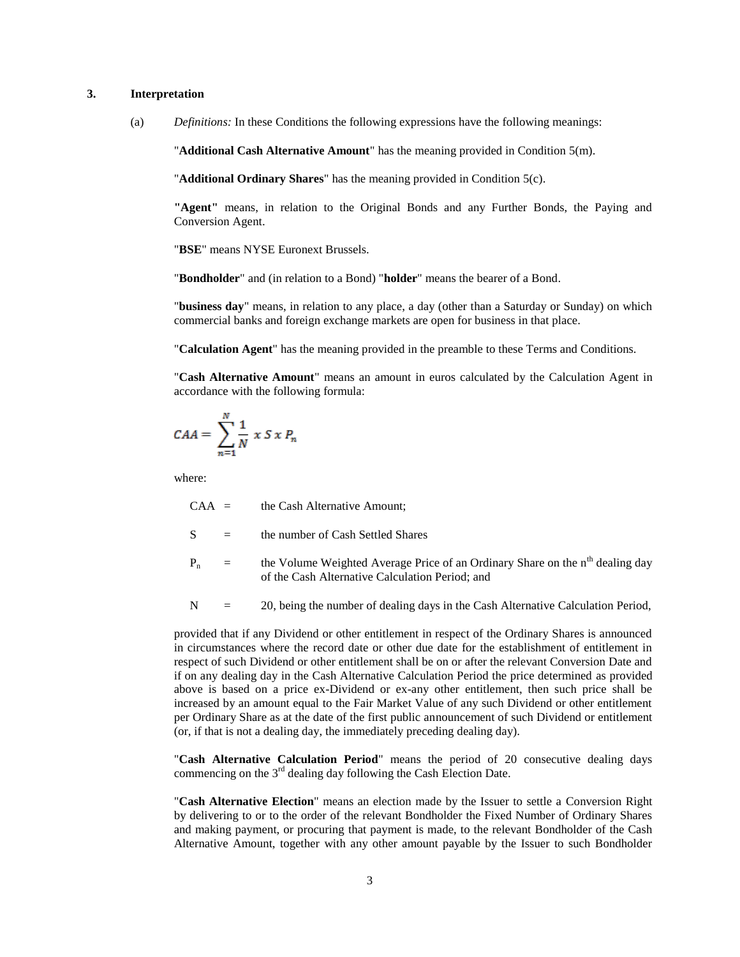# **3. Interpretation**

(a) *Definitions:* In these Conditions the following expressions have the following meanings:

"**Additional Cash Alternative Amount**" has the meaning provided in Condition [5\(m\).](#page-27-0)

"**Additional Ordinary Shares**" has the meaning provided in Condition [5\(c\).](#page-22-0)

**"Agent"** means, in relation to the Original Bonds and any Further Bonds, the Paying and Conversion Agent.

"**BSE**" means NYSE Euronext Brussels.

"**Bondholder**" and (in relation to a Bond) "**holder**" means the bearer of a Bond.

"**business day**" means, in relation to any place, a day (other than a Saturday or Sunday) on which commercial banks and foreign exchange markets are open for business in that place.

"**Calculation Agent**" has the meaning provided in the preamble to these Terms and Conditions.

"**Cash Alternative Amount**" means an amount in euros calculated by the Calculation Agent in accordance with the following formula:

$$
CAA = \sum_{n=1}^{N} \frac{1}{N} \times S \times P_n
$$

where:

 $CAA =$  the Cash Alternative Amount;

- $S =$  the number of Cash Settled Shares
- $P_n$  = the Volume Weighted Average Price of an Ordinary Share on the n<sup>th</sup> dealing day of the Cash Alternative Calculation Period; and
- $N = 20$ , being the number of dealing days in the Cash Alternative Calculation Period,

provided that if any Dividend or other entitlement in respect of the Ordinary Shares is announced in circumstances where the record date or other due date for the establishment of entitlement in respect of such Dividend or other entitlement shall be on or after the relevant Conversion Date and if on any dealing day in the Cash Alternative Calculation Period the price determined as provided above is based on a price ex-Dividend or ex-any other entitlement, then such price shall be increased by an amount equal to the Fair Market Value of any such Dividend or other entitlement per Ordinary Share as at the date of the first public announcement of such Dividend or entitlement (or, if that is not a dealing day, the immediately preceding dealing day).

"**Cash Alternative Calculation Period**" means the period of 20 consecutive dealing days commencing on the  $3<sup>rd</sup>$  dealing day following the Cash Election Date.

"**Cash Alternative Election**" means an election made by the Issuer to settle a Conversion Right by delivering to or to the order of the relevant Bondholder the Fixed Number of Ordinary Shares and making payment, or procuring that payment is made, to the relevant Bondholder of the Cash Alternative Amount, together with any other amount payable by the Issuer to such Bondholder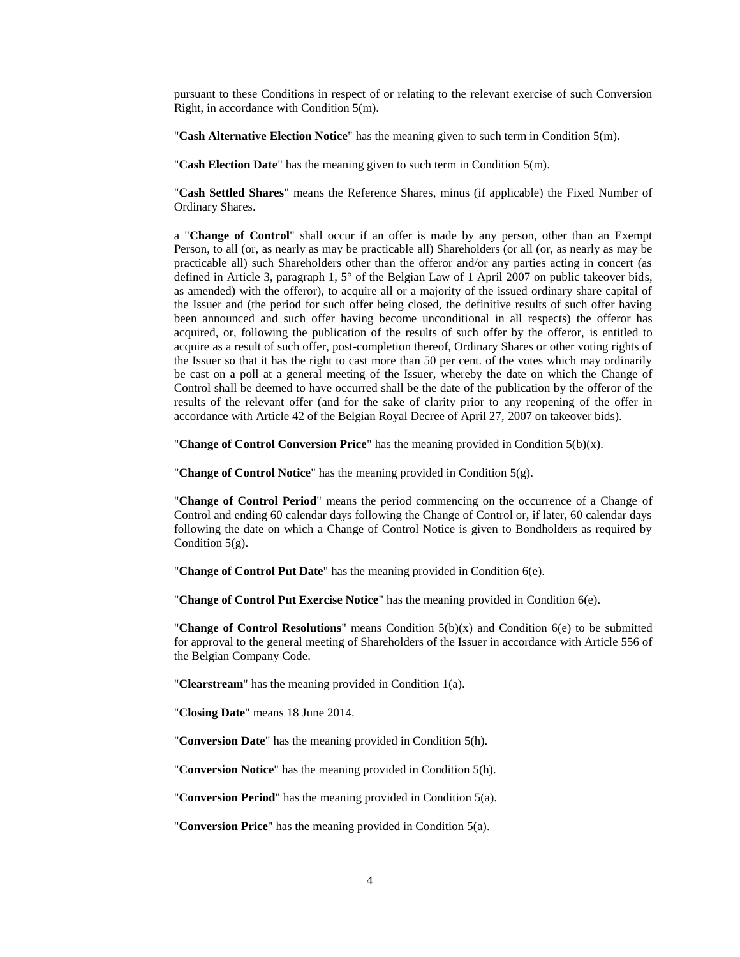pursuant to these Conditions in respect of or relating to the relevant exercise of such Conversion Right, in accordance with Condition [5\(m\).](#page-27-0)

"**Cash Alternative Election Notice**" has the meaning given to such term in Condition [5\(m\).](#page-27-0)

"**Cash Election Date**" has the meaning given to such term in Condition [5\(m\).](#page-27-0)

"**Cash Settled Shares**" means the Reference Shares, minus (if applicable) the Fixed Number of Ordinary Shares.

a "**Change of Control**" shall occur if an offer is made by any person, other than an Exempt Person, to all (or, as nearly as may be practicable all) Shareholders (or all (or, as nearly as may be practicable all) such Shareholders other than the offeror and/or any parties acting in concert (as defined in Article 3, paragraph 1, 5° of the Belgian Law of 1 April 2007 on public takeover bids, as amended) with the offeror), to acquire all or a majority of the issued ordinary share capital of the Issuer and (the period for such offer being closed, the definitive results of such offer having been announced and such offer having become unconditional in all respects) the offeror has acquired, or, following the publication of the results of such offer by the offeror, is entitled to acquire as a result of such offer, post-completion thereof, Ordinary Shares or other voting rights of the Issuer so that it has the right to cast more than 50 per cent. of the votes which may ordinarily be cast on a poll at a general meeting of the Issuer, whereby the date on which the Change of Control shall be deemed to have occurred shall be the date of the publication by the offeror of the results of the relevant offer (and for the sake of clarity prior to any reopening of the offer in accordance with Article 42 of the Belgian Royal Decree of April 27, 2007 on takeover bids).

"**Change of Control Conversion Price**" has the meaning provided in Condition [5\(b\)\(](#page-13-0)x).

"**Change of Control Notice**" has the meaning provided in Condition [5\(g\).](#page-24-0)

"**Change of Control Period**" means the period commencing on the occurrence of a Change of Control and ending 60 calendar days following the Change of Control or, if later, 60 calendar days following the date on which a Change of Control Notice is given to Bondholders as required by Condition  $5(g)$ .

"**Change of Control Put Date**" has the meaning provided in Condition [6\(e\).](#page-29-0)

"**Change of Control Put Exercise Notice**" has the meaning provided in Condition [6\(e\).](#page-29-0)

"**Change of Control Resolutions**" means Condition 5(b)(x) and Condition 6(e) to be submitted for approval to the general meeting of Shareholders of the Issuer in accordance with Article 556 of the Belgian Company Code.

"**Clearstream**" has the meaning provided in Condition [1\(a\).](#page-0-0)

"**Closing Date**" means 18 June 2014.

"**Conversion Date**" has the meaning provided in Condition [5\(h\).](#page-24-1)

"**Conversion Notice**" has the meaning provided in Condition [5\(h\).](#page-24-1)

"**Conversion Period**" has the meaning provided in Condition [5\(a\).](#page-12-0)

"**Conversion Price**" has the meaning provided in Condition [5\(a\).](#page-12-0)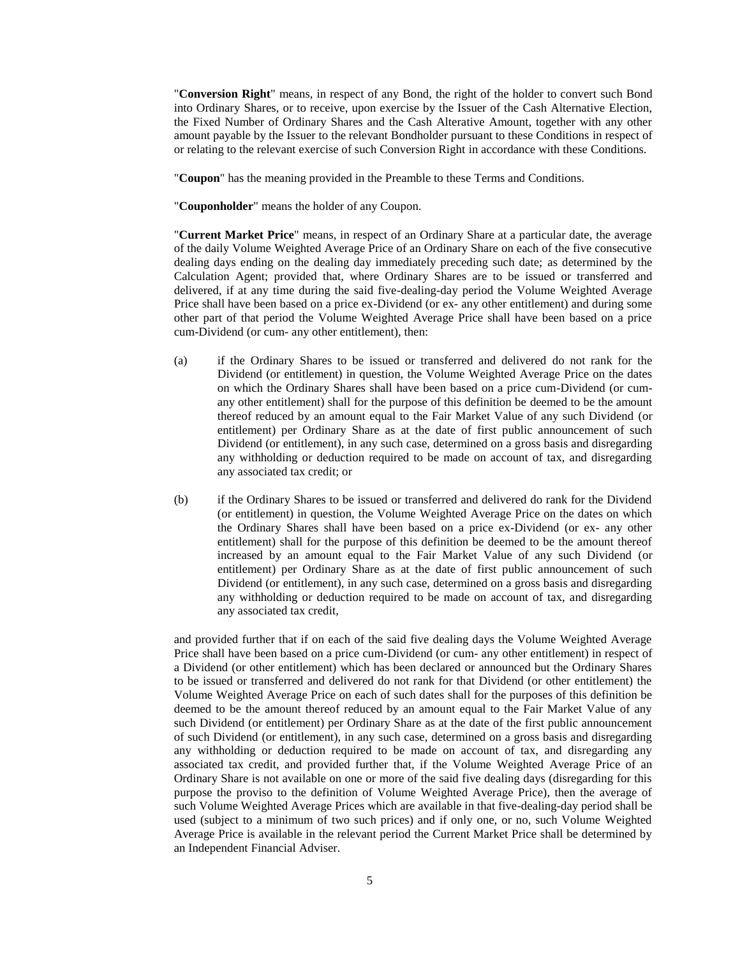"**Conversion Right**" means, in respect of any Bond, the right of the holder to convert such Bond into Ordinary Shares, or to receive, upon exercise by the Issuer of the Cash Alternative Election, the Fixed Number of Ordinary Shares and the Cash Alterative Amount, together with any other amount payable by the Issuer to the relevant Bondholder pursuant to these Conditions in respect of or relating to the relevant exercise of such Conversion Right in accordance with these Conditions.

"**Coupon**" has the meaning provided in the Preamble to these Terms and Conditions.

"**Couponholder**" means the holder of any Coupon.

"**Current Market Price**" means, in respect of an Ordinary Share at a particular date, the average of the daily Volume Weighted Average Price of an Ordinary Share on each of the five consecutive dealing days ending on the dealing day immediately preceding such date; as determined by the Calculation Agent; provided that, where Ordinary Shares are to be issued or transferred and delivered, if at any time during the said five-dealing-day period the Volume Weighted Average Price shall have been based on a price ex-Dividend (or ex- any other entitlement) and during some other part of that period the Volume Weighted Average Price shall have been based on a price cum-Dividend (or cum- any other entitlement), then:

- (a) if the Ordinary Shares to be issued or transferred and delivered do not rank for the Dividend (or entitlement) in question, the Volume Weighted Average Price on the dates on which the Ordinary Shares shall have been based on a price cum-Dividend (or cumany other entitlement) shall for the purpose of this definition be deemed to be the amount thereof reduced by an amount equal to the Fair Market Value of any such Dividend (or entitlement) per Ordinary Share as at the date of first public announcement of such Dividend (or entitlement), in any such case, determined on a gross basis and disregarding any withholding or deduction required to be made on account of tax, and disregarding any associated tax credit; or
- (b) if the Ordinary Shares to be issued or transferred and delivered do rank for the Dividend (or entitlement) in question, the Volume Weighted Average Price on the dates on which the Ordinary Shares shall have been based on a price ex-Dividend (or ex- any other entitlement) shall for the purpose of this definition be deemed to be the amount thereof increased by an amount equal to the Fair Market Value of any such Dividend (or entitlement) per Ordinary Share as at the date of first public announcement of such Dividend (or entitlement), in any such case, determined on a gross basis and disregarding any withholding or deduction required to be made on account of tax, and disregarding any associated tax credit,

and provided further that if on each of the said five dealing days the Volume Weighted Average Price shall have been based on a price cum-Dividend (or cum- any other entitlement) in respect of a Dividend (or other entitlement) which has been declared or announced but the Ordinary Shares to be issued or transferred and delivered do not rank for that Dividend (or other entitlement) the Volume Weighted Average Price on each of such dates shall for the purposes of this definition be deemed to be the amount thereof reduced by an amount equal to the Fair Market Value of any such Dividend (or entitlement) per Ordinary Share as at the date of the first public announcement of such Dividend (or entitlement), in any such case, determined on a gross basis and disregarding any withholding or deduction required to be made on account of tax, and disregarding any associated tax credit, and provided further that, if the Volume Weighted Average Price of an Ordinary Share is not available on one or more of the said five dealing days (disregarding for this purpose the proviso to the definition of Volume Weighted Average Price), then the average of such Volume Weighted Average Prices which are available in that five-dealing-day period shall be used (subject to a minimum of two such prices) and if only one, or no, such Volume Weighted Average Price is available in the relevant period the Current Market Price shall be determined by an Independent Financial Adviser.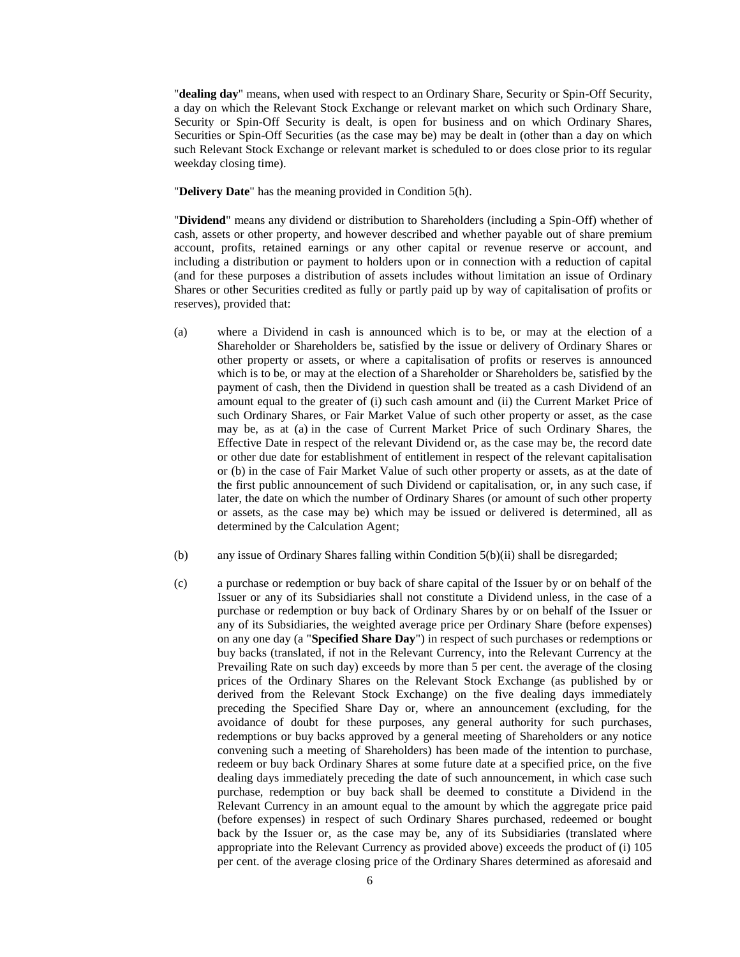"**dealing day**" means, when used with respect to an Ordinary Share, Security or Spin-Off Security, a day on which the Relevant Stock Exchange or relevant market on which such Ordinary Share, Security or Spin-Off Security is dealt, is open for business and on which Ordinary Shares, Securities or Spin-Off Securities (as the case may be) may be dealt in (other than a day on which such Relevant Stock Exchange or relevant market is scheduled to or does close prior to its regular weekday closing time).

"**Delivery Date**" has the meaning provided in Condition [5\(h\).](#page-24-1)

"**Dividend**" means any dividend or distribution to Shareholders (including a Spin-Off) whether of cash, assets or other property, and however described and whether payable out of share premium account, profits, retained earnings or any other capital or revenue reserve or account, and including a distribution or payment to holders upon or in connection with a reduction of capital (and for these purposes a distribution of assets includes without limitation an issue of Ordinary Shares or other Securities credited as fully or partly paid up by way of capitalisation of profits or reserves), provided that:

- (a) where a Dividend in cash is announced which is to be, or may at the election of a Shareholder or Shareholders be, satisfied by the issue or delivery of Ordinary Shares or other property or assets, or where a capitalisation of profits or reserves is announced which is to be, or may at the election of a Shareholder or Shareholders be, satisfied by the payment of cash, then the Dividend in question shall be treated as a cash Dividend of an amount equal to the greater of (i) such cash amount and (ii) the Current Market Price of such Ordinary Shares, or Fair Market Value of such other property or asset, as the case may be, as at (a) in the case of Current Market Price of such Ordinary Shares, the Effective Date in respect of the relevant Dividend or, as the case may be, the record date or other due date for establishment of entitlement in respect of the relevant capitalisation or (b) in the case of Fair Market Value of such other property or assets, as at the date of the first public announcement of such Dividend or capitalisation, or, in any such case, if later, the date on which the number of Ordinary Shares (or amount of such other property or assets, as the case may be) which may be issued or delivered is determined, all as determined by the Calculation Agent;
- (b) any issue of Ordinary Shares falling within Condition [5\(b\)\(](#page-13-0)ii) shall be disregarded;
- (c) a purchase or redemption or buy back of share capital of the Issuer by or on behalf of the Issuer or any of its Subsidiaries shall not constitute a Dividend unless, in the case of a purchase or redemption or buy back of Ordinary Shares by or on behalf of the Issuer or any of its Subsidiaries, the weighted average price per Ordinary Share (before expenses) on any one day (a "**Specified Share Day**") in respect of such purchases or redemptions or buy backs (translated, if not in the Relevant Currency, into the Relevant Currency at the Prevailing Rate on such day) exceeds by more than 5 per cent. the average of the closing prices of the Ordinary Shares on the Relevant Stock Exchange (as published by or derived from the Relevant Stock Exchange) on the five dealing days immediately preceding the Specified Share Day or, where an announcement (excluding, for the avoidance of doubt for these purposes, any general authority for such purchases, redemptions or buy backs approved by a general meeting of Shareholders or any notice convening such a meeting of Shareholders) has been made of the intention to purchase, redeem or buy back Ordinary Shares at some future date at a specified price, on the five dealing days immediately preceding the date of such announcement, in which case such purchase, redemption or buy back shall be deemed to constitute a Dividend in the Relevant Currency in an amount equal to the amount by which the aggregate price paid (before expenses) in respect of such Ordinary Shares purchased, redeemed or bought back by the Issuer or, as the case may be, any of its Subsidiaries (translated where appropriate into the Relevant Currency as provided above) exceeds the product of (i) 105 per cent. of the average closing price of the Ordinary Shares determined as aforesaid and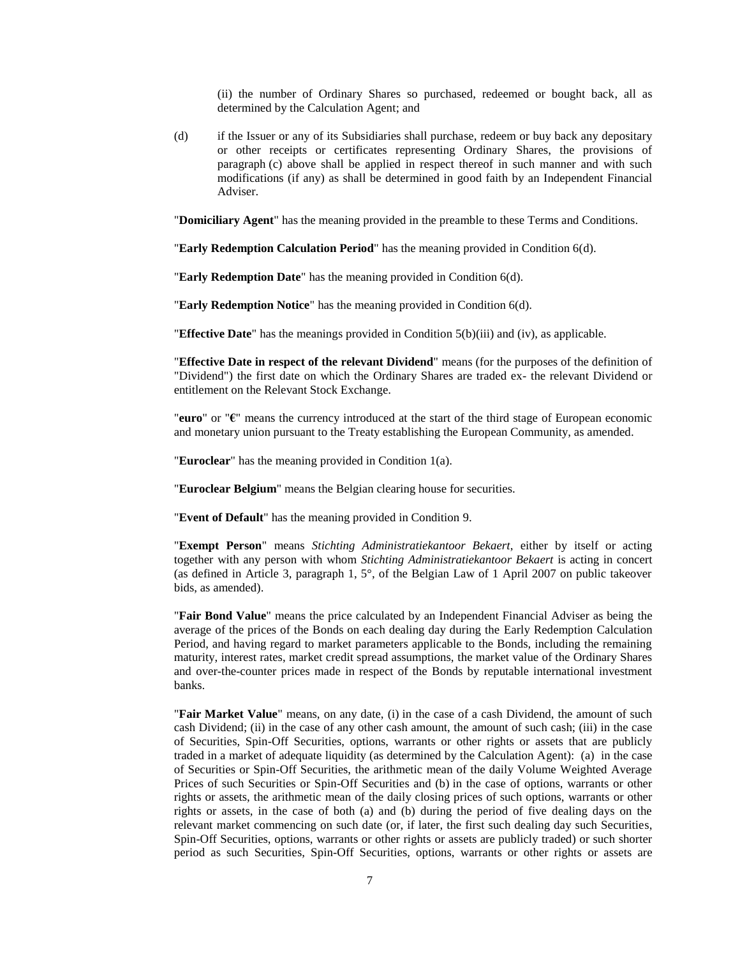(ii) the number of Ordinary Shares so purchased, redeemed or bought back, all as determined by the Calculation Agent; and

(d) if the Issuer or any of its Subsidiaries shall purchase, redeem or buy back any depositary or other receipts or certificates representing Ordinary Shares, the provisions of paragraph (c) above shall be applied in respect thereof in such manner and with such modifications (if any) as shall be determined in good faith by an Independent Financial Adviser.

"**Domiciliary Agent**" has the meaning provided in the preamble to these Terms and Conditions.

"**Early Redemption Calculation Period**" has the meaning provided in Condition 6(d).

"**Early Redemption Date**" has the meaning provided in Condition 6(d).

"**Early Redemption Notice**" has the meaning provided in Condition 6(d).

"**Effective Date**" has the meanings provided in Condition [5\(b\)\(](#page-13-0)iii) and (iv), as applicable.

"**Effective Date in respect of the relevant Dividend**" means (for the purposes of the definition of "Dividend") the first date on which the Ordinary Shares are traded ex- the relevant Dividend or entitlement on the Relevant Stock Exchange.

"**euro**" or "**€**" means the currency introduced at the start of the third stage of European economic and monetary union pursuant to the Treaty establishing the European Community, as amended.

"**Euroclear**" has the meaning provided in Condition [1\(a\).](#page-0-0)

"**Euroclear Belgium**" means the Belgian clearing house for securities.

"**Event of Default**" has the meaning provided in Condition [9.](#page-32-0)

"**Exempt Person**" means *Stichting Administratiekantoor Bekaert*, either by itself or acting together with any person with whom *Stichting Administratiekantoor Bekaert* is acting in concert (as defined in Article 3, paragraph 1, 5°, of the Belgian Law of 1 April 2007 on public takeover bids, as amended).

"**Fair Bond Value**" means the price calculated by an Independent Financial Adviser as being the average of the prices of the Bonds on each dealing day during the Early Redemption Calculation Period, and having regard to market parameters applicable to the Bonds, including the remaining maturity, interest rates, market credit spread assumptions, the market value of the Ordinary Shares and over-the-counter prices made in respect of the Bonds by reputable international investment banks.

"**Fair Market Value**" means, on any date, (i) in the case of a cash Dividend, the amount of such cash Dividend; (ii) in the case of any other cash amount, the amount of such cash; (iii) in the case of Securities, Spin-Off Securities, options, warrants or other rights or assets that are publicly traded in a market of adequate liquidity (as determined by the Calculation Agent): (a) in the case of Securities or Spin-Off Securities, the arithmetic mean of the daily Volume Weighted Average Prices of such Securities or Spin-Off Securities and (b) in the case of options, warrants or other rights or assets, the arithmetic mean of the daily closing prices of such options, warrants or other rights or assets, in the case of both (a) and (b) during the period of five dealing days on the relevant market commencing on such date (or, if later, the first such dealing day such Securities, Spin-Off Securities, options, warrants or other rights or assets are publicly traded) or such shorter period as such Securities, Spin-Off Securities, options, warrants or other rights or assets are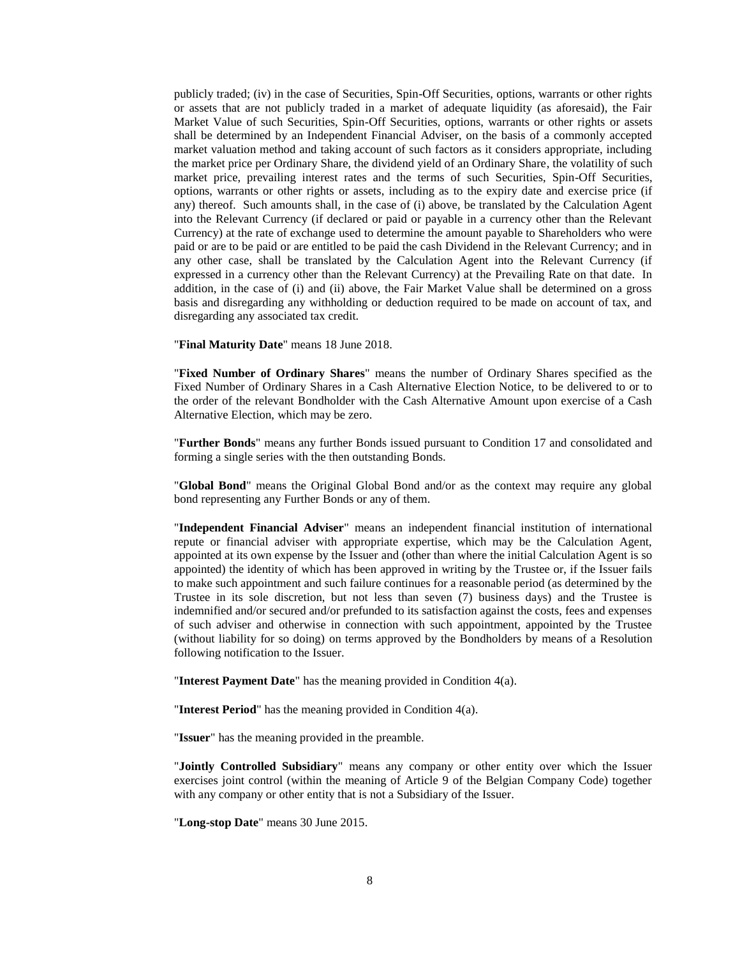publicly traded; (iv) in the case of Securities, Spin-Off Securities, options, warrants or other rights or assets that are not publicly traded in a market of adequate liquidity (as aforesaid), the Fair Market Value of such Securities, Spin-Off Securities, options, warrants or other rights or assets shall be determined by an Independent Financial Adviser, on the basis of a commonly accepted market valuation method and taking account of such factors as it considers appropriate, including the market price per Ordinary Share, the dividend yield of an Ordinary Share, the volatility of such market price, prevailing interest rates and the terms of such Securities, Spin-Off Securities, options, warrants or other rights or assets, including as to the expiry date and exercise price (if any) thereof. Such amounts shall, in the case of (i) above, be translated by the Calculation Agent into the Relevant Currency (if declared or paid or payable in a currency other than the Relevant Currency) at the rate of exchange used to determine the amount payable to Shareholders who were paid or are to be paid or are entitled to be paid the cash Dividend in the Relevant Currency; and in any other case, shall be translated by the Calculation Agent into the Relevant Currency (if expressed in a currency other than the Relevant Currency) at the Prevailing Rate on that date. In addition, in the case of (i) and (ii) above, the Fair Market Value shall be determined on a gross basis and disregarding any withholding or deduction required to be made on account of tax, and disregarding any associated tax credit.

"**Final Maturity Date**" means 18 June 2018.

"**Fixed Number of Ordinary Shares**" means the number of Ordinary Shares specified as the Fixed Number of Ordinary Shares in a Cash Alternative Election Notice, to be delivered to or to the order of the relevant Bondholder with the Cash Alternative Amount upon exercise of a Cash Alternative Election, which may be zero.

"**Further Bonds**" means any further Bonds issued pursuant to Condition [17](#page-40-0) and consolidated and forming a single series with the then outstanding Bonds.

"**Global Bond**" means the Original Global Bond and/or as the context may require any global bond representing any Further Bonds or any of them.

"**Independent Financial Adviser**" means an independent financial institution of international repute or financial adviser with appropriate expertise, which may be the Calculation Agent, appointed at its own expense by the Issuer and (other than where the initial Calculation Agent is so appointed) the identity of which has been approved in writing by the Trustee or, if the Issuer fails to make such appointment and such failure continues for a reasonable period (as determined by the Trustee in its sole discretion, but not less than seven (7) business days) and the Trustee is indemnified and/or secured and/or prefunded to its satisfaction against the costs, fees and expenses of such adviser and otherwise in connection with such appointment, appointed by the Trustee (without liability for so doing) on terms approved by the Bondholders by means of a Resolution following notification to the Issuer.

"**Interest Payment Date**" has the meaning provided in Condition [4\(a\).](#page-11-0)

"**Interest Period**" has the meaning provided in Condition [4\(a\).](#page-11-0)

"**Issuer**" has the meaning provided in the preamble.

"**Jointly Controlled Subsidiary**" means any company or other entity over which the Issuer exercises joint control (within the meaning of Article 9 of the Belgian Company Code) together with any company or other entity that is not a Subsidiary of the Issuer.

"**Long-stop Date**" means 30 June 2015.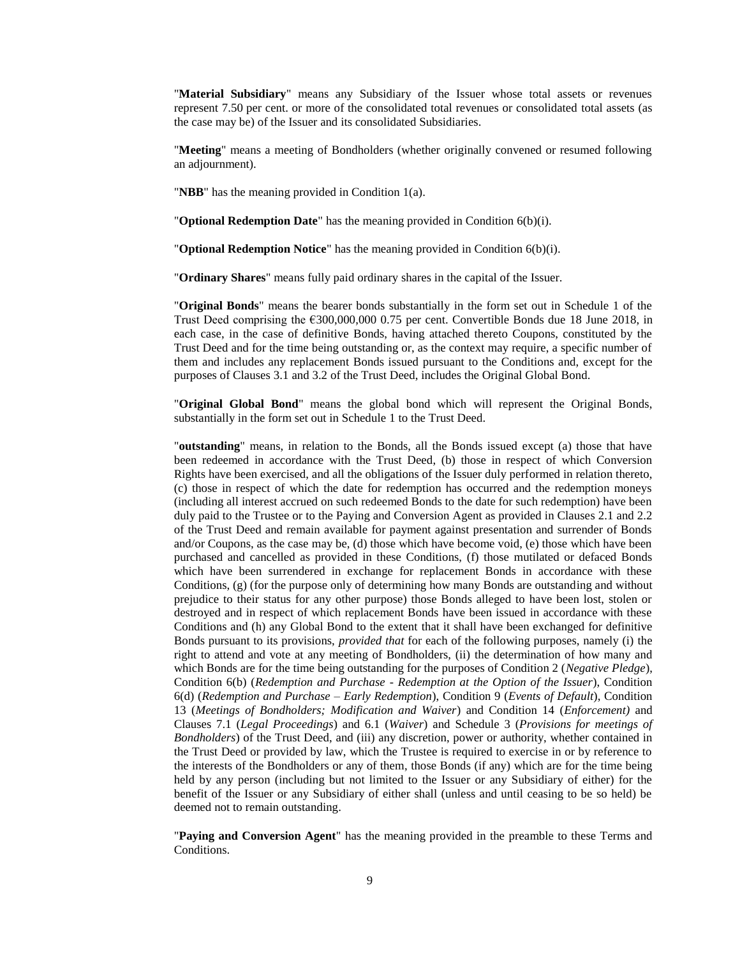"**Material Subsidiary**" means any Subsidiary of the Issuer whose total assets or revenues represent 7.50 per cent. or more of the consolidated total revenues or consolidated total assets (as the case may be) of the Issuer and its consolidated Subsidiaries.

"**Meeting**" means a meeting of Bondholders (whether originally convened or resumed following an adjournment).

"**NBB**" has the meaning provided in Condition [1\(a\).](#page-0-0)

"**Optional Redemption Date**" has the meaning provided in Condition [6\(b\)\(](#page-28-0)i).

"**Optional Redemption Notice**" has the meaning provided in Condition [6\(b\)\(](#page-28-0)i).

"**Ordinary Shares**" means fully paid ordinary shares in the capital of the Issuer.

"**Original Bonds**" means the bearer bonds substantially in the form set out in Schedule 1 of the Trust Deed comprising the €300,000,000 0.75 per cent. Convertible Bonds due 18 June 2018, in each case, in the case of definitive Bonds, having attached thereto Coupons, constituted by the Trust Deed and for the time being outstanding or, as the context may require, a specific number of them and includes any replacement Bonds issued pursuant to the Conditions and, except for the purposes of Clauses 3.1 and 3.2 of the Trust Deed, includes the Original Global Bond.

"**Original Global Bond**" means the global bond which will represent the Original Bonds, substantially in the form set out in Schedule 1 to the Trust Deed.

"**outstanding**" means, in relation to the Bonds, all the Bonds issued except (a) those that have been redeemed in accordance with the Trust Deed, (b) those in respect of which Conversion Rights have been exercised, and all the obligations of the Issuer duly performed in relation thereto, (c) those in respect of which the date for redemption has occurred and the redemption moneys (including all interest accrued on such redeemed Bonds to the date for such redemption) have been duly paid to the Trustee or to the Paying and Conversion Agent as provided in Clauses 2.1 and 2.2 of the Trust Deed and remain available for payment against presentation and surrender of Bonds and/or Coupons, as the case may be, (d) those which have become void, (e) those which have been purchased and cancelled as provided in these Conditions, (f) those mutilated or defaced Bonds which have been surrendered in exchange for replacement Bonds in accordance with these Conditions, (g) (for the purpose only of determining how many Bonds are outstanding and without prejudice to their status for any other purpose) those Bonds alleged to have been lost, stolen or destroyed and in respect of which replacement Bonds have been issued in accordance with these Conditions and (h) any Global Bond to the extent that it shall have been exchanged for definitive Bonds pursuant to its provisions, *provided that* for each of the following purposes, namely (i) the right to attend and vote at any meeting of Bondholders, (ii) the determination of how many and which Bonds are for the time being outstanding for the purposes of Condition 2 (*Negative Pledge*), Condition 6(b) (*Redemption and Purchase - Redemption at the Option of the Issuer*), Condition 6(d) (*Redemption and Purchase – Early Redemption*), Condition 9 (*Events of Default*), Condition 13 (*Meetings of Bondholders; Modification and Waiver*) and Condition 14 (*Enforcement)* and Clauses 7.1 (*Legal Proceedings*) and 6.1 (*Waiver*) and Schedule 3 (*Provisions for meetings of Bondholders*) of the Trust Deed, and (iii) any discretion, power or authority, whether contained in the Trust Deed or provided by law, which the Trustee is required to exercise in or by reference to the interests of the Bondholders or any of them, those Bonds (if any) which are for the time being held by any person (including but not limited to the Issuer or any Subsidiary of either) for the benefit of the Issuer or any Subsidiary of either shall (unless and until ceasing to be so held) be deemed not to remain outstanding.

"**Paying and Conversion Agent**" has the meaning provided in the preamble to these Terms and Conditions.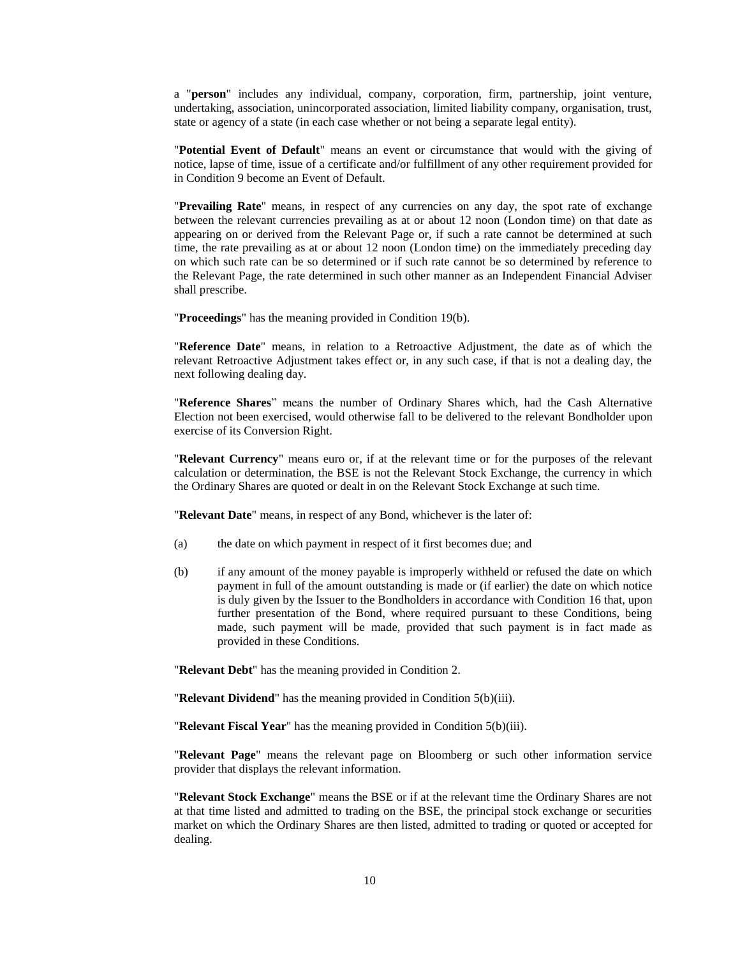a "**person**" includes any individual, company, corporation, firm, partnership, joint venture, undertaking, association, unincorporated association, limited liability company, organisation, trust, state or agency of a state (in each case whether or not being a separate legal entity).

"**Potential Event of Default**" means an event or circumstance that would with the giving of notice, lapse of time, issue of a certificate and/or fulfillment of any other requirement provided for in Condition [9](#page-32-0) become an Event of Default.

"**Prevailing Rate**" means, in respect of any currencies on any day, the spot rate of exchange between the relevant currencies prevailing as at or about 12 noon (London time) on that date as appearing on or derived from the Relevant Page or, if such a rate cannot be determined at such time, the rate prevailing as at or about 12 noon (London time) on the immediately preceding day on which such rate can be so determined or if such rate cannot be so determined by reference to the Relevant Page, the rate determined in such other manner as an Independent Financial Adviser shall prescribe.

"**Proceedings**" has the meaning provided in Condition [19\(b\).](#page-41-0)

"**Reference Date**" means, in relation to a Retroactive Adjustment, the date as of which the relevant Retroactive Adjustment takes effect or, in any such case, if that is not a dealing day, the next following dealing day.

"**Reference Shares**" means the number of Ordinary Shares which, had the Cash Alternative Election not been exercised, would otherwise fall to be delivered to the relevant Bondholder upon exercise of its Conversion Right.

"**Relevant Currency**" means euro or, if at the relevant time or for the purposes of the relevant calculation or determination, the BSE is not the Relevant Stock Exchange, the currency in which the Ordinary Shares are quoted or dealt in on the Relevant Stock Exchange at such time.

"**Relevant Date**" means, in respect of any Bond, whichever is the later of:

- (a) the date on which payment in respect of it first becomes due; and
- (b) if any amount of the money payable is improperly withheld or refused the date on which payment in full of the amount outstanding is made or (if earlier) the date on which notice is duly given by the Issuer to the Bondholders in accordance with Condition [16](#page-40-1) that, upon further presentation of the Bond, where required pursuant to these Conditions, being made, such payment will be made, provided that such payment is in fact made as provided in these Conditions.

"**Relevant Debt**" has the meaning provided in Condition [2.](#page-1-0)

"**Relevant Dividend**" has the meaning provided in Condition [5\(b\)\(](#page-13-0)iii).

"**Relevant Fiscal Year**" has the meaning provided in Condition [5\(b\)\(](#page-13-0)iii).

"**Relevant Page**" means the relevant page on Bloomberg or such other information service provider that displays the relevant information.

"**Relevant Stock Exchange**" means the BSE or if at the relevant time the Ordinary Shares are not at that time listed and admitted to trading on the BSE, the principal stock exchange or securities market on which the Ordinary Shares are then listed, admitted to trading or quoted or accepted for dealing.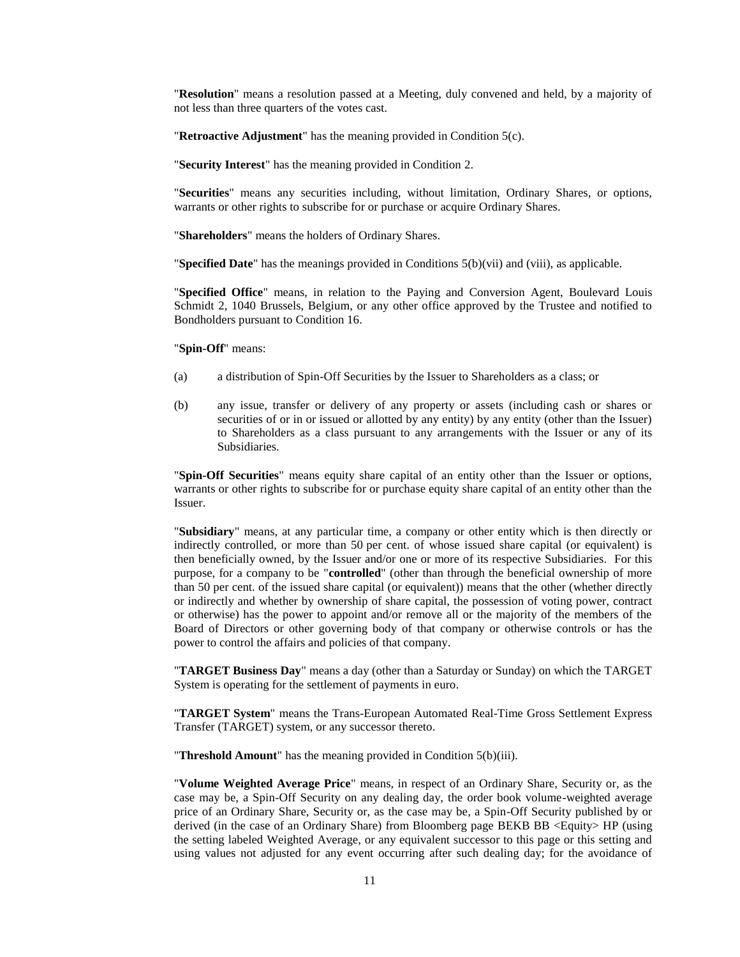"**Resolution**" means a resolution passed at a Meeting, duly convened and held, by a majority of not less than three quarters of the votes cast.

"**Retroactive Adjustment**" has the meaning provided in Condition [5\(c\).](#page-22-0)

"**Security Interest**" has the meaning provided in Condition [2.](#page-1-0)

"**Securities**" means any securities including, without limitation, Ordinary Shares, or options, warrants or other rights to subscribe for or purchase or acquire Ordinary Shares.

"**Shareholders**" means the holders of Ordinary Shares.

"**Specified Date**" has the meanings provided in Conditions [5\(b\)\(](#page-13-0)vii) and (viii), as applicable.

"**Specified Office**" means, in relation to the Paying and Conversion Agent, Boulevard Louis Schmidt 2, 1040 Brussels, Belgium, or any other office approved by the Trustee and notified to Bondholders pursuant to Condition 16.

"**Spin-Off**" means:

- (a) a distribution of Spin-Off Securities by the Issuer to Shareholders as a class; or
- (b) any issue, transfer or delivery of any property or assets (including cash or shares or securities of or in or issued or allotted by any entity) by any entity (other than the Issuer) to Shareholders as a class pursuant to any arrangements with the Issuer or any of its Subsidiaries.

"**Spin-Off Securities**" means equity share capital of an entity other than the Issuer or options, warrants or other rights to subscribe for or purchase equity share capital of an entity other than the Issuer.

"**Subsidiary**" means, at any particular time, a company or other entity which is then directly or indirectly controlled, or more than 50 per cent. of whose issued share capital (or equivalent) is then beneficially owned, by the Issuer and/or one or more of its respective Subsidiaries. For this purpose, for a company to be "**controlled**" (other than through the beneficial ownership of more than 50 per cent. of the issued share capital (or equivalent)) means that the other (whether directly or indirectly and whether by ownership of share capital, the possession of voting power, contract or otherwise) has the power to appoint and/or remove all or the majority of the members of the Board of Directors or other governing body of that company or otherwise controls or has the power to control the affairs and policies of that company.

"**TARGET Business Day**" means a day (other than a Saturday or Sunday) on which the TARGET System is operating for the settlement of payments in euro.

"**TARGET System**" means the Trans-European Automated Real-Time Gross Settlement Express Transfer (TARGET) system, or any successor thereto.

"**Threshold Amount**" has the meaning provided in Condition [5\(b\)\(](#page-13-0)iii).

"**Volume Weighted Average Price**" means, in respect of an Ordinary Share, Security or, as the case may be, a Spin-Off Security on any dealing day, the order book volume-weighted average price of an Ordinary Share, Security or, as the case may be, a Spin-Off Security published by or derived (in the case of an Ordinary Share) from Bloomberg page BEKB BB <Equity> HP (using the setting labeled Weighted Average, or any equivalent successor to this page or this setting and using values not adjusted for any event occurring after such dealing day; for the avoidance of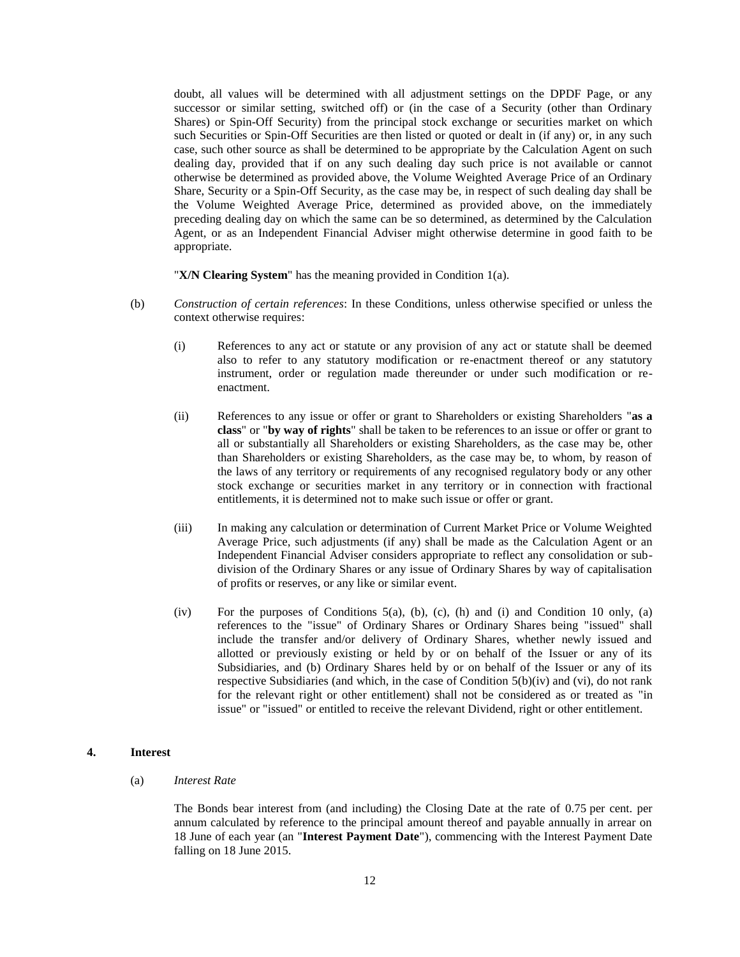doubt, all values will be determined with all adjustment settings on the DPDF Page, or any successor or similar setting, switched off) or (in the case of a Security (other than Ordinary Shares) or Spin-Off Security) from the principal stock exchange or securities market on which such Securities or Spin-Off Securities are then listed or quoted or dealt in (if any) or, in any such case, such other source as shall be determined to be appropriate by the Calculation Agent on such dealing day, provided that if on any such dealing day such price is not available or cannot otherwise be determined as provided above, the Volume Weighted Average Price of an Ordinary Share, Security or a Spin-Off Security, as the case may be, in respect of such dealing day shall be the Volume Weighted Average Price, determined as provided above, on the immediately preceding dealing day on which the same can be so determined, as determined by the Calculation Agent, or as an Independent Financial Adviser might otherwise determine in good faith to be appropriate.

"**X/N Clearing System**" has the meaning provided in Condition [1\(a\).](#page-0-0)

- (b) *Construction of certain references*: In these Conditions, unless otherwise specified or unless the context otherwise requires:
	- (i) References to any act or statute or any provision of any act or statute shall be deemed also to refer to any statutory modification or re-enactment thereof or any statutory instrument, order or regulation made thereunder or under such modification or reenactment.
	- (ii) References to any issue or offer or grant to Shareholders or existing Shareholders "**as a class**" or "**by way of rights**" shall be taken to be references to an issue or offer or grant to all or substantially all Shareholders or existing Shareholders, as the case may be, other than Shareholders or existing Shareholders, as the case may be, to whom, by reason of the laws of any territory or requirements of any recognised regulatory body or any other stock exchange or securities market in any territory or in connection with fractional entitlements, it is determined not to make such issue or offer or grant.
	- (iii) In making any calculation or determination of Current Market Price or Volume Weighted Average Price, such adjustments (if any) shall be made as the Calculation Agent or an Independent Financial Adviser considers appropriate to reflect any consolidation or subdivision of the Ordinary Shares or any issue of Ordinary Shares by way of capitalisation of profits or reserves, or any like or similar event.
	- (iv) For the purposes of Conditions  $5(a)$ , [\(b\),](#page-13-0) [\(c\),](#page-22-0) [\(h\)](#page-24-1) and [\(i\)](#page-26-0) and Condition [10](#page-34-0) only, (a) references to the "issue" of Ordinary Shares or Ordinary Shares being "issued" shall include the transfer and/or delivery of Ordinary Shares, whether newly issued and allotted or previously existing or held by or on behalf of the Issuer or any of its Subsidiaries, and (b) Ordinary Shares held by or on behalf of the Issuer or any of its respective Subsidiaries (and which, in the case of Condition [5\(b\)\(](#page-13-0)iv) and (vi), do not rank for the relevant right or other entitlement) shall not be considered as or treated as "in issue" or "issued" or entitled to receive the relevant Dividend, right or other entitlement.

# <span id="page-11-0"></span>**4. Interest**

(a) *Interest Rate*

The Bonds bear interest from (and including) the Closing Date at the rate of 0.75 per cent. per annum calculated by reference to the principal amount thereof and payable annually in arrear on 18 June of each year (an "**Interest Payment Date**"), commencing with the Interest Payment Date falling on 18 June 2015.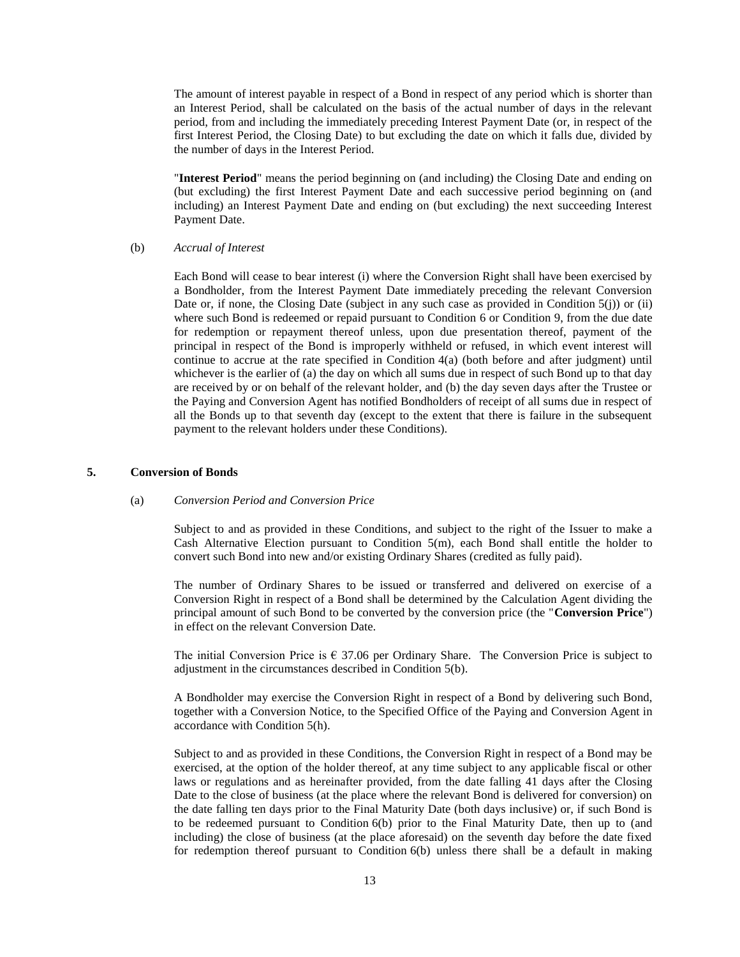The amount of interest payable in respect of a Bond in respect of any period which is shorter than an Interest Period, shall be calculated on the basis of the actual number of days in the relevant period, from and including the immediately preceding Interest Payment Date (or, in respect of the first Interest Period, the Closing Date) to but excluding the date on which it falls due, divided by the number of days in the Interest Period.

"**Interest Period**" means the period beginning on (and including) the Closing Date and ending on (but excluding) the first Interest Payment Date and each successive period beginning on (and including) an Interest Payment Date and ending on (but excluding) the next succeeding Interest Payment Date.

(b) *Accrual of Interest*

Each Bond will cease to bear interest (i) where the Conversion Right shall have been exercised by a Bondholder, from the Interest Payment Date immediately preceding the relevant Conversion Date or, if none, the Closing Date (subject in any such case as provided in Condition [5\(j\)\)](#page-26-1) or (ii) where such Bond is redeemed or repaid pursuant to Condition [6](#page-28-1) or Condition [9,](#page-32-0) from the due date for redemption or repayment thereof unless, upon due presentation thereof, payment of the principal in respect of the Bond is improperly withheld or refused, in which event interest will continue to accrue at the rate specified in Condition [4\(a\)](#page-11-0) (both before and after judgment) until whichever is the earlier of (a) the day on which all sums due in respect of such Bond up to that day are received by or on behalf of the relevant holder, and (b) the day seven days after the Trustee or the Paying and Conversion Agent has notified Bondholders of receipt of all sums due in respect of all the Bonds up to that seventh day (except to the extent that there is failure in the subsequent payment to the relevant holders under these Conditions).

## <span id="page-12-0"></span>**5. Conversion of Bonds**

#### (a) *Conversion Period and Conversion Price*

Subject to and as provided in these Conditions, and subject to the right of the Issuer to make a Cash Alternative Election pursuant to Condition  $5(m)$ , each Bond shall entitle the holder to convert such Bond into new and/or existing Ordinary Shares (credited as fully paid).

The number of Ordinary Shares to be issued or transferred and delivered on exercise of a Conversion Right in respect of a Bond shall be determined by the Calculation Agent dividing the principal amount of such Bond to be converted by the conversion price (the "**Conversion Price**") in effect on the relevant Conversion Date.

The initial Conversion Price is  $\epsilon$  37.06 per Ordinary Share. The Conversion Price is subject to adjustment in the circumstances described in Condition [5\(b\).](#page-13-0)

A Bondholder may exercise the Conversion Right in respect of a Bond by delivering such Bond, together with a Conversion Notice, to the Specified Office of the Paying and Conversion Agent in accordance with Condition [5\(h\).](#page-24-1)

Subject to and as provided in these Conditions, the Conversion Right in respect of a Bond may be exercised, at the option of the holder thereof, at any time subject to any applicable fiscal or other laws or regulations and as hereinafter provided, from the date falling 41 days after the Closing Date to the close of business (at the place where the relevant Bond is delivered for conversion) on the date falling ten days prior to the Final Maturity Date (both days inclusive) or, if such Bond is to be redeemed pursuant to Condition [6\(b\)](#page-28-0) prior to the Final Maturity Date, then up to (and including) the close of business (at the place aforesaid) on the seventh day before the date fixed for redemption thereof pursuant to Condition [6\(b\)](#page-28-0) unless there shall be a default in making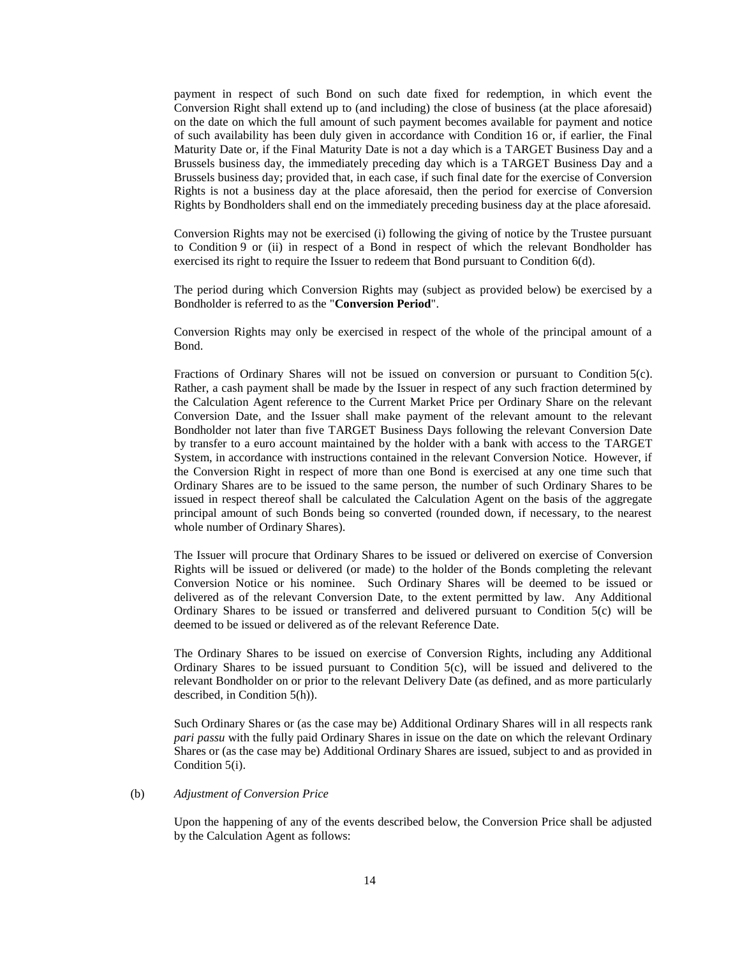payment in respect of such Bond on such date fixed for redemption, in which event the Conversion Right shall extend up to (and including) the close of business (at the place aforesaid) on the date on which the full amount of such payment becomes available for payment and notice of such availability has been duly given in accordance with Condition [16](#page-40-1) or, if earlier, the Final Maturity Date or, if the Final Maturity Date is not a day which is a TARGET Business Day and a Brussels business day, the immediately preceding day which is a TARGET Business Day and a Brussels business day; provided that, in each case, if such final date for the exercise of Conversion Rights is not a business day at the place aforesaid, then the period for exercise of Conversion Rights by Bondholders shall end on the immediately preceding business day at the place aforesaid.

Conversion Rights may not be exercised (i) following the giving of notice by the Trustee pursuant to Condition [9](#page-32-0) or (ii) in respect of a Bond in respect of which the relevant Bondholder has exercised its right to require the Issuer to redeem that Bond pursuant to Condition [6\(d\).](#page-29-1)

The period during which Conversion Rights may (subject as provided below) be exercised by a Bondholder is referred to as the "**Conversion Period**".

Conversion Rights may only be exercised in respect of the whole of the principal amount of a Bond.

Fractions of Ordinary Shares will not be issued on conversion or pursuant to Condition [5\(c\).](#page-22-0) Rather, a cash payment shall be made by the Issuer in respect of any such fraction determined by the Calculation Agent reference to the Current Market Price per Ordinary Share on the relevant Conversion Date, and the Issuer shall make payment of the relevant amount to the relevant Bondholder not later than five TARGET Business Days following the relevant Conversion Date by transfer to a euro account maintained by the holder with a bank with access to the TARGET System, in accordance with instructions contained in the relevant Conversion Notice. However, if the Conversion Right in respect of more than one Bond is exercised at any one time such that Ordinary Shares are to be issued to the same person, the number of such Ordinary Shares to be issued in respect thereof shall be calculated the Calculation Agent on the basis of the aggregate principal amount of such Bonds being so converted (rounded down, if necessary, to the nearest whole number of Ordinary Shares).

The Issuer will procure that Ordinary Shares to be issued or delivered on exercise of Conversion Rights will be issued or delivered (or made) to the holder of the Bonds completing the relevant Conversion Notice or his nominee. Such Ordinary Shares will be deemed to be issued or delivered as of the relevant Conversion Date, to the extent permitted by law. Any Additional Ordinary Shares to be issued or transferred and delivered pursuant to Condition [5\(c\)](#page-22-0) will be deemed to be issued or delivered as of the relevant Reference Date.

The Ordinary Shares to be issued on exercise of Conversion Rights, including any Additional Ordinary Shares to be issued pursuant to Condition [5\(c\),](#page-22-0) will be issued and delivered to the relevant Bondholder on or prior to the relevant Delivery Date (as defined, and as more particularly described, in Condition [5\(h\)\)](#page-24-1).

Such Ordinary Shares or (as the case may be) Additional Ordinary Shares will in all respects rank *pari passu* with the fully paid Ordinary Shares in issue on the date on which the relevant Ordinary Shares or (as the case may be) Additional Ordinary Shares are issued, subject to and as provided in Condition [5\(i\).](#page-26-0)

### <span id="page-13-0"></span>(b) *Adjustment of Conversion Price*

Upon the happening of any of the events described below, the Conversion Price shall be adjusted by the Calculation Agent as follows: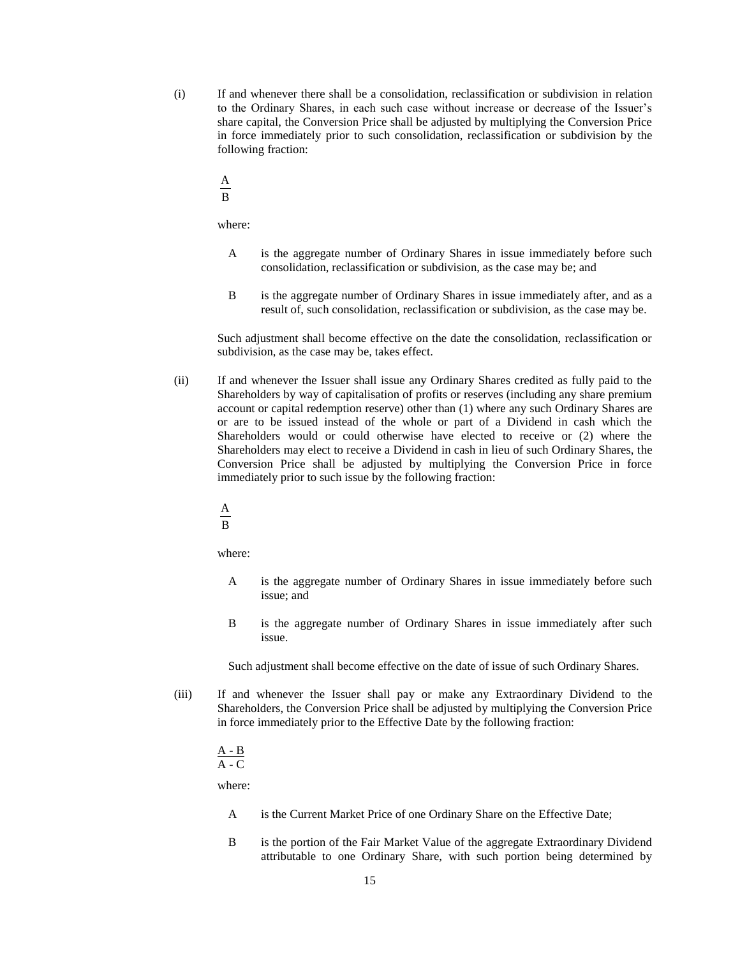- (i) If and whenever there shall be a consolidation, reclassification or subdivision in relation to the Ordinary Shares, in each such case without increase or decrease of the Issuer's share capital, the Conversion Price shall be adjusted by multiplying the Conversion Price in force immediately prior to such consolidation, reclassification or subdivision by the following fraction:
	- A

B

where:

- A is the aggregate number of Ordinary Shares in issue immediately before such consolidation, reclassification or subdivision, as the case may be; and
- B is the aggregate number of Ordinary Shares in issue immediately after, and as a result of, such consolidation, reclassification or subdivision, as the case may be.

Such adjustment shall become effective on the date the consolidation, reclassification or subdivision, as the case may be, takes effect.

- (ii) If and whenever the Issuer shall issue any Ordinary Shares credited as fully paid to the Shareholders by way of capitalisation of profits or reserves (including any share premium account or capital redemption reserve) other than (1) where any such Ordinary Shares are or are to be issued instead of the whole or part of a Dividend in cash which the Shareholders would or could otherwise have elected to receive or (2) where the Shareholders may elect to receive a Dividend in cash in lieu of such Ordinary Shares, the Conversion Price shall be adjusted by multiplying the Conversion Price in force immediately prior to such issue by the following fraction:
	- B A

where:

- A is the aggregate number of Ordinary Shares in issue immediately before such issue; and
- B is the aggregate number of Ordinary Shares in issue immediately after such issue.

Such adjustment shall become effective on the date of issue of such Ordinary Shares.

(iii) If and whenever the Issuer shall pay or make any Extraordinary Dividend to the Shareholders, the Conversion Price shall be adjusted by multiplying the Conversion Price in force immediately prior to the Effective Date by the following fraction:

#### A - B  $A - C$

where:

- A is the Current Market Price of one Ordinary Share on the Effective Date;
- B is the portion of the Fair Market Value of the aggregate Extraordinary Dividend attributable to one Ordinary Share, with such portion being determined by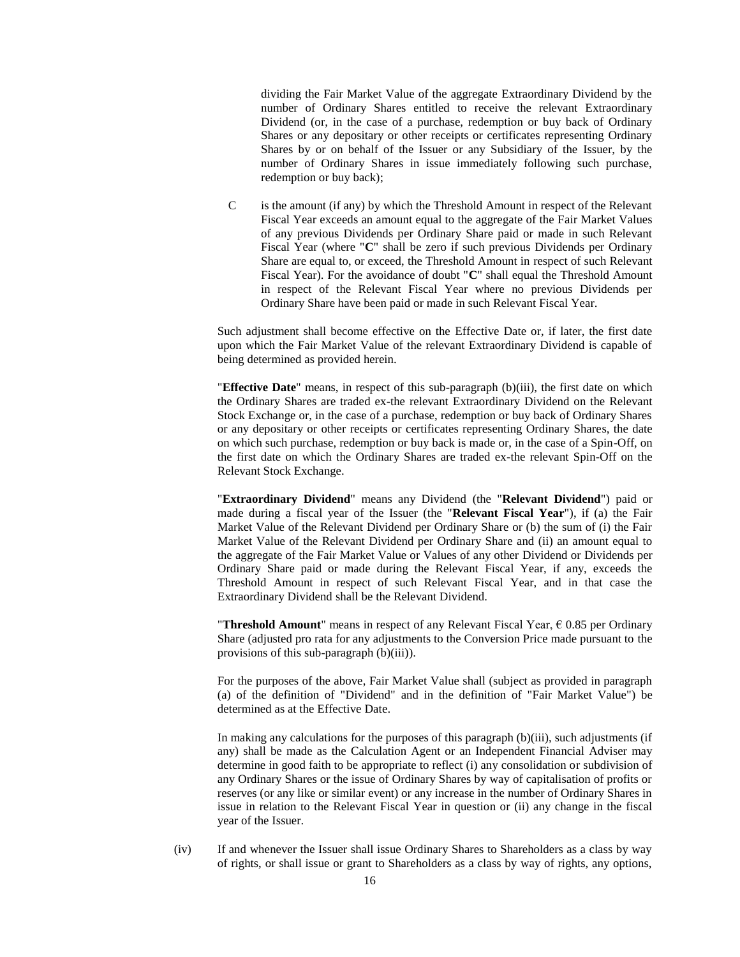dividing the Fair Market Value of the aggregate Extraordinary Dividend by the number of Ordinary Shares entitled to receive the relevant Extraordinary Dividend (or, in the case of a purchase, redemption or buy back of Ordinary Shares or any depositary or other receipts or certificates representing Ordinary Shares by or on behalf of the Issuer or any Subsidiary of the Issuer, by the number of Ordinary Shares in issue immediately following such purchase, redemption or buy back);

C is the amount (if any) by which the Threshold Amount in respect of the Relevant Fiscal Year exceeds an amount equal to the aggregate of the Fair Market Values of any previous Dividends per Ordinary Share paid or made in such Relevant Fiscal Year (where "**C**" shall be zero if such previous Dividends per Ordinary Share are equal to, or exceed, the Threshold Amount in respect of such Relevant Fiscal Year). For the avoidance of doubt "**C**" shall equal the Threshold Amount in respect of the Relevant Fiscal Year where no previous Dividends per Ordinary Share have been paid or made in such Relevant Fiscal Year.

Such adjustment shall become effective on the Effective Date or, if later, the first date upon which the Fair Market Value of the relevant Extraordinary Dividend is capable of being determined as provided herein.

"**Effective Date**" means, in respect of this sub-paragraph (b)(iii), the first date on which the Ordinary Shares are traded ex-the relevant Extraordinary Dividend on the Relevant Stock Exchange or, in the case of a purchase, redemption or buy back of Ordinary Shares or any depositary or other receipts or certificates representing Ordinary Shares, the date on which such purchase, redemption or buy back is made or, in the case of a Spin-Off, on the first date on which the Ordinary Shares are traded ex-the relevant Spin-Off on the Relevant Stock Exchange.

"**Extraordinary Dividend**" means any Dividend (the "**Relevant Dividend**") paid or made during a fiscal year of the Issuer (the "**Relevant Fiscal Year**"), if (a) the Fair Market Value of the Relevant Dividend per Ordinary Share or (b) the sum of (i) the Fair Market Value of the Relevant Dividend per Ordinary Share and (ii) an amount equal to the aggregate of the Fair Market Value or Values of any other Dividend or Dividends per Ordinary Share paid or made during the Relevant Fiscal Year, if any, exceeds the Threshold Amount in respect of such Relevant Fiscal Year, and in that case the Extraordinary Dividend shall be the Relevant Dividend.

**"Threshold Amount"** means in respect of any Relevant Fiscal Year,  $\epsilon$  0.85 per Ordinary Share (adjusted pro rata for any adjustments to the Conversion Price made pursuant to the provisions of this sub-paragraph (b)(iii)).

For the purposes of the above, Fair Market Value shall (subject as provided in paragraph (a) of the definition of "Dividend" and in the definition of "Fair Market Value") be determined as at the Effective Date.

In making any calculations for the purposes of this paragraph (b)(iii), such adjustments (if any) shall be made as the Calculation Agent or an Independent Financial Adviser may determine in good faith to be appropriate to reflect (i) any consolidation or subdivision of any Ordinary Shares or the issue of Ordinary Shares by way of capitalisation of profits or reserves (or any like or similar event) or any increase in the number of Ordinary Shares in issue in relation to the Relevant Fiscal Year in question or (ii) any change in the fiscal year of the Issuer.

(iv) If and whenever the Issuer shall issue Ordinary Shares to Shareholders as a class by way of rights, or shall issue or grant to Shareholders as a class by way of rights, any options,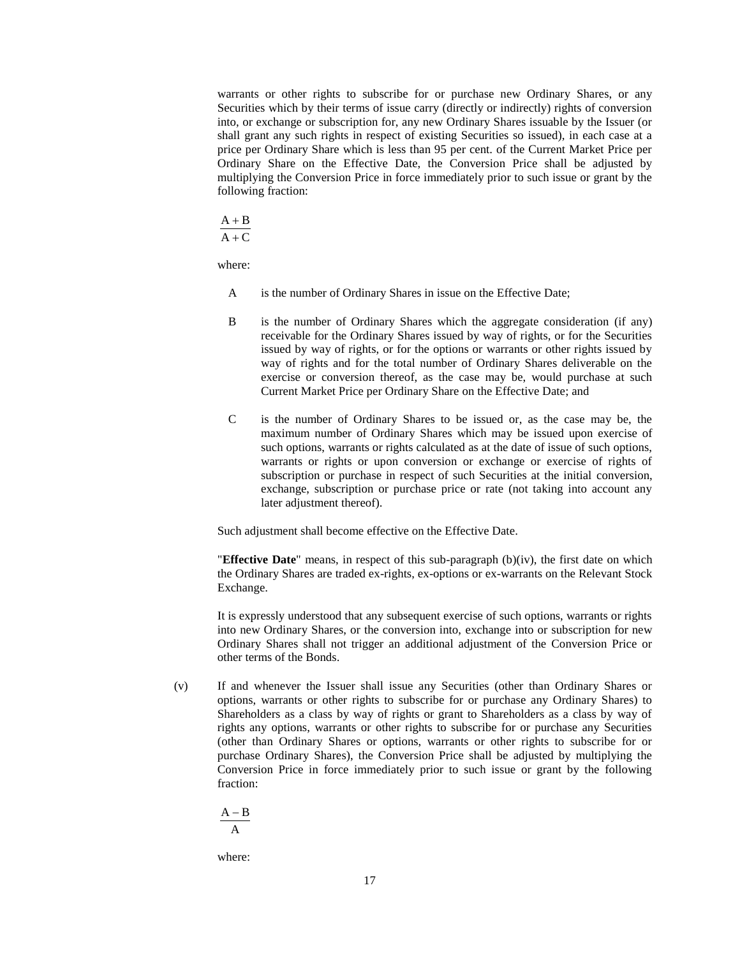warrants or other rights to subscribe for or purchase new Ordinary Shares, or any Securities which by their terms of issue carry (directly or indirectly) rights of conversion into, or exchange or subscription for, any new Ordinary Shares issuable by the Issuer (or shall grant any such rights in respect of existing Securities so issued), in each case at a price per Ordinary Share which is less than 95 per cent. of the Current Market Price per Ordinary Share on the Effective Date, the Conversion Price shall be adjusted by multiplying the Conversion Price in force immediately prior to such issue or grant by the following fraction:

 $A + B$ 

 $A + C$ 

where:

- A is the number of Ordinary Shares in issue on the Effective Date;
- B is the number of Ordinary Shares which the aggregate consideration (if any) receivable for the Ordinary Shares issued by way of rights, or for the Securities issued by way of rights, or for the options or warrants or other rights issued by way of rights and for the total number of Ordinary Shares deliverable on the exercise or conversion thereof, as the case may be, would purchase at such Current Market Price per Ordinary Share on the Effective Date; and
- C is the number of Ordinary Shares to be issued or, as the case may be, the maximum number of Ordinary Shares which may be issued upon exercise of such options, warrants or rights calculated as at the date of issue of such options, warrants or rights or upon conversion or exchange or exercise of rights of subscription or purchase in respect of such Securities at the initial conversion, exchange, subscription or purchase price or rate (not taking into account any later adjustment thereof).

Such adjustment shall become effective on the Effective Date.

"**Effective Date**" means, in respect of this sub-paragraph (b)(iv), the first date on which the Ordinary Shares are traded ex-rights, ex-options or ex-warrants on the Relevant Stock Exchange.

It is expressly understood that any subsequent exercise of such options, warrants or rights into new Ordinary Shares, or the conversion into, exchange into or subscription for new Ordinary Shares shall not trigger an additional adjustment of the Conversion Price or other terms of the Bonds.

(v) If and whenever the Issuer shall issue any Securities (other than Ordinary Shares or options, warrants or other rights to subscribe for or purchase any Ordinary Shares) to Shareholders as a class by way of rights or grant to Shareholders as a class by way of rights any options, warrants or other rights to subscribe for or purchase any Securities (other than Ordinary Shares or options, warrants or other rights to subscribe for or purchase Ordinary Shares), the Conversion Price shall be adjusted by multiplying the Conversion Price in force immediately prior to such issue or grant by the following fraction:

$$
\frac{A-B}{A}
$$

where: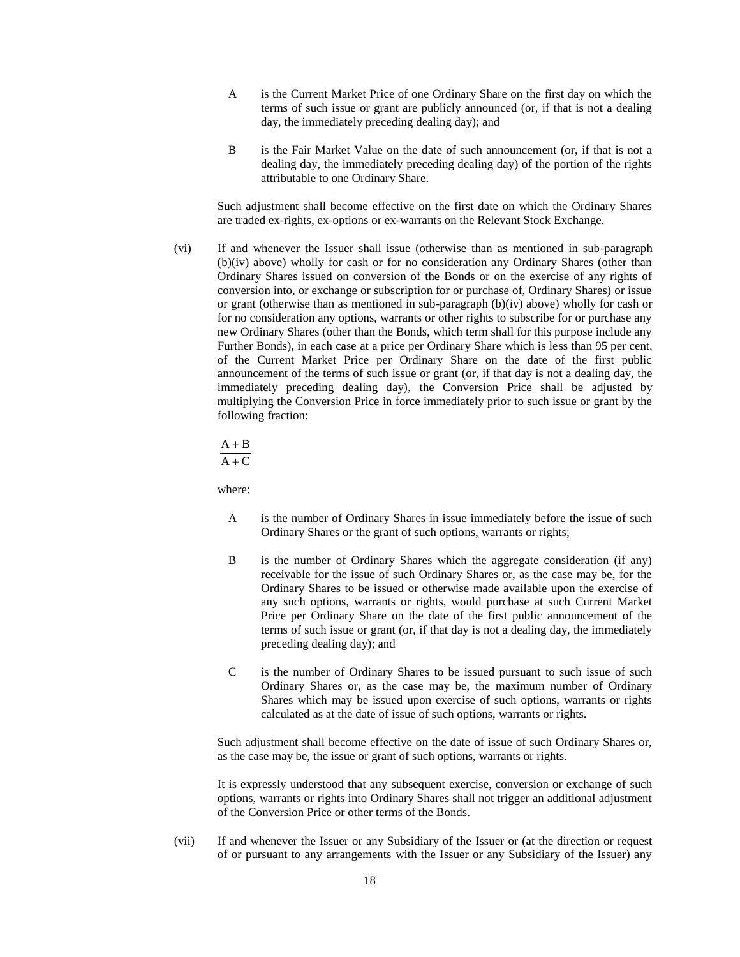- A is the Current Market Price of one Ordinary Share on the first day on which the terms of such issue or grant are publicly announced (or, if that is not a dealing day, the immediately preceding dealing day); and
- B is the Fair Market Value on the date of such announcement (or, if that is not a dealing day, the immediately preceding dealing day) of the portion of the rights attributable to one Ordinary Share.

Such adjustment shall become effective on the first date on which the Ordinary Shares are traded ex-rights, ex-options or ex-warrants on the Relevant Stock Exchange.

(vi) If and whenever the Issuer shall issue (otherwise than as mentioned in sub-paragraph (b)(iv) above) wholly for cash or for no consideration any Ordinary Shares (other than Ordinary Shares issued on conversion of the Bonds or on the exercise of any rights of conversion into, or exchange or subscription for or purchase of, Ordinary Shares) or issue or grant (otherwise than as mentioned in sub-paragraph (b)(iv) above) wholly for cash or for no consideration any options, warrants or other rights to subscribe for or purchase any new Ordinary Shares (other than the Bonds, which term shall for this purpose include any Further Bonds), in each case at a price per Ordinary Share which is less than 95 per cent. of the Current Market Price per Ordinary Share on the date of the first public announcement of the terms of such issue or grant (or, if that day is not a dealing day, the immediately preceding dealing day), the Conversion Price shall be adjusted by multiplying the Conversion Price in force immediately prior to such issue or grant by the following fraction:

 $A + C$  $A + B$ 

where:

- A is the number of Ordinary Shares in issue immediately before the issue of such Ordinary Shares or the grant of such options, warrants or rights;
- B is the number of Ordinary Shares which the aggregate consideration (if any) receivable for the issue of such Ordinary Shares or, as the case may be, for the Ordinary Shares to be issued or otherwise made available upon the exercise of any such options, warrants or rights, would purchase at such Current Market Price per Ordinary Share on the date of the first public announcement of the terms of such issue or grant (or, if that day is not a dealing day, the immediately preceding dealing day); and
- C is the number of Ordinary Shares to be issued pursuant to such issue of such Ordinary Shares or, as the case may be, the maximum number of Ordinary Shares which may be issued upon exercise of such options, warrants or rights calculated as at the date of issue of such options, warrants or rights.

Such adjustment shall become effective on the date of issue of such Ordinary Shares or, as the case may be, the issue or grant of such options, warrants or rights.

It is expressly understood that any subsequent exercise, conversion or exchange of such options, warrants or rights into Ordinary Shares shall not trigger an additional adjustment of the Conversion Price or other terms of the Bonds.

(vii) If and whenever the Issuer or any Subsidiary of the Issuer or (at the direction or request of or pursuant to any arrangements with the Issuer or any Subsidiary of the Issuer) any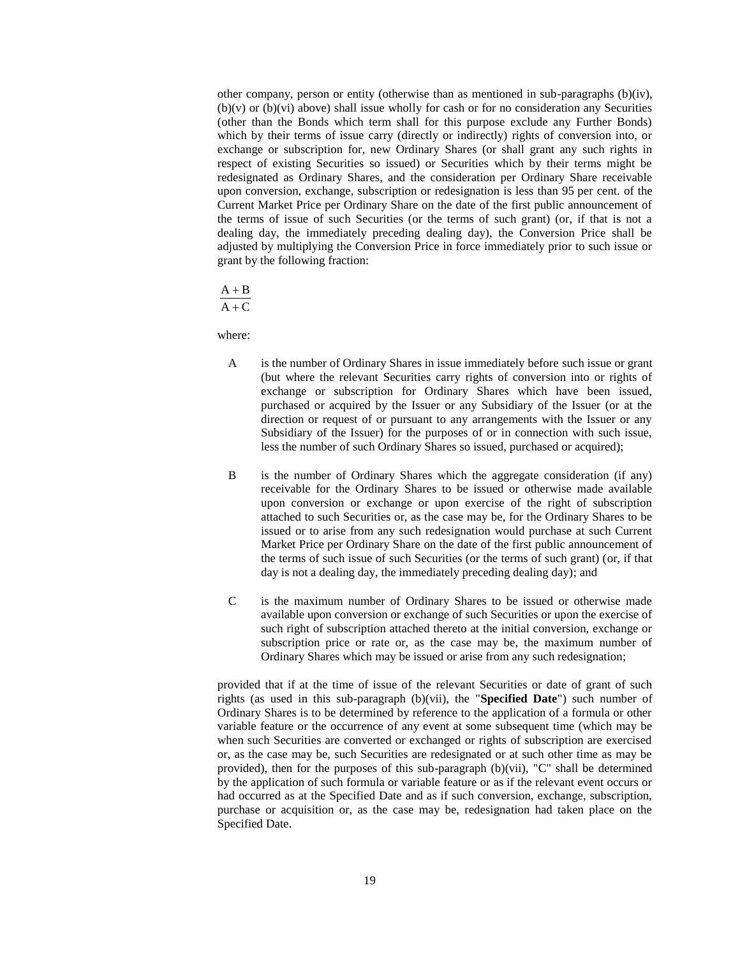other company, person or entity (otherwise than as mentioned in sub-paragraphs (b)(iv), (b)(v) or (b)(vi) above) shall issue wholly for cash or for no consideration any Securities (other than the Bonds which term shall for this purpose exclude any Further Bonds) which by their terms of issue carry (directly or indirectly) rights of conversion into, or exchange or subscription for, new Ordinary Shares (or shall grant any such rights in respect of existing Securities so issued) or Securities which by their terms might be redesignated as Ordinary Shares, and the consideration per Ordinary Share receivable upon conversion, exchange, subscription or redesignation is less than 95 per cent. of the Current Market Price per Ordinary Share on the date of the first public announcement of the terms of issue of such Securities (or the terms of such grant) (or, if that is not a dealing day, the immediately preceding dealing day), the Conversion Price shall be adjusted by multiplying the Conversion Price in force immediately prior to such issue or grant by the following fraction:

 $A + B$ 

 $A + C$ 

where:

- A is the number of Ordinary Shares in issue immediately before such issue or grant (but where the relevant Securities carry rights of conversion into or rights of exchange or subscription for Ordinary Shares which have been issued, purchased or acquired by the Issuer or any Subsidiary of the Issuer (or at the direction or request of or pursuant to any arrangements with the Issuer or any Subsidiary of the Issuer) for the purposes of or in connection with such issue, less the number of such Ordinary Shares so issued, purchased or acquired);
- B is the number of Ordinary Shares which the aggregate consideration (if any) receivable for the Ordinary Shares to be issued or otherwise made available upon conversion or exchange or upon exercise of the right of subscription attached to such Securities or, as the case may be, for the Ordinary Shares to be issued or to arise from any such redesignation would purchase at such Current Market Price per Ordinary Share on the date of the first public announcement of the terms of such issue of such Securities (or the terms of such grant) (or, if that day is not a dealing day, the immediately preceding dealing day); and
- C is the maximum number of Ordinary Shares to be issued or otherwise made available upon conversion or exchange of such Securities or upon the exercise of such right of subscription attached thereto at the initial conversion, exchange or subscription price or rate or, as the case may be, the maximum number of Ordinary Shares which may be issued or arise from any such redesignation;

provided that if at the time of issue of the relevant Securities or date of grant of such rights (as used in this sub-paragraph (b)(vii), the "**Specified Date**") such number of Ordinary Shares is to be determined by reference to the application of a formula or other variable feature or the occurrence of any event at some subsequent time (which may be when such Securities are converted or exchanged or rights of subscription are exercised or, as the case may be, such Securities are redesignated or at such other time as may be provided), then for the purposes of this sub-paragraph (b)(vii), "C" shall be determined by the application of such formula or variable feature or as if the relevant event occurs or had occurred as at the Specified Date and as if such conversion, exchange, subscription, purchase or acquisition or, as the case may be, redesignation had taken place on the Specified Date.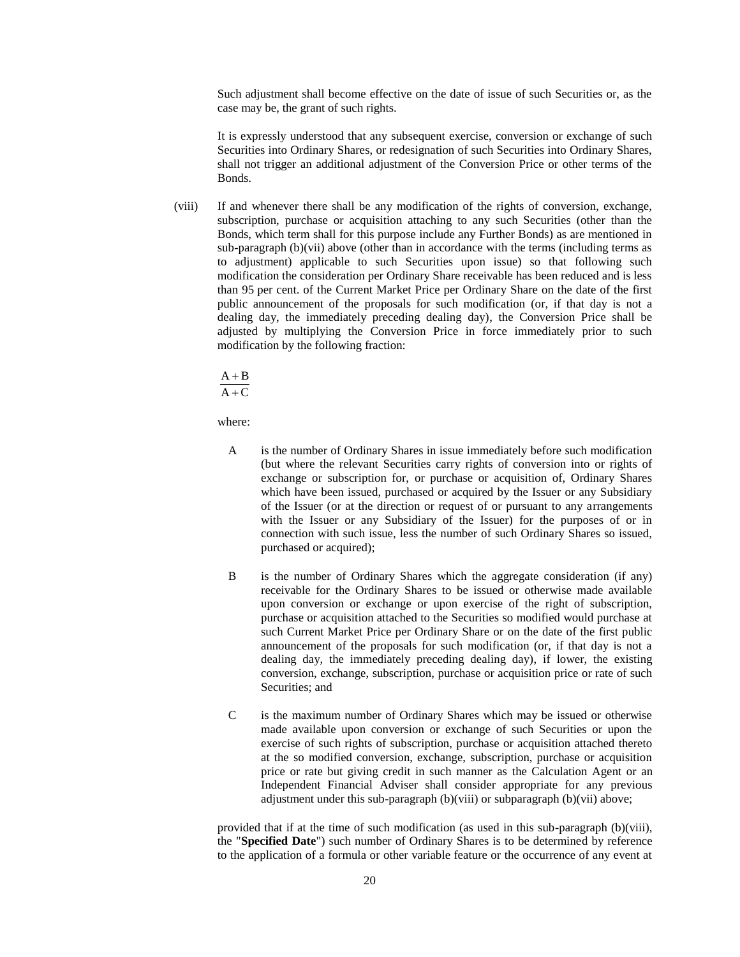Such adjustment shall become effective on the date of issue of such Securities or, as the case may be, the grant of such rights.

It is expressly understood that any subsequent exercise, conversion or exchange of such Securities into Ordinary Shares, or redesignation of such Securities into Ordinary Shares, shall not trigger an additional adjustment of the Conversion Price or other terms of the Bonds.

(viii) If and whenever there shall be any modification of the rights of conversion, exchange, subscription, purchase or acquisition attaching to any such Securities (other than the Bonds, which term shall for this purpose include any Further Bonds) as are mentioned in sub-paragraph (b)(vii) above (other than in accordance with the terms (including terms as to adjustment) applicable to such Securities upon issue) so that following such modification the consideration per Ordinary Share receivable has been reduced and is less than 95 per cent. of the Current Market Price per Ordinary Share on the date of the first public announcement of the proposals for such modification (or, if that day is not a dealing day, the immediately preceding dealing day), the Conversion Price shall be adjusted by multiplying the Conversion Price in force immediately prior to such modification by the following fraction:

 $A + B$ 

 $A + C$ 

where:

- A is the number of Ordinary Shares in issue immediately before such modification (but where the relevant Securities carry rights of conversion into or rights of exchange or subscription for, or purchase or acquisition of, Ordinary Shares which have been issued, purchased or acquired by the Issuer or any Subsidiary of the Issuer (or at the direction or request of or pursuant to any arrangements with the Issuer or any Subsidiary of the Issuer) for the purposes of or in connection with such issue, less the number of such Ordinary Shares so issued, purchased or acquired);
- B is the number of Ordinary Shares which the aggregate consideration (if any) receivable for the Ordinary Shares to be issued or otherwise made available upon conversion or exchange or upon exercise of the right of subscription, purchase or acquisition attached to the Securities so modified would purchase at such Current Market Price per Ordinary Share or on the date of the first public announcement of the proposals for such modification (or, if that day is not a dealing day, the immediately preceding dealing day), if lower, the existing conversion, exchange, subscription, purchase or acquisition price or rate of such Securities; and
- C is the maximum number of Ordinary Shares which may be issued or otherwise made available upon conversion or exchange of such Securities or upon the exercise of such rights of subscription, purchase or acquisition attached thereto at the so modified conversion, exchange, subscription, purchase or acquisition price or rate but giving credit in such manner as the Calculation Agent or an Independent Financial Adviser shall consider appropriate for any previous adjustment under this sub-paragraph (b)(viii) or subparagraph (b)(vii) above;

provided that if at the time of such modification (as used in this sub-paragraph (b)(viii), the "**Specified Date**") such number of Ordinary Shares is to be determined by reference to the application of a formula or other variable feature or the occurrence of any event at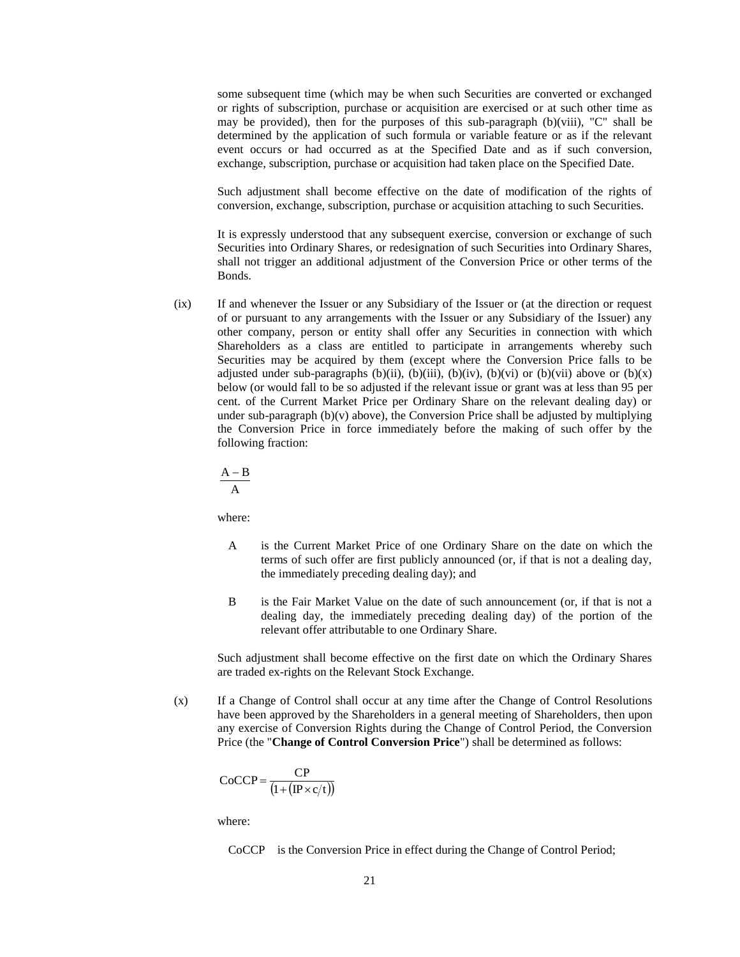some subsequent time (which may be when such Securities are converted or exchanged or rights of subscription, purchase or acquisition are exercised or at such other time as may be provided), then for the purposes of this sub-paragraph (b)(viii), "C" shall be determined by the application of such formula or variable feature or as if the relevant event occurs or had occurred as at the Specified Date and as if such conversion, exchange, subscription, purchase or acquisition had taken place on the Specified Date.

Such adjustment shall become effective on the date of modification of the rights of conversion, exchange, subscription, purchase or acquisition attaching to such Securities.

It is expressly understood that any subsequent exercise, conversion or exchange of such Securities into Ordinary Shares, or redesignation of such Securities into Ordinary Shares, shall not trigger an additional adjustment of the Conversion Price or other terms of the Bonds.

(ix) If and whenever the Issuer or any Subsidiary of the Issuer or (at the direction or request of or pursuant to any arrangements with the Issuer or any Subsidiary of the Issuer) any other company, person or entity shall offer any Securities in connection with which Shareholders as a class are entitled to participate in arrangements whereby such Securities may be acquired by them (except where the Conversion Price falls to be adjusted under sub-paragraphs (b)(ii), (b)(iii), (b)(iv), (b)(vi) or (b)(vii) above or (b)(x) below (or would fall to be so adjusted if the relevant issue or grant was at less than 95 per cent. of the Current Market Price per Ordinary Share on the relevant dealing day) or under sub-paragraph  $(b)(v)$  above), the Conversion Price shall be adjusted by multiplying the Conversion Price in force immediately before the making of such offer by the following fraction:

$$
\frac{A-B}{A}
$$

where:

- A is the Current Market Price of one Ordinary Share on the date on which the terms of such offer are first publicly announced (or, if that is not a dealing day, the immediately preceding dealing day); and
- B is the Fair Market Value on the date of such announcement (or, if that is not a dealing day, the immediately preceding dealing day) of the portion of the relevant offer attributable to one Ordinary Share.

Such adjustment shall become effective on the first date on which the Ordinary Shares are traded ex-rights on the Relevant Stock Exchange.

(x) If a Change of Control shall occur at any time after the Change of Control Resolutions have been approved by the Shareholders in a general meeting of Shareholders, then upon any exercise of Conversion Rights during the Change of Control Period, the Conversion Price (the "**Change of Control Conversion Price**") shall be determined as follows:

$$
CoCCP = \frac{CP}{\left(1 + (\text{IP} \times \text{c}/\text{t})\right)}
$$

where:

CoCCP is the Conversion Price in effect during the Change of Control Period;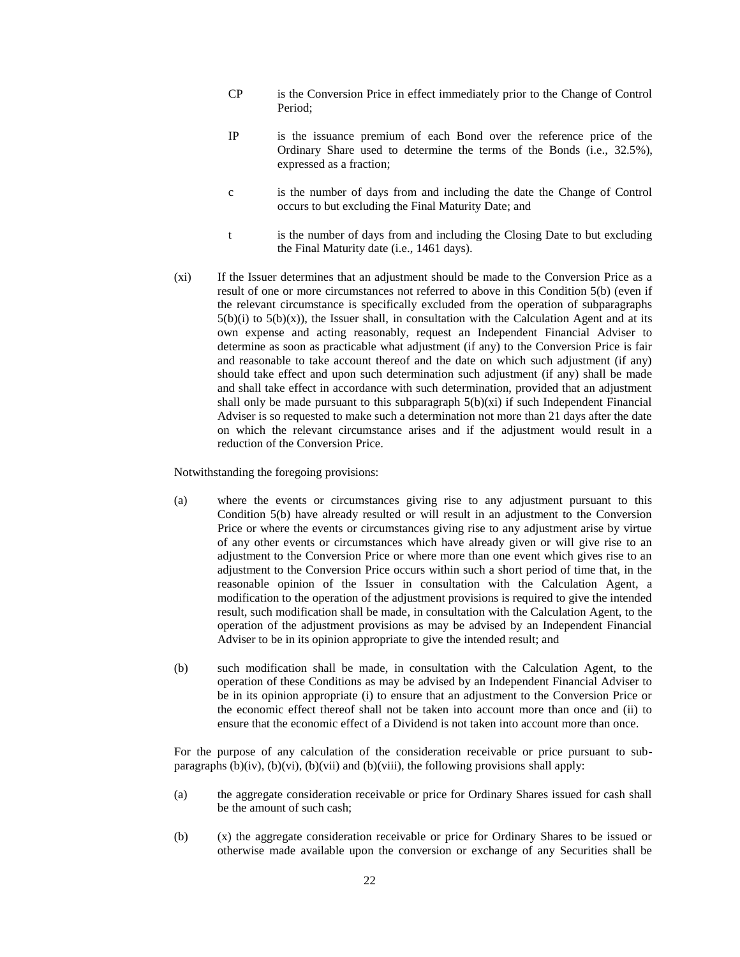- CP is the Conversion Price in effect immediately prior to the Change of Control Period;
- IP is the issuance premium of each Bond over the reference price of the Ordinary Share used to determine the terms of the Bonds (i.e., 32.5%), expressed as a fraction;
- c is the number of days from and including the date the Change of Control occurs to but excluding the Final Maturity Date; and
- t is the number of days from and including the Closing Date to but excluding the Final Maturity date (i.e., 1461 days).
- (xi) If the Issuer determines that an adjustment should be made to the Conversion Price as a result of one or more circumstances not referred to above in this Condition 5(b) (even if the relevant circumstance is specifically excluded from the operation of subparagraphs  $5(b)(i)$  to  $5(b)(x)$ , the Issuer shall, in consultation with the Calculation Agent and at its own expense and acting reasonably, request an Independent Financial Adviser to determine as soon as practicable what adjustment (if any) to the Conversion Price is fair and reasonable to take account thereof and the date on which such adjustment (if any) should take effect and upon such determination such adjustment (if any) shall be made and shall take effect in accordance with such determination, provided that an adjustment shall only be made pursuant to this subparagraph  $5(b)(x_i)$  if such Independent Financial Adviser is so requested to make such a determination not more than 21 days after the date on which the relevant circumstance arises and if the adjustment would result in a reduction of the Conversion Price.

Notwithstanding the foregoing provisions:

- (a) where the events or circumstances giving rise to any adjustment pursuant to this Condition 5(b) have already resulted or will result in an adjustment to the Conversion Price or where the events or circumstances giving rise to any adjustment arise by virtue of any other events or circumstances which have already given or will give rise to an adjustment to the Conversion Price or where more than one event which gives rise to an adjustment to the Conversion Price occurs within such a short period of time that, in the reasonable opinion of the Issuer in consultation with the Calculation Agent, a modification to the operation of the adjustment provisions is required to give the intended result, such modification shall be made, in consultation with the Calculation Agent, to the operation of the adjustment provisions as may be advised by an Independent Financial Adviser to be in its opinion appropriate to give the intended result; and
- (b) such modification shall be made, in consultation with the Calculation Agent, to the operation of these Conditions as may be advised by an Independent Financial Adviser to be in its opinion appropriate (i) to ensure that an adjustment to the Conversion Price or the economic effect thereof shall not be taken into account more than once and (ii) to ensure that the economic effect of a Dividend is not taken into account more than once.

For the purpose of any calculation of the consideration receivable or price pursuant to subparagraphs  $(b)(iv)$ ,  $(b)(vi)$ ,  $(b)(vii)$  and  $(b)(viii)$ , the following provisions shall apply:

- (a) the aggregate consideration receivable or price for Ordinary Shares issued for cash shall be the amount of such cash;
- (b) (x) the aggregate consideration receivable or price for Ordinary Shares to be issued or otherwise made available upon the conversion or exchange of any Securities shall be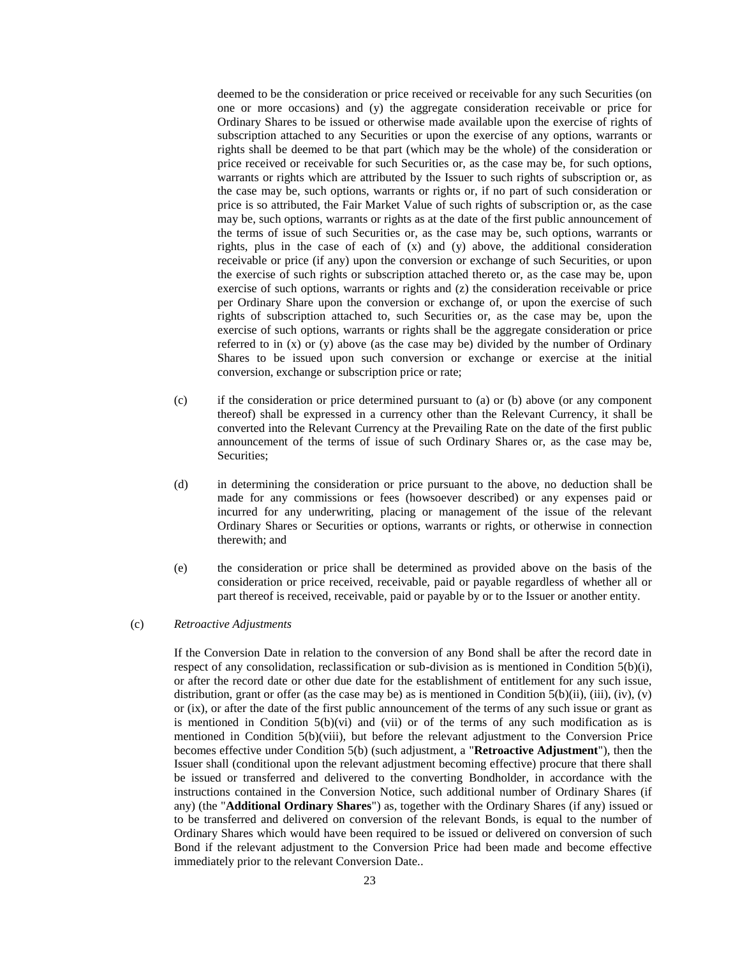deemed to be the consideration or price received or receivable for any such Securities (on one or more occasions) and (y) the aggregate consideration receivable or price for Ordinary Shares to be issued or otherwise made available upon the exercise of rights of subscription attached to any Securities or upon the exercise of any options, warrants or rights shall be deemed to be that part (which may be the whole) of the consideration or price received or receivable for such Securities or, as the case may be, for such options, warrants or rights which are attributed by the Issuer to such rights of subscription or, as the case may be, such options, warrants or rights or, if no part of such consideration or price is so attributed, the Fair Market Value of such rights of subscription or, as the case may be, such options, warrants or rights as at the date of the first public announcement of the terms of issue of such Securities or, as the case may be, such options, warrants or rights, plus in the case of each of (x) and (y) above, the additional consideration receivable or price (if any) upon the conversion or exchange of such Securities, or upon the exercise of such rights or subscription attached thereto or, as the case may be, upon exercise of such options, warrants or rights and (z) the consideration receivable or price per Ordinary Share upon the conversion or exchange of, or upon the exercise of such rights of subscription attached to, such Securities or, as the case may be, upon the exercise of such options, warrants or rights shall be the aggregate consideration or price referred to in  $(x)$  or  $(y)$  above (as the case may be) divided by the number of Ordinary Shares to be issued upon such conversion or exchange or exercise at the initial conversion, exchange or subscription price or rate;

- (c) if the consideration or price determined pursuant to (a) or (b) above (or any component thereof) shall be expressed in a currency other than the Relevant Currency, it shall be converted into the Relevant Currency at the Prevailing Rate on the date of the first public announcement of the terms of issue of such Ordinary Shares or, as the case may be, Securities;
- (d) in determining the consideration or price pursuant to the above, no deduction shall be made for any commissions or fees (howsoever described) or any expenses paid or incurred for any underwriting, placing or management of the issue of the relevant Ordinary Shares or Securities or options, warrants or rights, or otherwise in connection therewith; and
- (e) the consideration or price shall be determined as provided above on the basis of the consideration or price received, receivable, paid or payable regardless of whether all or part thereof is received, receivable, paid or payable by or to the Issuer or another entity.

### <span id="page-22-0"></span>(c) *Retroactive Adjustments*

If the Conversion Date in relation to the conversion of any Bond shall be after the record date in respect of any consolidation, reclassification or sub-division as is mentioned in Condition 5(b)(i), or after the record date or other due date for the establishment of entitlement for any such issue, distribution, grant or offer (as the case may be) as is mentioned in Condition  $5(b)(ii)$ , (iii), (iv), (v) or (ix), or after the date of the first public announcement of the terms of any such issue or grant as is mentioned in Condition  $5(b)(vi)$  and (vii) or of the terms of any such modification as is mentioned in Condition 5(b)(viii), but before the relevant adjustment to the Conversion Price becomes effective under Condition 5(b) (such adjustment, a "**Retroactive Adjustment**"), then the Issuer shall (conditional upon the relevant adjustment becoming effective) procure that there shall be issued or transferred and delivered to the converting Bondholder, in accordance with the instructions contained in the Conversion Notice, such additional number of Ordinary Shares (if any) (the "**Additional Ordinary Shares**") as, together with the Ordinary Shares (if any) issued or to be transferred and delivered on conversion of the relevant Bonds, is equal to the number of Ordinary Shares which would have been required to be issued or delivered on conversion of such Bond if the relevant adjustment to the Conversion Price had been made and become effective immediately prior to the relevant Conversion Date..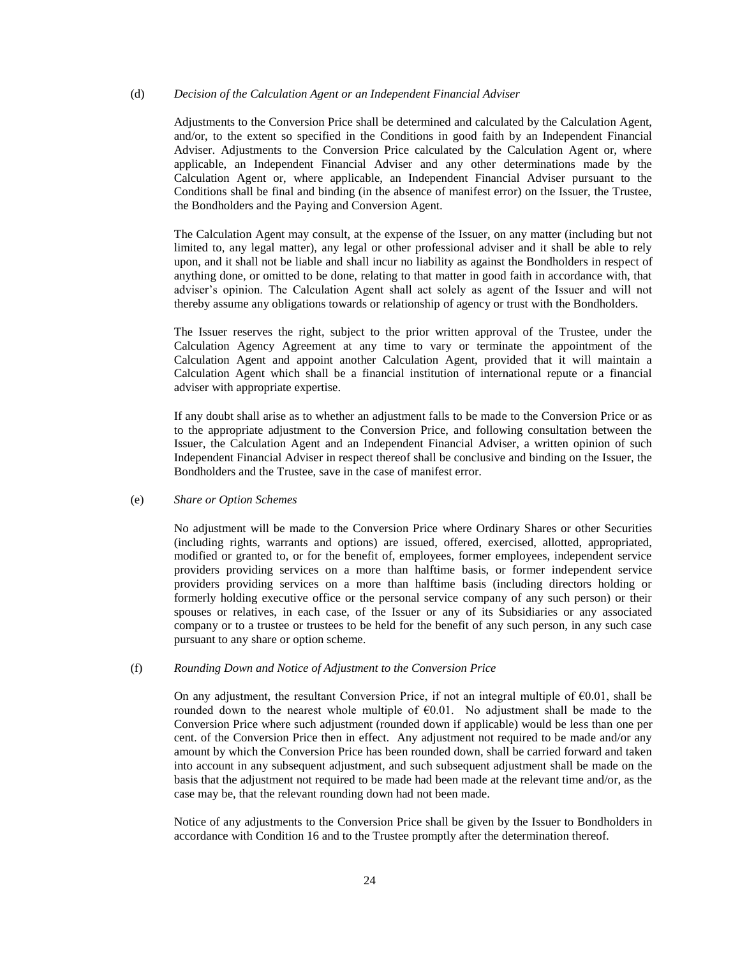### (d) *Decision of the Calculation Agent or an Independent Financial Adviser*

Adjustments to the Conversion Price shall be determined and calculated by the Calculation Agent, and/or, to the extent so specified in the Conditions in good faith by an Independent Financial Adviser. Adjustments to the Conversion Price calculated by the Calculation Agent or, where applicable, an Independent Financial Adviser and any other determinations made by the Calculation Agent or, where applicable, an Independent Financial Adviser pursuant to the Conditions shall be final and binding (in the absence of manifest error) on the Issuer, the Trustee, the Bondholders and the Paying and Conversion Agent.

The Calculation Agent may consult, at the expense of the Issuer, on any matter (including but not limited to, any legal matter), any legal or other professional adviser and it shall be able to rely upon, and it shall not be liable and shall incur no liability as against the Bondholders in respect of anything done, or omitted to be done, relating to that matter in good faith in accordance with, that adviser's opinion. The Calculation Agent shall act solely as agent of the Issuer and will not thereby assume any obligations towards or relationship of agency or trust with the Bondholders.

The Issuer reserves the right, subject to the prior written approval of the Trustee, under the Calculation Agency Agreement at any time to vary or terminate the appointment of the Calculation Agent and appoint another Calculation Agent, provided that it will maintain a Calculation Agent which shall be a financial institution of international repute or a financial adviser with appropriate expertise.

If any doubt shall arise as to whether an adjustment falls to be made to the Conversion Price or as to the appropriate adjustment to the Conversion Price, and following consultation between the Issuer, the Calculation Agent and an Independent Financial Adviser, a written opinion of such Independent Financial Adviser in respect thereof shall be conclusive and binding on the Issuer, the Bondholders and the Trustee, save in the case of manifest error.

#### (e) *Share or Option Schemes*

No adjustment will be made to the Conversion Price where Ordinary Shares or other Securities (including rights, warrants and options) are issued, offered, exercised, allotted, appropriated, modified or granted to, or for the benefit of, employees, former employees, independent service providers providing services on a more than halftime basis, or former independent service providers providing services on a more than halftime basis (including directors holding or formerly holding executive office or the personal service company of any such person) or their spouses or relatives, in each case, of the Issuer or any of its Subsidiaries or any associated company or to a trustee or trustees to be held for the benefit of any such person, in any such case pursuant to any share or option scheme.

### (f) *Rounding Down and Notice of Adjustment to the Conversion Price*

On any adjustment, the resultant Conversion Price, if not an integral multiple of €0.01, shall be rounded down to the nearest whole multiple of  $E$ 6.01. No adjustment shall be made to the Conversion Price where such adjustment (rounded down if applicable) would be less than one per cent. of the Conversion Price then in effect. Any adjustment not required to be made and/or any amount by which the Conversion Price has been rounded down, shall be carried forward and taken into account in any subsequent adjustment, and such subsequent adjustment shall be made on the basis that the adjustment not required to be made had been made at the relevant time and/or, as the case may be, that the relevant rounding down had not been made.

Notice of any adjustments to the Conversion Price shall be given by the Issuer to Bondholders in accordance with Condition 16 and to the Trustee promptly after the determination thereof.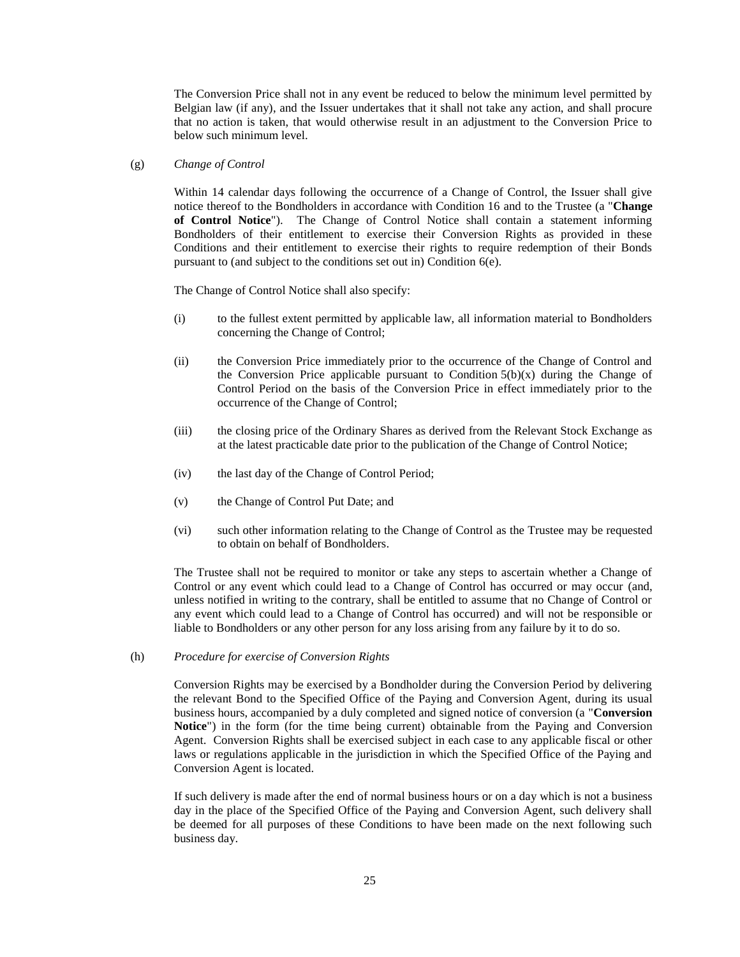The Conversion Price shall not in any event be reduced to below the minimum level permitted by Belgian law (if any), and the Issuer undertakes that it shall not take any action, and shall procure that no action is taken, that would otherwise result in an adjustment to the Conversion Price to below such minimum level.

<span id="page-24-0"></span>(g) *Change of Control*

Within 14 calendar days following the occurrence of a Change of Control, the Issuer shall give notice thereof to the Bondholders in accordance with Condition 16 and to the Trustee (a "**Change of Control Notice**"). The Change of Control Notice shall contain a statement informing Bondholders of their entitlement to exercise their Conversion Rights as provided in these Conditions and their entitlement to exercise their rights to require redemption of their Bonds pursuant to (and subject to the conditions set out in) Condition 6(e).

The Change of Control Notice shall also specify:

- (i) to the fullest extent permitted by applicable law, all information material to Bondholders concerning the Change of Control;
- (ii) the Conversion Price immediately prior to the occurrence of the Change of Control and the Conversion Price applicable pursuant to Condition  $5(b)(x)$  during the Change of Control Period on the basis of the Conversion Price in effect immediately prior to the occurrence of the Change of Control;
- (iii) the closing price of the Ordinary Shares as derived from the Relevant Stock Exchange as at the latest practicable date prior to the publication of the Change of Control Notice;
- (iv) the last day of the Change of Control Period;
- (v) the Change of Control Put Date; and
- (vi) such other information relating to the Change of Control as the Trustee may be requested to obtain on behalf of Bondholders.

The Trustee shall not be required to monitor or take any steps to ascertain whether a Change of Control or any event which could lead to a Change of Control has occurred or may occur (and, unless notified in writing to the contrary, shall be entitled to assume that no Change of Control or any event which could lead to a Change of Control has occurred) and will not be responsible or liable to Bondholders or any other person for any loss arising from any failure by it to do so.

<span id="page-24-1"></span>(h) *Procedure for exercise of Conversion Rights*

Conversion Rights may be exercised by a Bondholder during the Conversion Period by delivering the relevant Bond to the Specified Office of the Paying and Conversion Agent, during its usual business hours, accompanied by a duly completed and signed notice of conversion (a "**Conversion Notice**") in the form (for the time being current) obtainable from the Paying and Conversion Agent. Conversion Rights shall be exercised subject in each case to any applicable fiscal or other laws or regulations applicable in the jurisdiction in which the Specified Office of the Paying and Conversion Agent is located.

If such delivery is made after the end of normal business hours or on a day which is not a business day in the place of the Specified Office of the Paying and Conversion Agent, such delivery shall be deemed for all purposes of these Conditions to have been made on the next following such business day.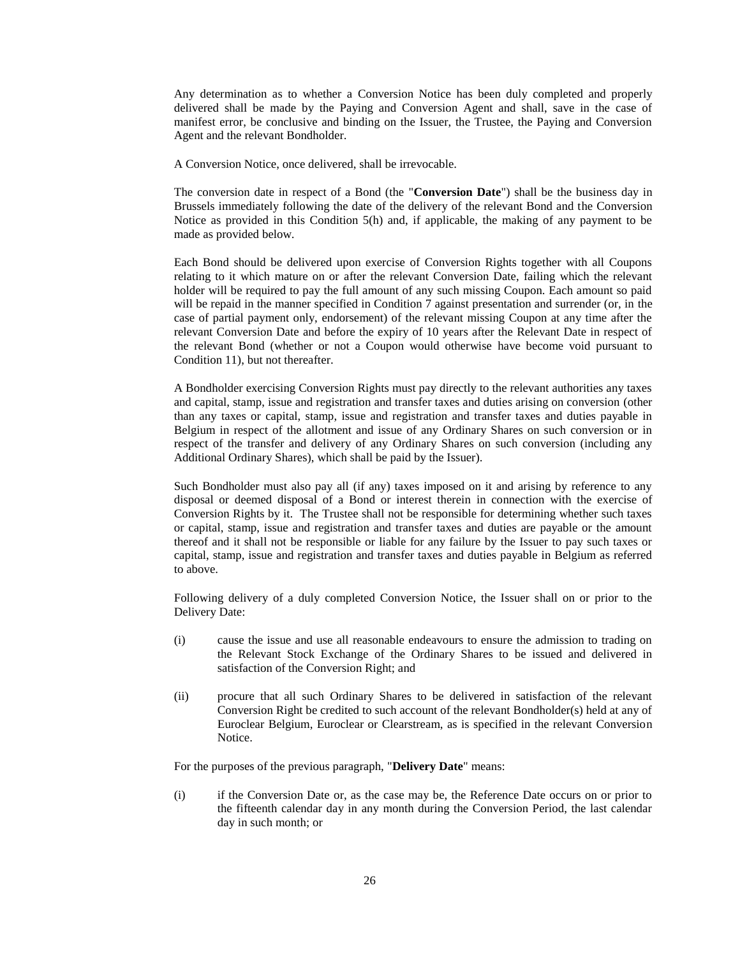Any determination as to whether a Conversion Notice has been duly completed and properly delivered shall be made by the Paying and Conversion Agent and shall, save in the case of manifest error, be conclusive and binding on the Issuer, the Trustee, the Paying and Conversion Agent and the relevant Bondholder.

A Conversion Notice, once delivered, shall be irrevocable.

The conversion date in respect of a Bond (the "**Conversion Date**") shall be the business day in Brussels immediately following the date of the delivery of the relevant Bond and the Conversion Notice as provided in this Condition 5(h) and, if applicable, the making of any payment to be made as provided below.

Each Bond should be delivered upon exercise of Conversion Rights together with all Coupons relating to it which mature on or after the relevant Conversion Date, failing which the relevant holder will be required to pay the full amount of any such missing Coupon. Each amount so paid will be repaid in the manner specified in Condition 7 against presentation and surrender (or, in the case of partial payment only, endorsement) of the relevant missing Coupon at any time after the relevant Conversion Date and before the expiry of 10 years after the Relevant Date in respect of the relevant Bond (whether or not a Coupon would otherwise have become void pursuant to Condition 11), but not thereafter.

A Bondholder exercising Conversion Rights must pay directly to the relevant authorities any taxes and capital, stamp, issue and registration and transfer taxes and duties arising on conversion (other than any taxes or capital, stamp, issue and registration and transfer taxes and duties payable in Belgium in respect of the allotment and issue of any Ordinary Shares on such conversion or in respect of the transfer and delivery of any Ordinary Shares on such conversion (including any Additional Ordinary Shares), which shall be paid by the Issuer).

Such Bondholder must also pay all (if any) taxes imposed on it and arising by reference to any disposal or deemed disposal of a Bond or interest therein in connection with the exercise of Conversion Rights by it. The Trustee shall not be responsible for determining whether such taxes or capital, stamp, issue and registration and transfer taxes and duties are payable or the amount thereof and it shall not be responsible or liable for any failure by the Issuer to pay such taxes or capital, stamp, issue and registration and transfer taxes and duties payable in Belgium as referred to above.

Following delivery of a duly completed Conversion Notice, the Issuer shall on or prior to the Delivery Date:

- (i) cause the issue and use all reasonable endeavours to ensure the admission to trading on the Relevant Stock Exchange of the Ordinary Shares to be issued and delivered in satisfaction of the Conversion Right; and
- (ii) procure that all such Ordinary Shares to be delivered in satisfaction of the relevant Conversion Right be credited to such account of the relevant Bondholder(s) held at any of Euroclear Belgium, Euroclear or Clearstream, as is specified in the relevant Conversion Notice.

For the purposes of the previous paragraph, "**Delivery Date**" means:

(i) if the Conversion Date or, as the case may be, the Reference Date occurs on or prior to the fifteenth calendar day in any month during the Conversion Period, the last calendar day in such month; or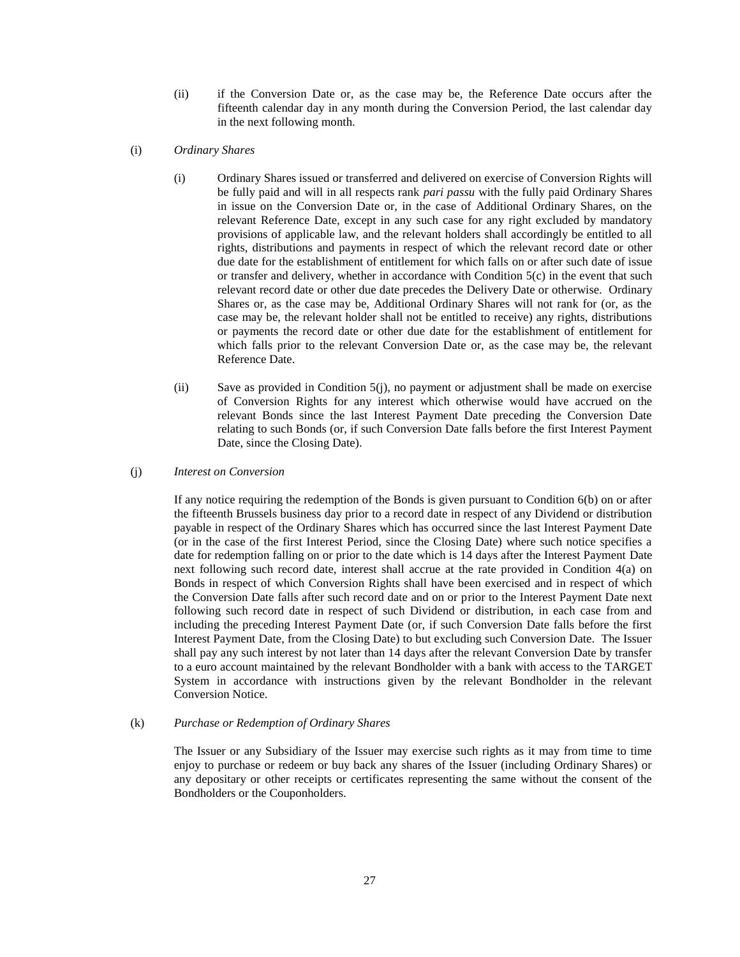- (ii) if the Conversion Date or, as the case may be, the Reference Date occurs after the fifteenth calendar day in any month during the Conversion Period, the last calendar day in the next following month.
- <span id="page-26-0"></span>(i) *Ordinary Shares*
	- (i) Ordinary Shares issued or transferred and delivered on exercise of Conversion Rights will be fully paid and will in all respects rank *pari passu* with the fully paid Ordinary Shares in issue on the Conversion Date or, in the case of Additional Ordinary Shares, on the relevant Reference Date, except in any such case for any right excluded by mandatory provisions of applicable law, and the relevant holders shall accordingly be entitled to all rights, distributions and payments in respect of which the relevant record date or other due date for the establishment of entitlement for which falls on or after such date of issue or transfer and delivery, whether in accordance with Condition 5(c) in the event that such relevant record date or other due date precedes the Delivery Date or otherwise. Ordinary Shares or, as the case may be, Additional Ordinary Shares will not rank for (or, as the case may be, the relevant holder shall not be entitled to receive) any rights, distributions or payments the record date or other due date for the establishment of entitlement for which falls prior to the relevant Conversion Date or, as the case may be, the relevant Reference Date.
	- (ii) Save as provided in Condition 5(j), no payment or adjustment shall be made on exercise of Conversion Rights for any interest which otherwise would have accrued on the relevant Bonds since the last Interest Payment Date preceding the Conversion Date relating to such Bonds (or, if such Conversion Date falls before the first Interest Payment Date, since the Closing Date).

### <span id="page-26-1"></span>(j) *Interest on Conversion*

If any notice requiring the redemption of the Bonds is given pursuant to Condition 6(b) on or after the fifteenth Brussels business day prior to a record date in respect of any Dividend or distribution payable in respect of the Ordinary Shares which has occurred since the last Interest Payment Date (or in the case of the first Interest Period, since the Closing Date) where such notice specifies a date for redemption falling on or prior to the date which is 14 days after the Interest Payment Date next following such record date, interest shall accrue at the rate provided in Condition 4(a) on Bonds in respect of which Conversion Rights shall have been exercised and in respect of which the Conversion Date falls after such record date and on or prior to the Interest Payment Date next following such record date in respect of such Dividend or distribution, in each case from and including the preceding Interest Payment Date (or, if such Conversion Date falls before the first Interest Payment Date, from the Closing Date) to but excluding such Conversion Date. The Issuer shall pay any such interest by not later than 14 days after the relevant Conversion Date by transfer to a euro account maintained by the relevant Bondholder with a bank with access to the TARGET System in accordance with instructions given by the relevant Bondholder in the relevant Conversion Notice.

#### (k) *Purchase or Redemption of Ordinary Shares*

The Issuer or any Subsidiary of the Issuer may exercise such rights as it may from time to time enjoy to purchase or redeem or buy back any shares of the Issuer (including Ordinary Shares) or any depositary or other receipts or certificates representing the same without the consent of the Bondholders or the Couponholders.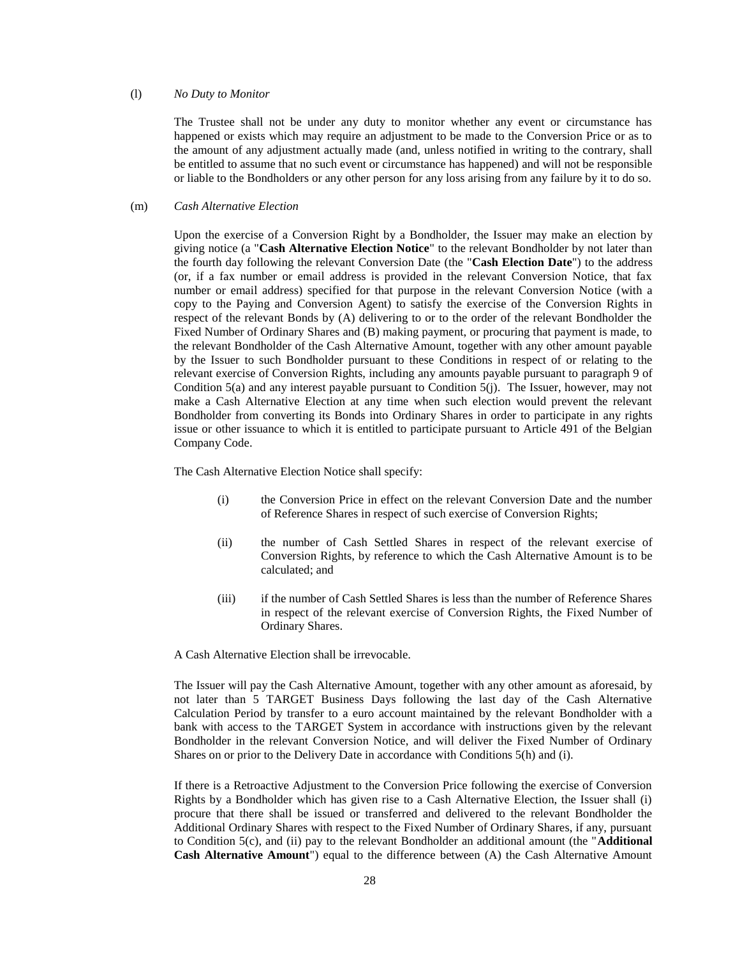#### (l) *No Duty to Monitor*

The Trustee shall not be under any duty to monitor whether any event or circumstance has happened or exists which may require an adjustment to be made to the Conversion Price or as to the amount of any adjustment actually made (and, unless notified in writing to the contrary, shall be entitled to assume that no such event or circumstance has happened) and will not be responsible or liable to the Bondholders or any other person for any loss arising from any failure by it to do so.

### <span id="page-27-0"></span>(m) *Cash Alternative Election*

Upon the exercise of a Conversion Right by a Bondholder, the Issuer may make an election by giving notice (a "**Cash Alternative Election Notice**" to the relevant Bondholder by not later than the fourth day following the relevant Conversion Date (the "**Cash Election Date**") to the address (or, if a fax number or email address is provided in the relevant Conversion Notice, that fax number or email address) specified for that purpose in the relevant Conversion Notice (with a copy to the Paying and Conversion Agent) to satisfy the exercise of the Conversion Rights in respect of the relevant Bonds by (A) delivering to or to the order of the relevant Bondholder the Fixed Number of Ordinary Shares and (B) making payment, or procuring that payment is made, to the relevant Bondholder of the Cash Alternative Amount, together with any other amount payable by the Issuer to such Bondholder pursuant to these Conditions in respect of or relating to the relevant exercise of Conversion Rights, including any amounts payable pursuant to paragraph 9 of Condition  $5(a)$  and any interest payable pursuant to Condition  $5(i)$ . The Issuer, however, may not make a Cash Alternative Election at any time when such election would prevent the relevant Bondholder from converting its Bonds into Ordinary Shares in order to participate in any rights issue or other issuance to which it is entitled to participate pursuant to Article 491 of the Belgian Company Code.

The Cash Alternative Election Notice shall specify:

- (i) the Conversion Price in effect on the relevant Conversion Date and the number of Reference Shares in respect of such exercise of Conversion Rights;
- (ii) the number of Cash Settled Shares in respect of the relevant exercise of Conversion Rights, by reference to which the Cash Alternative Amount is to be calculated; and
- (iii) if the number of Cash Settled Shares is less than the number of Reference Shares in respect of the relevant exercise of Conversion Rights, the Fixed Number of Ordinary Shares.

A Cash Alternative Election shall be irrevocable.

The Issuer will pay the Cash Alternative Amount, together with any other amount as aforesaid, by not later than 5 TARGET Business Days following the last day of the Cash Alternative Calculation Period by transfer to a euro account maintained by the relevant Bondholder with a bank with access to the TARGET System in accordance with instructions given by the relevant Bondholder in the relevant Conversion Notice, and will deliver the Fixed Number of Ordinary Shares on or prior to the Delivery Date in accordance with Conditions 5(h) and (i).

If there is a Retroactive Adjustment to the Conversion Price following the exercise of Conversion Rights by a Bondholder which has given rise to a Cash Alternative Election, the Issuer shall (i) procure that there shall be issued or transferred and delivered to the relevant Bondholder the Additional Ordinary Shares with respect to the Fixed Number of Ordinary Shares, if any, pursuant to Condition 5(c), and (ii) pay to the relevant Bondholder an additional amount (the "**Additional Cash Alternative Amount**") equal to the difference between (A) the Cash Alternative Amount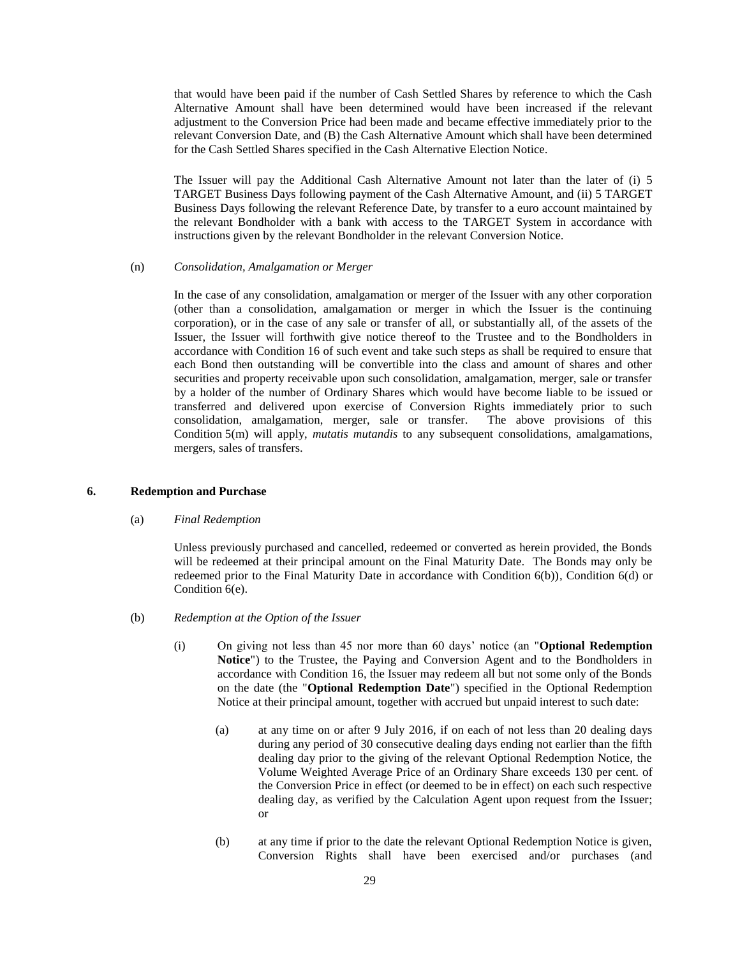that would have been paid if the number of Cash Settled Shares by reference to which the Cash Alternative Amount shall have been determined would have been increased if the relevant adjustment to the Conversion Price had been made and became effective immediately prior to the relevant Conversion Date, and (B) the Cash Alternative Amount which shall have been determined for the Cash Settled Shares specified in the Cash Alternative Election Notice.

The Issuer will pay the Additional Cash Alternative Amount not later than the later of (i) 5 TARGET Business Days following payment of the Cash Alternative Amount, and (ii) 5 TARGET Business Days following the relevant Reference Date, by transfer to a euro account maintained by the relevant Bondholder with a bank with access to the TARGET System in accordance with instructions given by the relevant Bondholder in the relevant Conversion Notice.

### (n) *Consolidation, Amalgamation or Merger*

In the case of any consolidation, amalgamation or merger of the Issuer with any other corporation (other than a consolidation, amalgamation or merger in which the Issuer is the continuing corporation), or in the case of any sale or transfer of all, or substantially all, of the assets of the Issuer, the Issuer will forthwith give notice thereof to the Trustee and to the Bondholders in accordance with Condition 16 of such event and take such steps as shall be required to ensure that each Bond then outstanding will be convertible into the class and amount of shares and other securities and property receivable upon such consolidation, amalgamation, merger, sale or transfer by a holder of the number of Ordinary Shares which would have become liable to be issued or transferred and delivered upon exercise of Conversion Rights immediately prior to such consolidation, amalgamation, merger, sale or transfer. The above provisions of this Condition 5(m) will apply, *mutatis mutandis* to any subsequent consolidations, amalgamations, mergers, sales of transfers.

### <span id="page-28-1"></span>**6. Redemption and Purchase**

### (a) *Final Redemption*

Unless previously purchased and cancelled, redeemed or converted as herein provided, the Bonds will be redeemed at their principal amount on the Final Maturity Date. The Bonds may only be redeemed prior to the Final Maturity Date in accordance with Condition 6(b)), Condition 6(d) or Condition 6(e).

- <span id="page-28-0"></span>(b) *Redemption at the Option of the Issuer*
	- (i) On giving not less than 45 nor more than 60 days' notice (an "**Optional Redemption Notice**") to the Trustee, the Paying and Conversion Agent and to the Bondholders in accordance with Condition 16, the Issuer may redeem all but not some only of the Bonds on the date (the "**Optional Redemption Date**") specified in the Optional Redemption Notice at their principal amount, together with accrued but unpaid interest to such date:
		- (a) at any time on or after 9 July 2016, if on each of not less than 20 dealing days during any period of 30 consecutive dealing days ending not earlier than the fifth dealing day prior to the giving of the relevant Optional Redemption Notice, the Volume Weighted Average Price of an Ordinary Share exceeds 130 per cent. of the Conversion Price in effect (or deemed to be in effect) on each such respective dealing day, as verified by the Calculation Agent upon request from the Issuer; or
		- (b) at any time if prior to the date the relevant Optional Redemption Notice is given, Conversion Rights shall have been exercised and/or purchases (and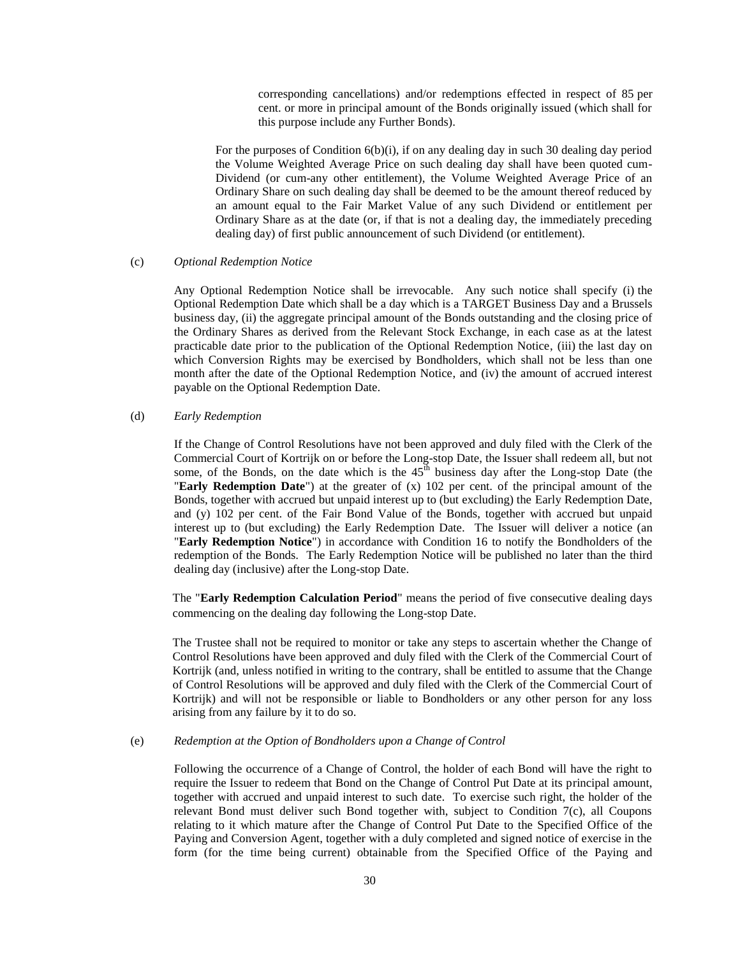corresponding cancellations) and/or redemptions effected in respect of 85 per cent. or more in principal amount of the Bonds originally issued (which shall for this purpose include any Further Bonds).

For the purposes of Condition  $6(b)(i)$ , if on any dealing day in such 30 dealing day period the Volume Weighted Average Price on such dealing day shall have been quoted cum-Dividend (or cum-any other entitlement), the Volume Weighted Average Price of an Ordinary Share on such dealing day shall be deemed to be the amount thereof reduced by an amount equal to the Fair Market Value of any such Dividend or entitlement per Ordinary Share as at the date (or, if that is not a dealing day, the immediately preceding dealing day) of first public announcement of such Dividend (or entitlement).

## (c) *Optional Redemption Notice*

Any Optional Redemption Notice shall be irrevocable. Any such notice shall specify (i) the Optional Redemption Date which shall be a day which is a TARGET Business Day and a Brussels business day, (ii) the aggregate principal amount of the Bonds outstanding and the closing price of the Ordinary Shares as derived from the Relevant Stock Exchange, in each case as at the latest practicable date prior to the publication of the Optional Redemption Notice, (iii) the last day on which Conversion Rights may be exercised by Bondholders, which shall not be less than one month after the date of the Optional Redemption Notice, and (iv) the amount of accrued interest payable on the Optional Redemption Date.

### <span id="page-29-1"></span>(d) *Early Redemption*

If the Change of Control Resolutions have not been approved and duly filed with the Clerk of the Commercial Court of Kortrijk on or before the Long-stop Date, the Issuer shall redeem all, but not some, of the Bonds, on the date which is the  $45<sup>th</sup>$  business day after the Long-stop Date (the "**Early Redemption Date**") at the greater of (x) 102 per cent. of the principal amount of the Bonds, together with accrued but unpaid interest up to (but excluding) the Early Redemption Date, and (y) 102 per cent. of the Fair Bond Value of the Bonds, together with accrued but unpaid interest up to (but excluding) the Early Redemption Date. The Issuer will deliver a notice (an "**Early Redemption Notice**") in accordance with Condition 16 to notify the Bondholders of the redemption of the Bonds. The Early Redemption Notice will be published no later than the third dealing day (inclusive) after the Long-stop Date.

The "**Early Redemption Calculation Period**" means the period of five consecutive dealing days commencing on the dealing day following the Long-stop Date.

The Trustee shall not be required to monitor or take any steps to ascertain whether the Change of Control Resolutions have been approved and duly filed with the Clerk of the Commercial Court of Kortrijk (and, unless notified in writing to the contrary, shall be entitled to assume that the Change of Control Resolutions will be approved and duly filed with the Clerk of the Commercial Court of Kortrijk) and will not be responsible or liable to Bondholders or any other person for any loss arising from any failure by it to do so.

## <span id="page-29-0"></span>(e) *Redemption at the Option of Bondholders upon a Change of Control*

Following the occurrence of a Change of Control, the holder of each Bond will have the right to require the Issuer to redeem that Bond on the Change of Control Put Date at its principal amount, together with accrued and unpaid interest to such date. To exercise such right, the holder of the relevant Bond must deliver such Bond together with, subject to Condition 7(c), all Coupons relating to it which mature after the Change of Control Put Date to the Specified Office of the Paying and Conversion Agent, together with a duly completed and signed notice of exercise in the form (for the time being current) obtainable from the Specified Office of the Paying and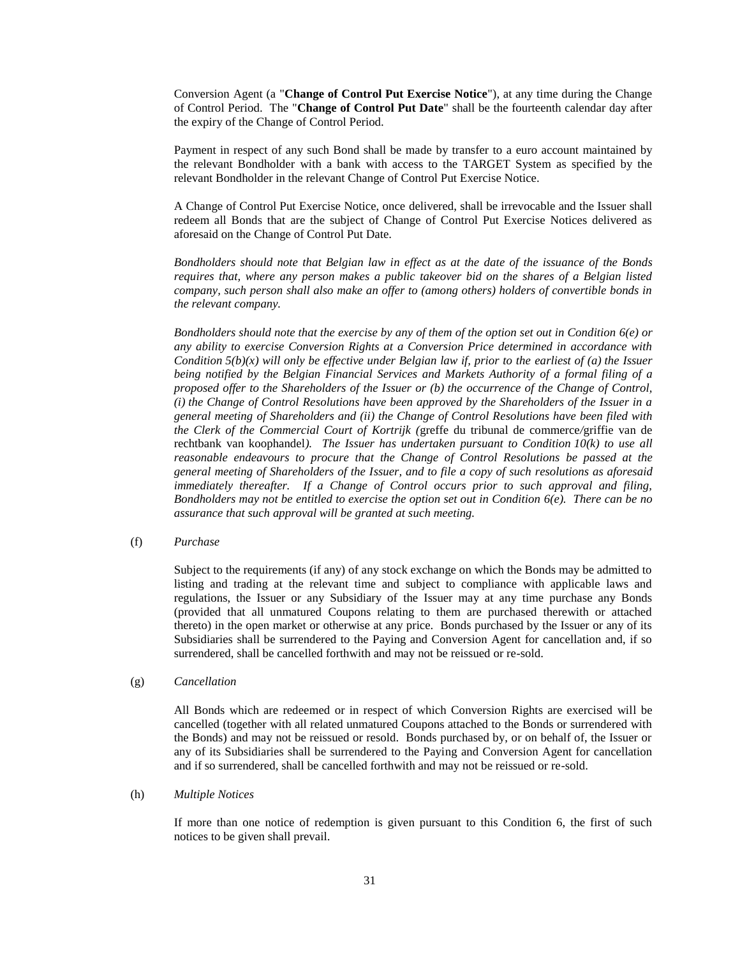Conversion Agent (a "**Change of Control Put Exercise Notice**"), at any time during the Change of Control Period. The "**Change of Control Put Date**" shall be the fourteenth calendar day after the expiry of the Change of Control Period.

Payment in respect of any such Bond shall be made by transfer to a euro account maintained by the relevant Bondholder with a bank with access to the TARGET System as specified by the relevant Bondholder in the relevant Change of Control Put Exercise Notice.

A Change of Control Put Exercise Notice, once delivered, shall be irrevocable and the Issuer shall redeem all Bonds that are the subject of Change of Control Put Exercise Notices delivered as aforesaid on the Change of Control Put Date.

*Bondholders should note that Belgian law in effect as at the date of the issuance of the Bonds requires that, where any person makes a public takeover bid on the shares of a Belgian listed company, such person shall also make an offer to (among others) holders of convertible bonds in the relevant company.*

*Bondholders should note that the exercise by any of them of the option set out in Condition 6(e) or any ability to exercise Conversion Rights at a Conversion Price determined in accordance with Condition*  $5(b)(x)$  will only be effective under Belgian law if, prior to the earliest of (a) the Issuer *being notified by the Belgian Financial Services and Markets Authority of a formal filing of a proposed offer to the Shareholders of the Issuer or (b) the occurrence of the Change of Control, (i) the Change of Control Resolutions have been approved by the Shareholders of the Issuer in a general meeting of Shareholders and (ii) the Change of Control Resolutions have been filed with the Clerk of the Commercial Court of Kortrijk (*greffe du tribunal de commerce*/*griffie van de rechtbank van koophandel*). The Issuer has undertaken pursuant to Condition 10(k) to use all reasonable endeavours to procure that the Change of Control Resolutions be passed at the general meeting of Shareholders of the Issuer, and to file a copy of such resolutions as aforesaid immediately thereafter. If a Change of Control occurs prior to such approval and filing, Bondholders may not be entitled to exercise the option set out in Condition 6(e). There can be no assurance that such approval will be granted at such meeting.*

(f) *Purchase*

Subject to the requirements (if any) of any stock exchange on which the Bonds may be admitted to listing and trading at the relevant time and subject to compliance with applicable laws and regulations, the Issuer or any Subsidiary of the Issuer may at any time purchase any Bonds (provided that all unmatured Coupons relating to them are purchased therewith or attached thereto) in the open market or otherwise at any price. Bonds purchased by the Issuer or any of its Subsidiaries shall be surrendered to the Paying and Conversion Agent for cancellation and, if so surrendered, shall be cancelled forthwith and may not be reissued or re-sold.

(g) *Cancellation*

All Bonds which are redeemed or in respect of which Conversion Rights are exercised will be cancelled (together with all related unmatured Coupons attached to the Bonds or surrendered with the Bonds) and may not be reissued or resold. Bonds purchased by, or on behalf of, the Issuer or any of its Subsidiaries shall be surrendered to the Paying and Conversion Agent for cancellation and if so surrendered, shall be cancelled forthwith and may not be reissued or re-sold.

### (h) *Multiple Notices*

If more than one notice of redemption is given pursuant to this Condition 6, the first of such notices to be given shall prevail.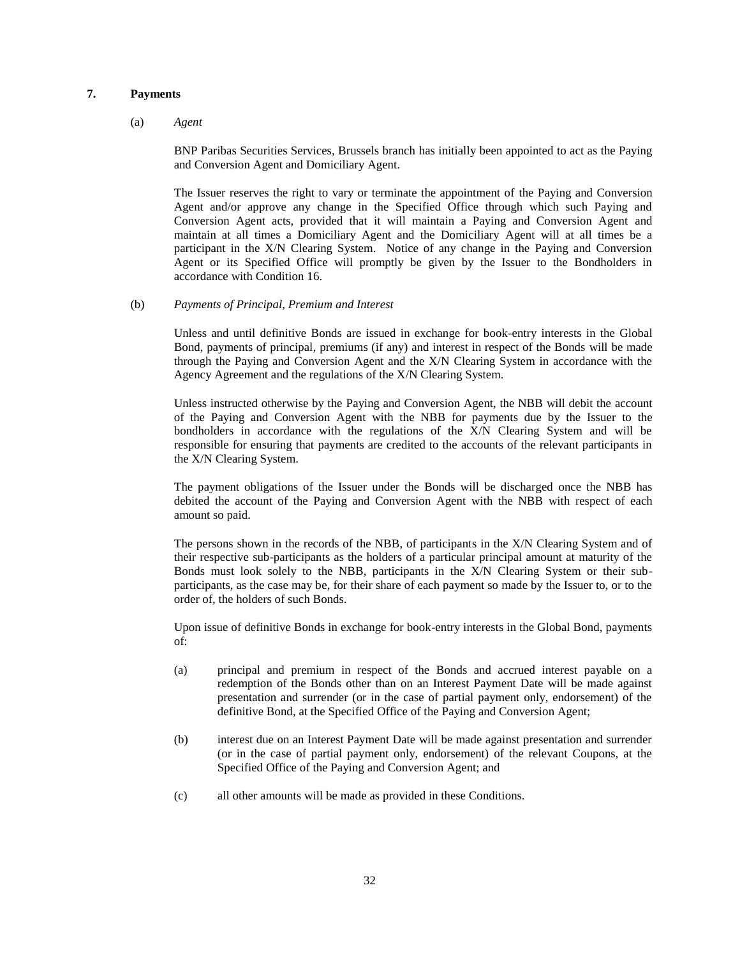# **7. Payments**

#### (a) *Agent*

BNP Paribas Securities Services, Brussels branch has initially been appointed to act as the Paying and Conversion Agent and Domiciliary Agent.

The Issuer reserves the right to vary or terminate the appointment of the Paying and Conversion Agent and/or approve any change in the Specified Office through which such Paying and Conversion Agent acts, provided that it will maintain a Paying and Conversion Agent and maintain at all times a Domiciliary Agent and the Domiciliary Agent will at all times be a participant in the X/N Clearing System. Notice of any change in the Paying and Conversion Agent or its Specified Office will promptly be given by the Issuer to the Bondholders in accordance with Condition 16.

### (b) *Payments of Principal, Premium and Interest*

Unless and until definitive Bonds are issued in exchange for book-entry interests in the Global Bond, payments of principal, premiums (if any) and interest in respect of the Bonds will be made through the Paying and Conversion Agent and the X/N Clearing System in accordance with the Agency Agreement and the regulations of the X/N Clearing System.

Unless instructed otherwise by the Paying and Conversion Agent, the NBB will debit the account of the Paying and Conversion Agent with the NBB for payments due by the Issuer to the bondholders in accordance with the regulations of the X/N Clearing System and will be responsible for ensuring that payments are credited to the accounts of the relevant participants in the X/N Clearing System.

The payment obligations of the Issuer under the Bonds will be discharged once the NBB has debited the account of the Paying and Conversion Agent with the NBB with respect of each amount so paid.

The persons shown in the records of the NBB, of participants in the X/N Clearing System and of their respective sub-participants as the holders of a particular principal amount at maturity of the Bonds must look solely to the NBB, participants in the X/N Clearing System or their subparticipants, as the case may be, for their share of each payment so made by the Issuer to, or to the order of, the holders of such Bonds.

Upon issue of definitive Bonds in exchange for book-entry interests in the Global Bond, payments of:

- (a) principal and premium in respect of the Bonds and accrued interest payable on a redemption of the Bonds other than on an Interest Payment Date will be made against presentation and surrender (or in the case of partial payment only, endorsement) of the definitive Bond, at the Specified Office of the Paying and Conversion Agent;
- (b) interest due on an Interest Payment Date will be made against presentation and surrender (or in the case of partial payment only, endorsement) of the relevant Coupons, at the Specified Office of the Paying and Conversion Agent; and
- (c) all other amounts will be made as provided in these Conditions.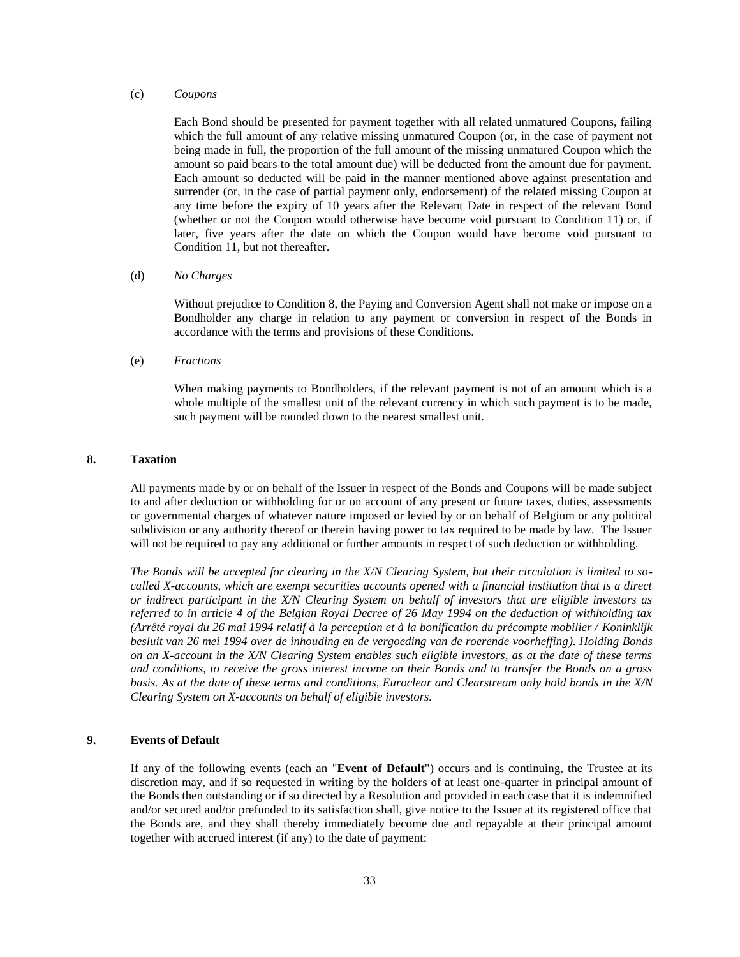#### (c) *Coupons*

Each Bond should be presented for payment together with all related unmatured Coupons, failing which the full amount of any relative missing unmatured Coupon (or, in the case of payment not being made in full, the proportion of the full amount of the missing unmatured Coupon which the amount so paid bears to the total amount due) will be deducted from the amount due for payment. Each amount so deducted will be paid in the manner mentioned above against presentation and surrender (or, in the case of partial payment only, endorsement) of the related missing Coupon at any time before the expiry of 10 years after the Relevant Date in respect of the relevant Bond (whether or not the Coupon would otherwise have become void pursuant to Condition 11) or, if later, five years after the date on which the Coupon would have become void pursuant to Condition 11, but not thereafter.

#### (d) *No Charges*

Without prejudice to Condition 8, the Paying and Conversion Agent shall not make or impose on a Bondholder any charge in relation to any payment or conversion in respect of the Bonds in accordance with the terms and provisions of these Conditions.

### (e) *Fractions*

When making payments to Bondholders, if the relevant payment is not of an amount which is a whole multiple of the smallest unit of the relevant currency in which such payment is to be made, such payment will be rounded down to the nearest smallest unit.

## **8. Taxation**

All payments made by or on behalf of the Issuer in respect of the Bonds and Coupons will be made subject to and after deduction or withholding for or on account of any present or future taxes, duties, assessments or governmental charges of whatever nature imposed or levied by or on behalf of Belgium or any political subdivision or any authority thereof or therein having power to tax required to be made by law. The Issuer will not be required to pay any additional or further amounts in respect of such deduction or withholding.

*The Bonds will be accepted for clearing in the X/N Clearing System, but their circulation is limited to socalled X-accounts, which are exempt securities accounts opened with a financial institution that is a direct or indirect participant in the X/N Clearing System on behalf of investors that are eligible investors as referred to in article 4 of the Belgian Royal Decree of 26 May 1994 on the deduction of withholding tax (Arrêté royal du 26 mai 1994 relatif à la perception et à la bonification du précompte mobilier / Koninklijk besluit van 26 mei 1994 over de inhouding en de vergoeding van de roerende voorheffing)*. *Holding Bonds on an X-account in the X/N Clearing System enables such eligible investors, as at the date of these terms and conditions, to receive the gross interest income on their Bonds and to transfer the Bonds on a gross basis. As at the date of these terms and conditions, Euroclear and Clearstream only hold bonds in the X/N Clearing System on X-accounts on behalf of eligible investors.* 

# <span id="page-32-0"></span>**9. Events of Default**

If any of the following events (each an "**Event of Default**") occurs and is continuing, the Trustee at its discretion may, and if so requested in writing by the holders of at least one-quarter in principal amount of the Bonds then outstanding or if so directed by a Resolution and provided in each case that it is indemnified and/or secured and/or prefunded to its satisfaction shall, give notice to the Issuer at its registered office that the Bonds are, and they shall thereby immediately become due and repayable at their principal amount together with accrued interest (if any) to the date of payment: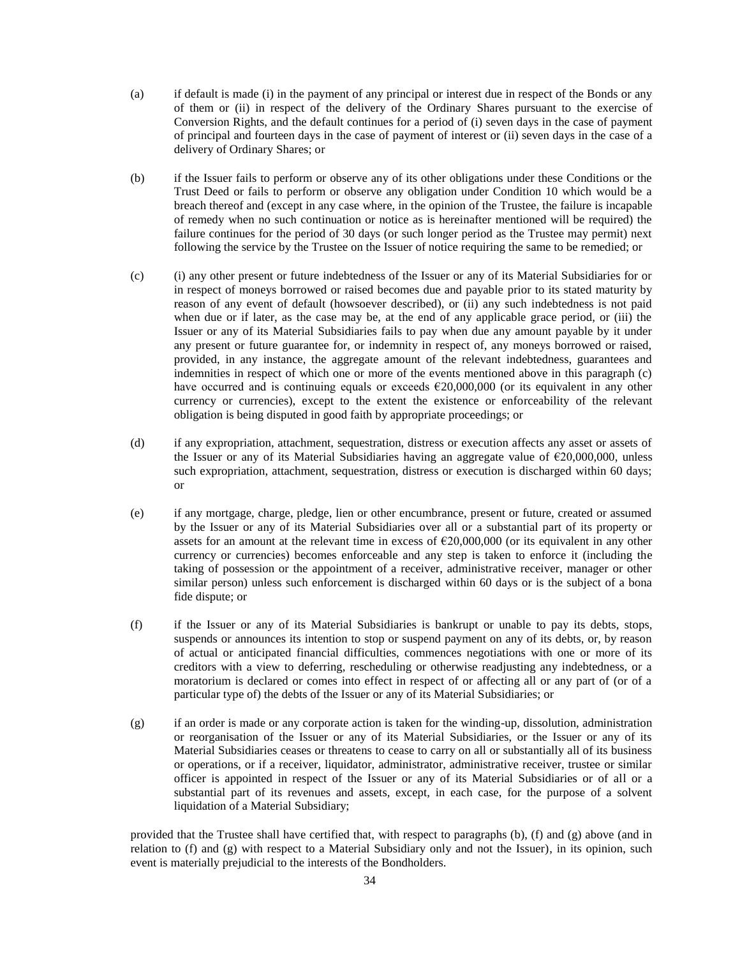- (a) if default is made (i) in the payment of any principal or interest due in respect of the Bonds or any of them or (ii) in respect of the delivery of the Ordinary Shares pursuant to the exercise of Conversion Rights, and the default continues for a period of (i) seven days in the case of payment of principal and fourteen days in the case of payment of interest or (ii) seven days in the case of a delivery of Ordinary Shares; or
- (b) if the Issuer fails to perform or observe any of its other obligations under these Conditions or the Trust Deed or fails to perform or observe any obligation under Condition 10 which would be a breach thereof and (except in any case where, in the opinion of the Trustee, the failure is incapable of remedy when no such continuation or notice as is hereinafter mentioned will be required) the failure continues for the period of 30 days (or such longer period as the Trustee may permit) next following the service by the Trustee on the Issuer of notice requiring the same to be remedied; or
- (c) (i) any other present or future indebtedness of the Issuer or any of its Material Subsidiaries for or in respect of moneys borrowed or raised becomes due and payable prior to its stated maturity by reason of any event of default (howsoever described), or (ii) any such indebtedness is not paid when due or if later, as the case may be, at the end of any applicable grace period, or (iii) the Issuer or any of its Material Subsidiaries fails to pay when due any amount payable by it under any present or future guarantee for, or indemnity in respect of, any moneys borrowed or raised, provided, in any instance, the aggregate amount of the relevant indebtedness, guarantees and indemnities in respect of which one or more of the events mentioned above in this paragraph (c) have occurred and is continuing equals or exceeds  $\epsilon$ 20,000,000 (or its equivalent in any other currency or currencies), except to the extent the existence or enforceability of the relevant obligation is being disputed in good faith by appropriate proceedings; or
- (d) if any expropriation, attachment, sequestration, distress or execution affects any asset or assets of the Issuer or any of its Material Subsidiaries having an aggregate value of €20,000,000, unless such expropriation, attachment, sequestration, distress or execution is discharged within 60 days; or
- (e) if any mortgage, charge, pledge, lien or other encumbrance, present or future, created or assumed by the Issuer or any of its Material Subsidiaries over all or a substantial part of its property or assets for an amount at the relevant time in excess of  $\epsilon$ 20,000,000 (or its equivalent in any other currency or currencies) becomes enforceable and any step is taken to enforce it (including the taking of possession or the appointment of a receiver, administrative receiver, manager or other similar person) unless such enforcement is discharged within 60 days or is the subject of a bona fide dispute; or
- (f) if the Issuer or any of its Material Subsidiaries is bankrupt or unable to pay its debts, stops, suspends or announces its intention to stop or suspend payment on any of its debts, or, by reason of actual or anticipated financial difficulties, commences negotiations with one or more of its creditors with a view to deferring, rescheduling or otherwise readjusting any indebtedness, or a moratorium is declared or comes into effect in respect of or affecting all or any part of (or of a particular type of) the debts of the Issuer or any of its Material Subsidiaries; or
- (g) if an order is made or any corporate action is taken for the winding-up, dissolution, administration or reorganisation of the Issuer or any of its Material Subsidiaries, or the Issuer or any of its Material Subsidiaries ceases or threatens to cease to carry on all or substantially all of its business or operations, or if a receiver, liquidator, administrator, administrative receiver, trustee or similar officer is appointed in respect of the Issuer or any of its Material Subsidiaries or of all or a substantial part of its revenues and assets, except, in each case, for the purpose of a solvent liquidation of a Material Subsidiary;

provided that the Trustee shall have certified that, with respect to paragraphs (b), (f) and (g) above (and in relation to (f) and (g) with respect to a Material Subsidiary only and not the Issuer), in its opinion, such event is materially prejudicial to the interests of the Bondholders.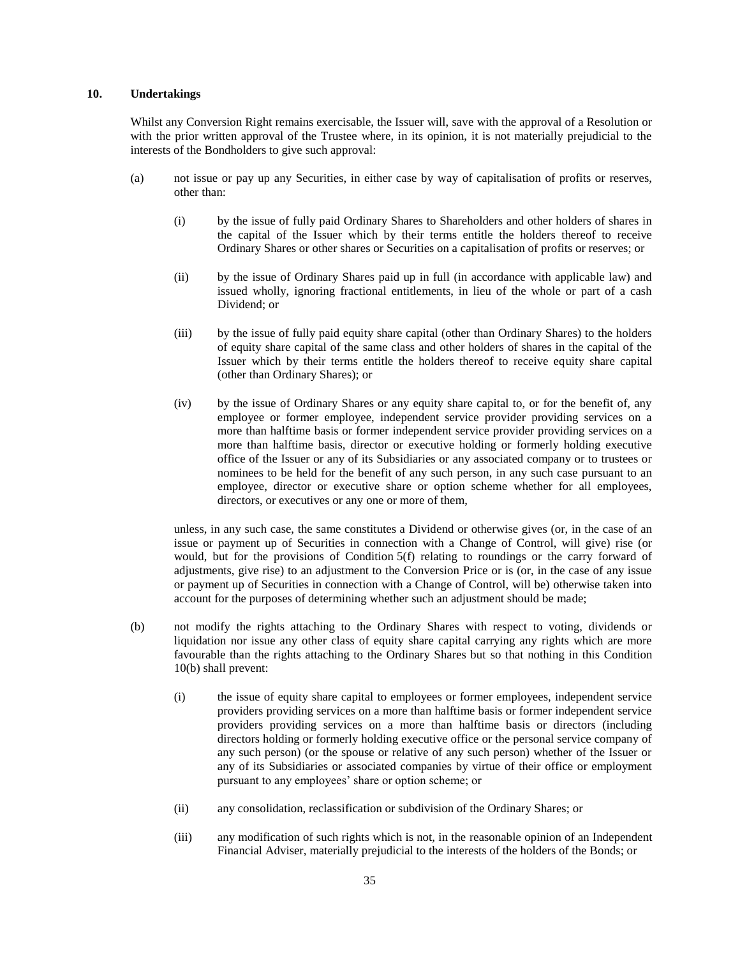## <span id="page-34-0"></span>**10. Undertakings**

Whilst any Conversion Right remains exercisable, the Issuer will, save with the approval of a Resolution or with the prior written approval of the Trustee where, in its opinion, it is not materially prejudicial to the interests of the Bondholders to give such approval:

- (a) not issue or pay up any Securities, in either case by way of capitalisation of profits or reserves, other than:
	- (i) by the issue of fully paid Ordinary Shares to Shareholders and other holders of shares in the capital of the Issuer which by their terms entitle the holders thereof to receive Ordinary Shares or other shares or Securities on a capitalisation of profits or reserves; or
	- (ii) by the issue of Ordinary Shares paid up in full (in accordance with applicable law) and issued wholly, ignoring fractional entitlements, in lieu of the whole or part of a cash Dividend; or
	- (iii) by the issue of fully paid equity share capital (other than Ordinary Shares) to the holders of equity share capital of the same class and other holders of shares in the capital of the Issuer which by their terms entitle the holders thereof to receive equity share capital (other than Ordinary Shares); or
	- (iv) by the issue of Ordinary Shares or any equity share capital to, or for the benefit of, any employee or former employee, independent service provider providing services on a more than halftime basis or former independent service provider providing services on a more than halftime basis, director or executive holding or formerly holding executive office of the Issuer or any of its Subsidiaries or any associated company or to trustees or nominees to be held for the benefit of any such person, in any such case pursuant to an employee, director or executive share or option scheme whether for all employees, directors, or executives or any one or more of them,

unless, in any such case, the same constitutes a Dividend or otherwise gives (or, in the case of an issue or payment up of Securities in connection with a Change of Control, will give) rise (or would, but for the provisions of Condition 5(f) relating to roundings or the carry forward of adjustments, give rise) to an adjustment to the Conversion Price or is (or, in the case of any issue or payment up of Securities in connection with a Change of Control, will be) otherwise taken into account for the purposes of determining whether such an adjustment should be made;

- (b) not modify the rights attaching to the Ordinary Shares with respect to voting, dividends or liquidation nor issue any other class of equity share capital carrying any rights which are more favourable than the rights attaching to the Ordinary Shares but so that nothing in this Condition 10(b) shall prevent:
	- (i) the issue of equity share capital to employees or former employees, independent service providers providing services on a more than halftime basis or former independent service providers providing services on a more than halftime basis or directors (including directors holding or formerly holding executive office or the personal service company of any such person) (or the spouse or relative of any such person) whether of the Issuer or any of its Subsidiaries or associated companies by virtue of their office or employment pursuant to any employees' share or option scheme; or
	- (ii) any consolidation, reclassification or subdivision of the Ordinary Shares; or
	- (iii) any modification of such rights which is not, in the reasonable opinion of an Independent Financial Adviser, materially prejudicial to the interests of the holders of the Bonds; or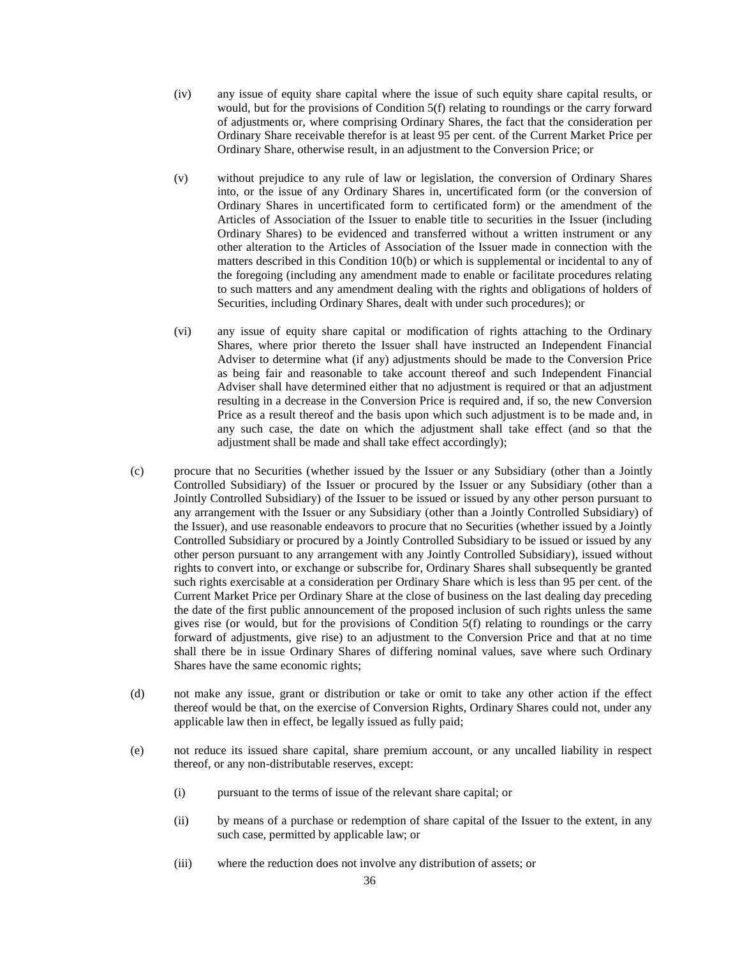- (iv) any issue of equity share capital where the issue of such equity share capital results, or would, but for the provisions of Condition 5(f) relating to roundings or the carry forward of adjustments or, where comprising Ordinary Shares, the fact that the consideration per Ordinary Share receivable therefor is at least 95 per cent. of the Current Market Price per Ordinary Share, otherwise result, in an adjustment to the Conversion Price; or
- (v) without prejudice to any rule of law or legislation, the conversion of Ordinary Shares into, or the issue of any Ordinary Shares in, uncertificated form (or the conversion of Ordinary Shares in uncertificated form to certificated form) or the amendment of the Articles of Association of the Issuer to enable title to securities in the Issuer (including Ordinary Shares) to be evidenced and transferred without a written instrument or any other alteration to the Articles of Association of the Issuer made in connection with the matters described in this Condition 10(b) or which is supplemental or incidental to any of the foregoing (including any amendment made to enable or facilitate procedures relating to such matters and any amendment dealing with the rights and obligations of holders of Securities, including Ordinary Shares, dealt with under such procedures); or
- (vi) any issue of equity share capital or modification of rights attaching to the Ordinary Shares, where prior thereto the Issuer shall have instructed an Independent Financial Adviser to determine what (if any) adjustments should be made to the Conversion Price as being fair and reasonable to take account thereof and such Independent Financial Adviser shall have determined either that no adjustment is required or that an adjustment resulting in a decrease in the Conversion Price is required and, if so, the new Conversion Price as a result thereof and the basis upon which such adjustment is to be made and, in any such case, the date on which the adjustment shall take effect (and so that the adjustment shall be made and shall take effect accordingly);
- (c) procure that no Securities (whether issued by the Issuer or any Subsidiary (other than a Jointly Controlled Subsidiary) of the Issuer or procured by the Issuer or any Subsidiary (other than a Jointly Controlled Subsidiary) of the Issuer to be issued or issued by any other person pursuant to any arrangement with the Issuer or any Subsidiary (other than a Jointly Controlled Subsidiary) of the Issuer), and use reasonable endeavors to procure that no Securities (whether issued by a Jointly Controlled Subsidiary or procured by a Jointly Controlled Subsidiary to be issued or issued by any other person pursuant to any arrangement with any Jointly Controlled Subsidiary), issued without rights to convert into, or exchange or subscribe for, Ordinary Shares shall subsequently be granted such rights exercisable at a consideration per Ordinary Share which is less than 95 per cent. of the Current Market Price per Ordinary Share at the close of business on the last dealing day preceding the date of the first public announcement of the proposed inclusion of such rights unless the same gives rise (or would, but for the provisions of Condition 5(f) relating to roundings or the carry forward of adjustments, give rise) to an adjustment to the Conversion Price and that at no time shall there be in issue Ordinary Shares of differing nominal values, save where such Ordinary Shares have the same economic rights;
- (d) not make any issue, grant or distribution or take or omit to take any other action if the effect thereof would be that, on the exercise of Conversion Rights, Ordinary Shares could not, under any applicable law then in effect, be legally issued as fully paid;
- (e) not reduce its issued share capital, share premium account, or any uncalled liability in respect thereof, or any non-distributable reserves, except:
	- (i) pursuant to the terms of issue of the relevant share capital; or
	- (ii) by means of a purchase or redemption of share capital of the Issuer to the extent, in any such case, permitted by applicable law; or
	- (iii) where the reduction does not involve any distribution of assets; or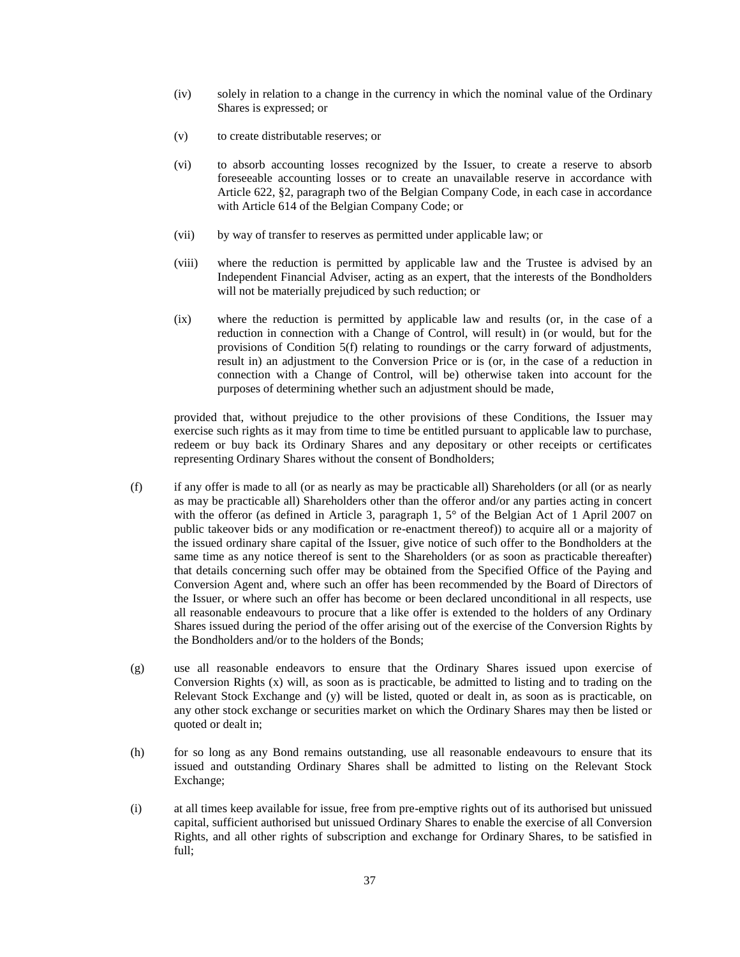- (iv) solely in relation to a change in the currency in which the nominal value of the Ordinary Shares is expressed; or
- (v) to create distributable reserves; or
- (vi) to absorb accounting losses recognized by the Issuer, to create a reserve to absorb foreseeable accounting losses or to create an unavailable reserve in accordance with Article 622, §2, paragraph two of the Belgian Company Code, in each case in accordance with Article 614 of the Belgian Company Code; or
- (vii) by way of transfer to reserves as permitted under applicable law; or
- (viii) where the reduction is permitted by applicable law and the Trustee is advised by an Independent Financial Adviser, acting as an expert, that the interests of the Bondholders will not be materially prejudiced by such reduction; or
- (ix) where the reduction is permitted by applicable law and results (or, in the case of a reduction in connection with a Change of Control, will result) in (or would, but for the provisions of Condition 5(f) relating to roundings or the carry forward of adjustments, result in) an adjustment to the Conversion Price or is (or, in the case of a reduction in connection with a Change of Control, will be) otherwise taken into account for the purposes of determining whether such an adjustment should be made,

provided that, without prejudice to the other provisions of these Conditions, the Issuer may exercise such rights as it may from time to time be entitled pursuant to applicable law to purchase, redeem or buy back its Ordinary Shares and any depositary or other receipts or certificates representing Ordinary Shares without the consent of Bondholders;

- (f) if any offer is made to all (or as nearly as may be practicable all) Shareholders (or all (or as nearly as may be practicable all) Shareholders other than the offeror and/or any parties acting in concert with the offeror (as defined in Article 3, paragraph 1, 5° of the Belgian Act of 1 April 2007 on public takeover bids or any modification or re-enactment thereof)) to acquire all or a majority of the issued ordinary share capital of the Issuer, give notice of such offer to the Bondholders at the same time as any notice thereof is sent to the Shareholders (or as soon as practicable thereafter) that details concerning such offer may be obtained from the Specified Office of the Paying and Conversion Agent and, where such an offer has been recommended by the Board of Directors of the Issuer, or where such an offer has become or been declared unconditional in all respects, use all reasonable endeavours to procure that a like offer is extended to the holders of any Ordinary Shares issued during the period of the offer arising out of the exercise of the Conversion Rights by the Bondholders and/or to the holders of the Bonds;
- (g) use all reasonable endeavors to ensure that the Ordinary Shares issued upon exercise of Conversion Rights (x) will, as soon as is practicable, be admitted to listing and to trading on the Relevant Stock Exchange and (y) will be listed, quoted or dealt in, as soon as is practicable, on any other stock exchange or securities market on which the Ordinary Shares may then be listed or quoted or dealt in;
- (h) for so long as any Bond remains outstanding, use all reasonable endeavours to ensure that its issued and outstanding Ordinary Shares shall be admitted to listing on the Relevant Stock Exchange;
- (i) at all times keep available for issue, free from pre-emptive rights out of its authorised but unissued capital, sufficient authorised but unissued Ordinary Shares to enable the exercise of all Conversion Rights, and all other rights of subscription and exchange for Ordinary Shares, to be satisfied in full;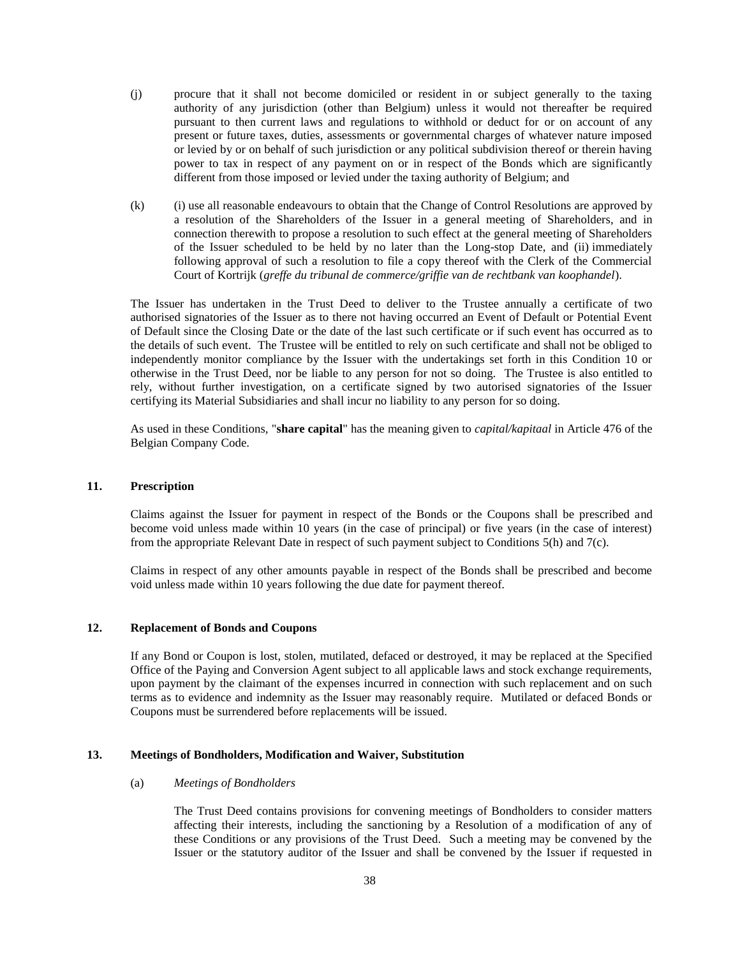- (j) procure that it shall not become domiciled or resident in or subject generally to the taxing authority of any jurisdiction (other than Belgium) unless it would not thereafter be required pursuant to then current laws and regulations to withhold or deduct for or on account of any present or future taxes, duties, assessments or governmental charges of whatever nature imposed or levied by or on behalf of such jurisdiction or any political subdivision thereof or therein having power to tax in respect of any payment on or in respect of the Bonds which are significantly different from those imposed or levied under the taxing authority of Belgium; and
- (k) (i) use all reasonable endeavours to obtain that the Change of Control Resolutions are approved by a resolution of the Shareholders of the Issuer in a general meeting of Shareholders, and in connection therewith to propose a resolution to such effect at the general meeting of Shareholders of the Issuer scheduled to be held by no later than the Long-stop Date, and (ii) immediately following approval of such a resolution to file a copy thereof with the Clerk of the Commercial Court of Kortrijk (*greffe du tribunal de commerce/griffie van de rechtbank van koophandel*).

The Issuer has undertaken in the Trust Deed to deliver to the Trustee annually a certificate of two authorised signatories of the Issuer as to there not having occurred an Event of Default or Potential Event of Default since the Closing Date or the date of the last such certificate or if such event has occurred as to the details of such event. The Trustee will be entitled to rely on such certificate and shall not be obliged to independently monitor compliance by the Issuer with the undertakings set forth in this Condition 10 or otherwise in the Trust Deed, nor be liable to any person for not so doing. The Trustee is also entitled to rely, without further investigation, on a certificate signed by two autorised signatories of the Issuer certifying its Material Subsidiaries and shall incur no liability to any person for so doing.

As used in these Conditions, "**share capital**" has the meaning given to *capital/kapitaal* in Article 476 of the Belgian Company Code.

# **11. Prescription**

Claims against the Issuer for payment in respect of the Bonds or the Coupons shall be prescribed and become void unless made within 10 years (in the case of principal) or five years (in the case of interest) from the appropriate Relevant Date in respect of such payment subject to Conditions 5(h) and 7(c).

Claims in respect of any other amounts payable in respect of the Bonds shall be prescribed and become void unless made within 10 years following the due date for payment thereof.

#### **12. Replacement of Bonds and Coupons**

If any Bond or Coupon is lost, stolen, mutilated, defaced or destroyed, it may be replaced at the Specified Office of the Paying and Conversion Agent subject to all applicable laws and stock exchange requirements, upon payment by the claimant of the expenses incurred in connection with such replacement and on such terms as to evidence and indemnity as the Issuer may reasonably require. Mutilated or defaced Bonds or Coupons must be surrendered before replacements will be issued.

### **13. Meetings of Bondholders, Modification and Waiver, Substitution**

### (a) *Meetings of Bondholders*

The Trust Deed contains provisions for convening meetings of Bondholders to consider matters affecting their interests, including the sanctioning by a Resolution of a modification of any of these Conditions or any provisions of the Trust Deed. Such a meeting may be convened by the Issuer or the statutory auditor of the Issuer and shall be convened by the Issuer if requested in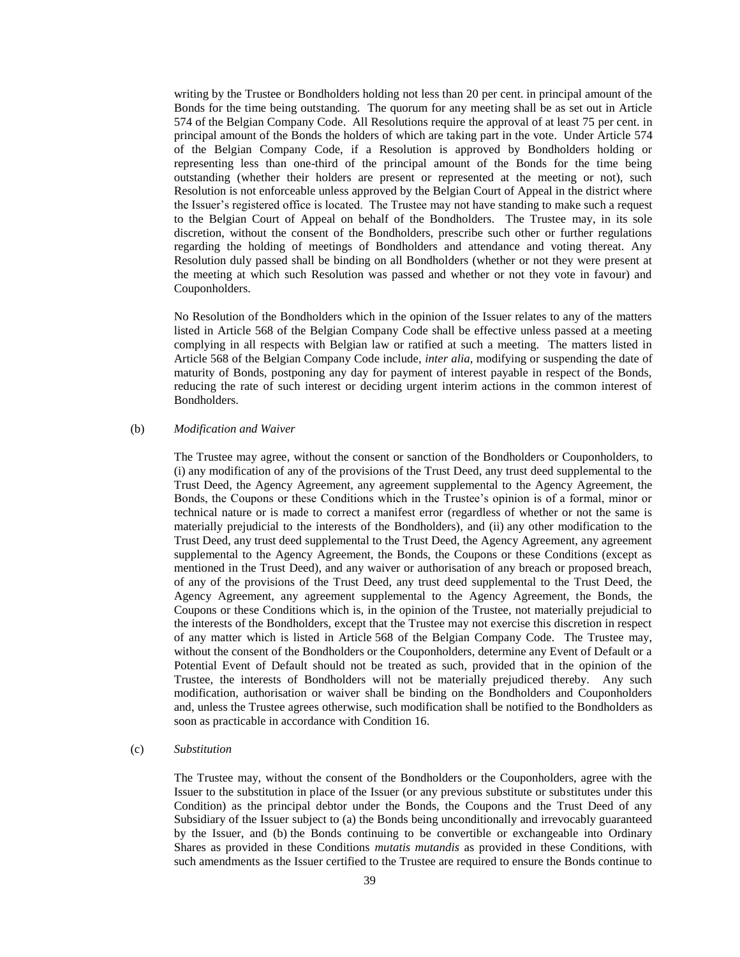writing by the Trustee or Bondholders holding not less than 20 per cent. in principal amount of the Bonds for the time being outstanding. The quorum for any meeting shall be as set out in Article 574 of the Belgian Company Code. All Resolutions require the approval of at least 75 per cent. in principal amount of the Bonds the holders of which are taking part in the vote. Under Article 574 of the Belgian Company Code, if a Resolution is approved by Bondholders holding or representing less than one-third of the principal amount of the Bonds for the time being outstanding (whether their holders are present or represented at the meeting or not), such Resolution is not enforceable unless approved by the Belgian Court of Appeal in the district where the Issuer's registered office is located. The Trustee may not have standing to make such a request to the Belgian Court of Appeal on behalf of the Bondholders. The Trustee may, in its sole discretion, without the consent of the Bondholders, prescribe such other or further regulations regarding the holding of meetings of Bondholders and attendance and voting thereat. Any Resolution duly passed shall be binding on all Bondholders (whether or not they were present at the meeting at which such Resolution was passed and whether or not they vote in favour) and Couponholders.

No Resolution of the Bondholders which in the opinion of the Issuer relates to any of the matters listed in Article 568 of the Belgian Company Code shall be effective unless passed at a meeting complying in all respects with Belgian law or ratified at such a meeting. The matters listed in Article 568 of the Belgian Company Code include, *inter alia*, modifying or suspending the date of maturity of Bonds, postponing any day for payment of interest payable in respect of the Bonds, reducing the rate of such interest or deciding urgent interim actions in the common interest of Bondholders.

### (b) *Modification and Waiver*

The Trustee may agree, without the consent or sanction of the Bondholders or Couponholders, to (i) any modification of any of the provisions of the Trust Deed, any trust deed supplemental to the Trust Deed, the Agency Agreement, any agreement supplemental to the Agency Agreement, the Bonds, the Coupons or these Conditions which in the Trustee's opinion is of a formal, minor or technical nature or is made to correct a manifest error (regardless of whether or not the same is materially prejudicial to the interests of the Bondholders), and (ii) any other modification to the Trust Deed, any trust deed supplemental to the Trust Deed, the Agency Agreement, any agreement supplemental to the Agency Agreement, the Bonds, the Coupons or these Conditions (except as mentioned in the Trust Deed), and any waiver or authorisation of any breach or proposed breach, of any of the provisions of the Trust Deed, any trust deed supplemental to the Trust Deed, the Agency Agreement, any agreement supplemental to the Agency Agreement, the Bonds, the Coupons or these Conditions which is, in the opinion of the Trustee, not materially prejudicial to the interests of the Bondholders, except that the Trustee may not exercise this discretion in respect of any matter which is listed in Article 568 of the Belgian Company Code. The Trustee may, without the consent of the Bondholders or the Couponholders, determine any Event of Default or a Potential Event of Default should not be treated as such, provided that in the opinion of the Trustee, the interests of Bondholders will not be materially prejudiced thereby. Any such modification, authorisation or waiver shall be binding on the Bondholders and Couponholders and, unless the Trustee agrees otherwise, such modification shall be notified to the Bondholders as soon as practicable in accordance with Condition 16.

## (c) *Substitution*

The Trustee may, without the consent of the Bondholders or the Couponholders, agree with the Issuer to the substitution in place of the Issuer (or any previous substitute or substitutes under this Condition) as the principal debtor under the Bonds, the Coupons and the Trust Deed of any Subsidiary of the Issuer subject to (a) the Bonds being unconditionally and irrevocably guaranteed by the Issuer, and (b) the Bonds continuing to be convertible or exchangeable into Ordinary Shares as provided in these Conditions *mutatis mutandis* as provided in these Conditions, with such amendments as the Issuer certified to the Trustee are required to ensure the Bonds continue to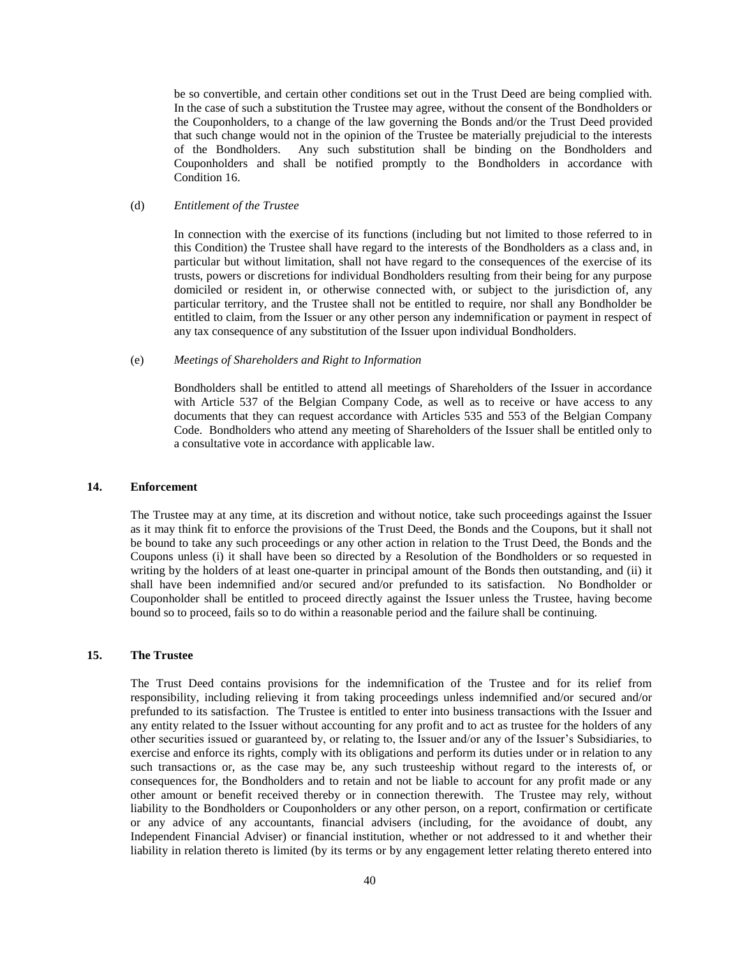be so convertible, and certain other conditions set out in the Trust Deed are being complied with. In the case of such a substitution the Trustee may agree, without the consent of the Bondholders or the Couponholders, to a change of the law governing the Bonds and/or the Trust Deed provided that such change would not in the opinion of the Trustee be materially prejudicial to the interests of the Bondholders. Any such substitution shall be binding on the Bondholders and Couponholders and shall be notified promptly to the Bondholders in accordance with Condition 16.

# (d) *Entitlement of the Trustee*

In connection with the exercise of its functions (including but not limited to those referred to in this Condition) the Trustee shall have regard to the interests of the Bondholders as a class and, in particular but without limitation, shall not have regard to the consequences of the exercise of its trusts, powers or discretions for individual Bondholders resulting from their being for any purpose domiciled or resident in, or otherwise connected with, or subject to the jurisdiction of, any particular territory, and the Trustee shall not be entitled to require, nor shall any Bondholder be entitled to claim, from the Issuer or any other person any indemnification or payment in respect of any tax consequence of any substitution of the Issuer upon individual Bondholders.

### (e) *Meetings of Shareholders and Right to Information*

Bondholders shall be entitled to attend all meetings of Shareholders of the Issuer in accordance with Article 537 of the Belgian Company Code, as well as to receive or have access to any documents that they can request accordance with Articles 535 and 553 of the Belgian Company Code. Bondholders who attend any meeting of Shareholders of the Issuer shall be entitled only to a consultative vote in accordance with applicable law.

### **14. Enforcement**

The Trustee may at any time, at its discretion and without notice, take such proceedings against the Issuer as it may think fit to enforce the provisions of the Trust Deed, the Bonds and the Coupons, but it shall not be bound to take any such proceedings or any other action in relation to the Trust Deed, the Bonds and the Coupons unless (i) it shall have been so directed by a Resolution of the Bondholders or so requested in writing by the holders of at least one-quarter in principal amount of the Bonds then outstanding, and (ii) it shall have been indemnified and/or secured and/or prefunded to its satisfaction. No Bondholder or Couponholder shall be entitled to proceed directly against the Issuer unless the Trustee, having become bound so to proceed, fails so to do within a reasonable period and the failure shall be continuing.

# **15. The Trustee**

The Trust Deed contains provisions for the indemnification of the Trustee and for its relief from responsibility, including relieving it from taking proceedings unless indemnified and/or secured and/or prefunded to its satisfaction. The Trustee is entitled to enter into business transactions with the Issuer and any entity related to the Issuer without accounting for any profit and to act as trustee for the holders of any other securities issued or guaranteed by, or relating to, the Issuer and/or any of the Issuer's Subsidiaries, to exercise and enforce its rights, comply with its obligations and perform its duties under or in relation to any such transactions or, as the case may be, any such trusteeship without regard to the interests of, or consequences for, the Bondholders and to retain and not be liable to account for any profit made or any other amount or benefit received thereby or in connection therewith. The Trustee may rely, without liability to the Bondholders or Couponholders or any other person, on a report, confirmation or certificate or any advice of any accountants, financial advisers (including, for the avoidance of doubt, any Independent Financial Adviser) or financial institution, whether or not addressed to it and whether their liability in relation thereto is limited (by its terms or by any engagement letter relating thereto entered into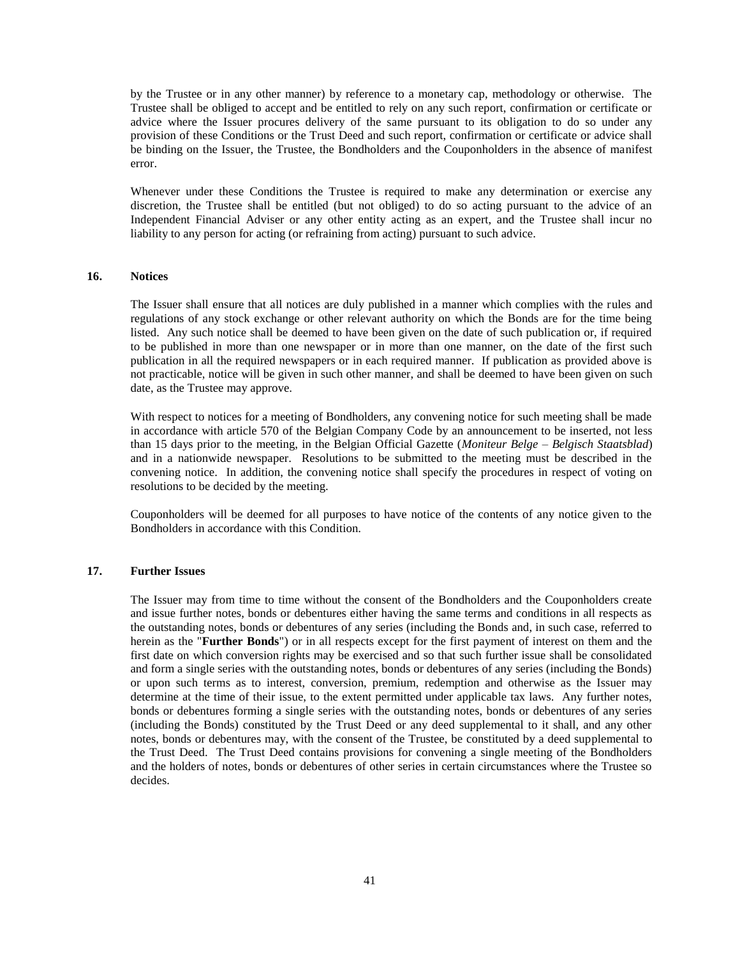by the Trustee or in any other manner) by reference to a monetary cap, methodology or otherwise. The Trustee shall be obliged to accept and be entitled to rely on any such report, confirmation or certificate or advice where the Issuer procures delivery of the same pursuant to its obligation to do so under any provision of these Conditions or the Trust Deed and such report, confirmation or certificate or advice shall be binding on the Issuer, the Trustee, the Bondholders and the Couponholders in the absence of manifest error.

Whenever under these Conditions the Trustee is required to make any determination or exercise any discretion, the Trustee shall be entitled (but not obliged) to do so acting pursuant to the advice of an Independent Financial Adviser or any other entity acting as an expert, and the Trustee shall incur no liability to any person for acting (or refraining from acting) pursuant to such advice.

### <span id="page-40-1"></span>**16. Notices**

The Issuer shall ensure that all notices are duly published in a manner which complies with the rules and regulations of any stock exchange or other relevant authority on which the Bonds are for the time being listed. Any such notice shall be deemed to have been given on the date of such publication or, if required to be published in more than one newspaper or in more than one manner, on the date of the first such publication in all the required newspapers or in each required manner. If publication as provided above is not practicable, notice will be given in such other manner, and shall be deemed to have been given on such date, as the Trustee may approve.

With respect to notices for a meeting of Bondholders, any convening notice for such meeting shall be made in accordance with article 570 of the Belgian Company Code by an announcement to be inserted, not less than 15 days prior to the meeting, in the Belgian Official Gazette (*Moniteur Belge – Belgisch Staatsblad*) and in a nationwide newspaper. Resolutions to be submitted to the meeting must be described in the convening notice. In addition, the convening notice shall specify the procedures in respect of voting on resolutions to be decided by the meeting.

Couponholders will be deemed for all purposes to have notice of the contents of any notice given to the Bondholders in accordance with this Condition.

## <span id="page-40-0"></span>**17. Further Issues**

The Issuer may from time to time without the consent of the Bondholders and the Couponholders create and issue further notes, bonds or debentures either having the same terms and conditions in all respects as the outstanding notes, bonds or debentures of any series (including the Bonds and, in such case, referred to herein as the "**Further Bonds**") or in all respects except for the first payment of interest on them and the first date on which conversion rights may be exercised and so that such further issue shall be consolidated and form a single series with the outstanding notes, bonds or debentures of any series (including the Bonds) or upon such terms as to interest, conversion, premium, redemption and otherwise as the Issuer may determine at the time of their issue, to the extent permitted under applicable tax laws. Any further notes, bonds or debentures forming a single series with the outstanding notes, bonds or debentures of any series (including the Bonds) constituted by the Trust Deed or any deed supplemental to it shall, and any other notes, bonds or debentures may, with the consent of the Trustee, be constituted by a deed supplemental to the Trust Deed. The Trust Deed contains provisions for convening a single meeting of the Bondholders and the holders of notes, bonds or debentures of other series in certain circumstances where the Trustee so decides.